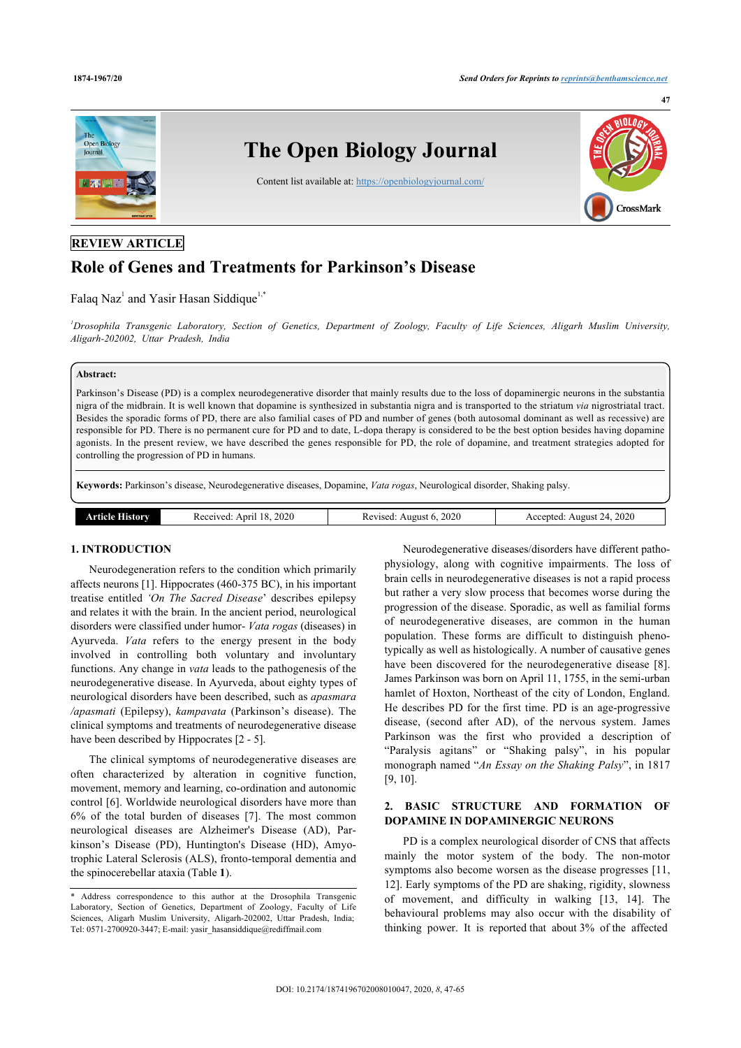

## **REVIEW ARTICLE**

# **Role of Genes and Treatments for Parkinson's Disease**

### Falaq Naz<sup>[1](#page-0-0)</sup> and Yasir Hasan Siddique<sup>[1,](#page-0-0)[\\*](#page-0-1)</sup>

<span id="page-0-0"></span>*<sup>1</sup>Drosophila Transgenic Laboratory, Section of Genetics, Department of Zoology, Faculty of Life Sciences, Aligarh Muslim University, Aligarh-202002, Uttar Pradesh, India*

### **Abstract:**

Parkinson's Disease (PD) is a complex neurodegenerative disorder that mainly results due to the loss of dopaminergic neurons in the substantia nigra of the midbrain. It is well known that dopamine is synthesized in substantia nigra and is transported to the striatum *via* nigrostriatal tract. Besides the sporadic forms of PD, there are also familial cases of PD and number of genes (both autosomal dominant as well as recessive) are responsible for PD. There is no permanent cure for PD and to date, L-dopa therapy is considered to be the best option besides having dopamine agonists. In the present review, we have described the genes responsible for PD, the role of dopamine, and treatment strategies adopted for controlling the progression of PD in humans.

**Keywords:** Parkinson's disease, Neurodegenerative diseases, Dopamine, *Vata rogas*, Neurological disorder, Shaking palsy.

| History<br>rtielo | 2020<br>18<br>s eceived.<br>Anri<br>. | 2020<br>August 6<br>evised<br>. | 2020<br>Accepted:<br>Allglis<br>ъL |
|-------------------|---------------------------------------|---------------------------------|------------------------------------|
|                   |                                       |                                 |                                    |

#### **1. INTRODUCTION**

Neurodegeneration refers to the condition which primarily affects neurons [[1](#page-10-0)]. Hippocrates (460-375 BC), in his important treatise entitled *'On The Sacred Disease*' describes epilepsy and relates it with the brain. In the ancient period, neurological disorders were classified under humor- *Vata rogas* (diseases) in Ayurveda. *Vata* refers to the energy present in the body involved in controlling both voluntary and involuntary functions. Any change in *vata* leads to the pathogenesis of the neurodegenerative disease. In Ayurveda, about eighty types of neurological disorders have been described, such as *apasmara /apasmati* (Epilepsy), *kampavata* (Parkinson's disease). The clinical symptoms and treatments of neurodegenerative disease have been described by Hippocrates  $[2 - 5]$  $[2 - 5]$  $[2 - 5]$  $[2 - 5]$  $[2 - 5]$ .

The clinical symptoms of neurodegenerative diseases are often characterized by alteration in cognitive function, movement, memory and learning, co-ordination and autonomic control [\[6\]](#page-10-3). Worldwide neurological disorders have more than 6% of the total burden of diseases[[7](#page-10-4)]. The most common neurological diseases are Alzheimer's Disease (AD), Parkinson's Disease (PD), Huntington's Disease (HD), Amyotrophic Lateral Sclerosis (ALS), fronto-temporal dementia and the spinocerebellar ataxia (Table **[1](#page-0-2)**).

Neurodegenerative diseases/disorders have different pathophysiology, along with cognitive impairments. The loss of brain cells in neurodegenerative diseases is not a rapid process but rather a very slow process that becomes worse during the progression of the disease. Sporadic, as well as familial forms of neurodegenerative diseases, are common in the human population. These forms are difficult to distinguish phenotypically as well as histologically. A number of causative genes havebeen discovered for the neurodegenerative disease [[8](#page-10-5)]. James Parkinson was born on April 11, 1755, in the semi-urban hamlet of Hoxton, Northeast of the city of London, England. He describes PD for the first time. PD is an age-progressive disease, (second after AD), of the nervous system. James Parkinson was the first who provided a description of "Paralysis agitans" or "Shaking palsy", in his popular monograph named "*An Essay on the Shaking Palsy*", in 1817 [[9](#page-10-6), [10\]](#page-10-7).

### **2. BASIC STRUCTURE AND FORMATION OF DOPAMINE IN DOPAMINERGIC NEURONS**

PD is a complex neurological disorder of CNS that affects mainly the motor system of the body. The non-motor symptoms also become worsen as the disease progresses [\[11](#page-10-8), [12](#page-10-9)]. Early symptoms of the PD are shaking, rigidity, slowness of movement, and difficulty in walking[[13](#page-10-10), [14](#page-10-11)]. The behavioural problems may also occur with the disability of thinking power. It is reported that about 3% of the affected

<span id="page-0-2"></span><span id="page-0-1"></span><sup>\*</sup> Address correspondence to this author at the Drosophila Transgenic Laboratory, Section of Genetics, Department of Zoology, Faculty of Life Sciences, Aligarh Muslim University, Aligarh-202002, Uttar Pradesh, India; Tel: 0571-2700920-3447; E-mail: [yasir\\_hasansiddique@rediffmail.com](mailto:yasir_hasansiddique@rediffmail.com)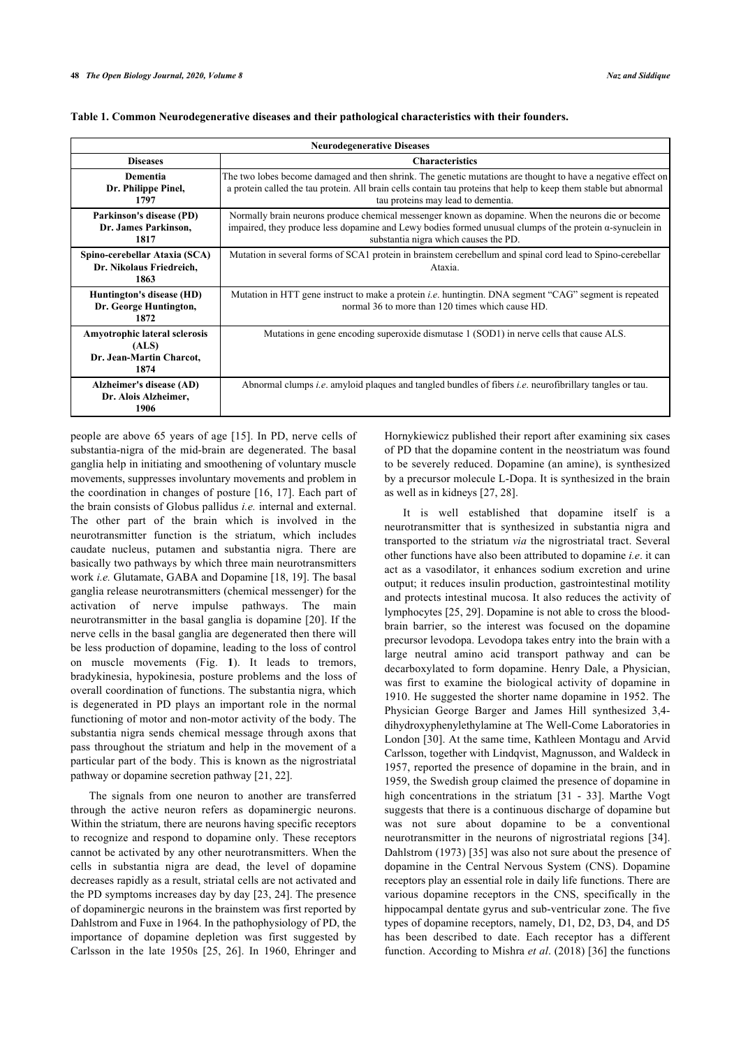| <b>Neurodegenerative Diseases</b>                                                 |                                                                                                                                                                                                                                                                         |  |  |  |  |  |  |
|-----------------------------------------------------------------------------------|-------------------------------------------------------------------------------------------------------------------------------------------------------------------------------------------------------------------------------------------------------------------------|--|--|--|--|--|--|
| <b>Diseases</b>                                                                   | <b>Characteristics</b>                                                                                                                                                                                                                                                  |  |  |  |  |  |  |
| <b>Dementia</b><br>Dr. Philippe Pinel,<br>1797                                    | The two lobes become damaged and then shrink. The genetic mutations are thought to have a negative effect on<br>a protein called the tau protein. All brain cells contain tau proteins that help to keep them stable but abnormal<br>tau proteins may lead to dementia. |  |  |  |  |  |  |
| Parkinson's disease (PD)<br>Dr. James Parkinson.<br>1817                          | Normally brain neurons produce chemical messenger known as dopamine. When the neurons die or become<br>impaired, they produce less dopamine and Lewy bodies formed unusual clumps of the protein $\alpha$ -synuclein in<br>substantia nigra which causes the PD.        |  |  |  |  |  |  |
| Spino-cerebellar Ataxia (SCA)<br>Dr. Nikolaus Friedreich,<br>1863                 | Mutation in several forms of SCA1 protein in brainstem cerebellum and spinal cord lead to Spino-cerebellar<br>Ataxia.                                                                                                                                                   |  |  |  |  |  |  |
| Huntington's disease (HD)<br>Dr. George Huntington,<br>1872                       | Mutation in HTT gene instruct to make a protein <i>i.e.</i> huntingtin. DNA segment "CAG" segment is repeated<br>normal 36 to more than 120 times which cause HD.                                                                                                       |  |  |  |  |  |  |
| <b>Amyotrophic lateral sclerosis</b><br>(ALS)<br>Dr. Jean-Martin Charcot,<br>1874 | Mutations in gene encoding superoxide dismutase 1 (SOD1) in nerve cells that cause ALS.                                                                                                                                                                                 |  |  |  |  |  |  |
| Alzheimer's disease (AD)<br>Dr. Alois Alzheimer,<br>1906                          | Abnormal clumps <i>i.e.</i> amyloid plaques and tangled bundles of fibers <i>i.e.</i> neurofibrillary tangles or tau.                                                                                                                                                   |  |  |  |  |  |  |

#### **Table 1. Common Neurodegenerative diseases and their pathological characteristics with their founders.**

people are above 65 years of age [[15](#page-10-12)]. In PD, nerve cells of substantia-nigra of the mid-brain are degenerated. The basal ganglia help in initiating and smoothening of voluntary muscle movements, suppresses involuntary movements and problem in the coordination in changes of posture [[16,](#page-10-13) [17](#page-10-14)]. Each part of the brain consists of Globus pallidus *i.e.* internal and external. The other part of the brain which is involved in the neurotransmitter function is the striatum, which includes caudate nucleus, putamen and substantia nigra. There are basically two pathways by which three main neurotransmitters work *i.e.* Glutamate, GABA and Dopamine [[18,](#page-10-15) [19](#page-10-16)]. The basal ganglia release neurotransmitters (chemical messenger) for the activation of nerve impulse pathways. The main neurotransmitter in the basal ganglia is dopamine [\[20\]](#page-10-17). If the nerve cells in the basal ganglia are degenerated then there will be less production of dopamine, leading to the loss of control on muscle movements (Fig.**1**). It leads to tremors, bradykinesia, hypokinesia, posture problems and the loss of overall coordination of functions. The substantia nigra, which is degenerated in PD plays an important role in the normal functioning of motor and non-motor activity of the body. The substantia nigra sends chemical message through axons that pass throughout the striatum and help in the movement of a particular part of the body. This is known as the nigrostriatal pathway or dopamine secretion pathway [\[21](#page-10-18), [22\]](#page-10-19).

The signals from one neuron to another are transferred through the active neuron refers as dopaminergic neurons. Within the striatum, there are neurons having specific receptors to recognize and respond to dopamine only. These receptors cannot be activated by any other neurotransmitters. When the cells in substantia nigra are dead, the level of dopamine decreases rapidly as a result, striatal cells are not activated and the PD symptoms increases day by day [[23,](#page-11-0) [24\]](#page-11-1). The presence of dopaminergic neurons in the brainstem was first reported by Dahlstrom and Fuxe in 1964. In the pathophysiology of PD, the importance of dopamine depletion was first suggested by Carlsson in the late 1950s[[25](#page-11-2), [26\]](#page-11-3). In 1960, Ehringer and

Hornykiewicz published their report after examining six cases of PD that the dopamine content in the neostriatum was found to be severely reduced. Dopamine (an amine), is synthesized by a precursor molecule L-Dopa. It is synthesized in the brain as well as in kidneys [[27,](#page-11-4) [28](#page-11-5)].

It is well established that dopamine itself is a neurotransmitter that is synthesized in substantia nigra and transported to the striatum *via* the nigrostriatal tract. Several other functions have also been attributed to dopamine *i.e*. it can act as a vasodilator, it enhances sodium excretion and urine output; it reduces insulin production, gastrointestinal motility and protects intestinal mucosa. It also reduces the activity of lymphocytes [[25,](#page-11-2) [29](#page-11-6)]. Dopamine is not able to cross the bloodbrain barrier, so the interest was focused on the dopamine precursor levodopa. Levodopa takes entry into the brain with a large neutral amino acid transport pathway and can be decarboxylated to form dopamine. Henry Dale, a Physician, was first to examine the biological activity of dopamine in 1910. He suggested the shorter name dopamine in 1952. The Physician George Barger and James Hill synthesized 3,4 dihydroxyphenylethylamine at The Well-Come Laboratories in London [\[30\]](#page-11-7). At the same time, Kathleen Montagu and Arvid Carlsson, together with Lindqvist, Magnusson, and Waldeck in 1957, reported the presence of dopamine in the brain, and in 1959, the Swedish group claimed the presence of dopamine in high concentrations in the striatum[[31](#page-11-8) - [33](#page-11-9)]. Marthe Vogt suggests that there is a continuous discharge of dopamine but was not sure about dopamine to be a conventional neurotransmitter in the neurons of nigrostriatal regions [[34](#page-11-10)]. Dahlstrom (1973) [[35\]](#page-11-11) was also not sure about the presence of dopamine in the Central Nervous System (CNS). Dopamine receptors play an essential role in daily life functions. There are various dopamine receptors in the CNS, specifically in the hippocampal dentate gyrus and sub-ventricular zone. The five types of dopamine receptors, namely, D1, D2, D3, D4, and D5 has been described to date. Each receptor has a different function. According to Mishra *et al*. (2018) [[36\]](#page-11-12) the functions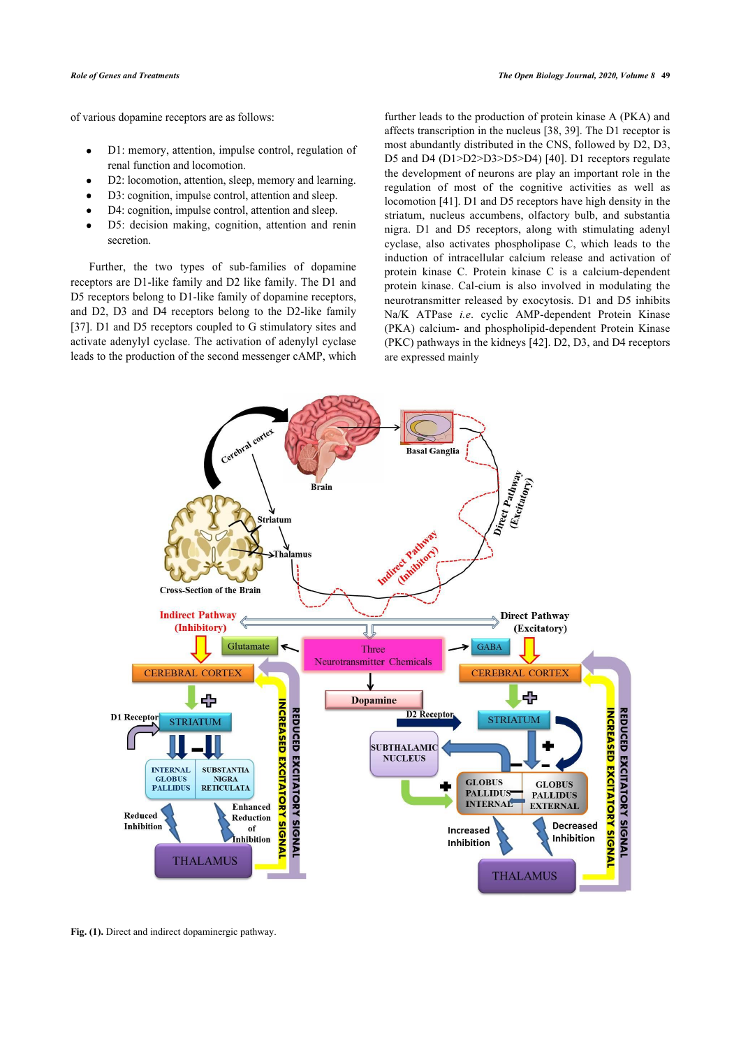of various dopamine receptors are as follows:

- D1: memory, attention, impulse control, regulation of  $\bullet$ renal function and locomotion.
- D2: locomotion, attention, sleep, memory and learning.
- D3: cognition, impulse control, attention and sleep.
- D4: cognition, impulse control, attention and sleep.
- D5: decision making, cognition, attention and renin secretion.

Further, the two types of sub-families of dopamine receptors are D1-like family and D2 like family. The D1 and D5 receptors belong to D1-like family of dopamine receptors, [and](#page-11-13) D2, D3 and D4 receptors belong to the D2-like family [37]. D1 and D5 receptors coupled to G stimulatory sites and activate adenylyl cyclase. The activation of adenylyl cyclase leads to the production of the second messenger cAMP, which

further leads to the production of protein kinase A (PKA) and affects transcription in the nucleus [[38](#page-11-14), [39\]](#page-11-15). The D1 receptor is most abundantly distributed in the CNS, followed by D2, D3, D5 and D4 (D1>D2>D3>D5>D4) [\[40](#page-11-16)]. D1 receptors regulate the development of neurons are play an important role in the regulation of most of the cognitive activities as well as locomotion [[41\]](#page-11-17). D1 and D5 receptors have high density in the striatum, nucleus accumbens, olfactory bulb, and substantia nigra. D1 and D5 receptors, along with stimulating adenyl cyclase, also activates phospholipase C, which leads to the induction of intracellular calcium release and activation of protein kinase C. Protein kinase C is a calcium-dependent protein kinase. Cal-cium is also involved in modulating the neurotransmitter released by exocytosis. D1 and D5 inhibits Na/K ATPase *i.e*. cyclic AMP-dependent Protein Kinase (PKA) calcium- and phospholipid-dependent Protein Kinase (PKC) pathways in the kidneys [\[42](#page-11-18)]. D2, D3, and D4 receptors are expressed mainly

<span id="page-2-0"></span>

**Fig. (1).** Direct and indirect dopaminergic pathway.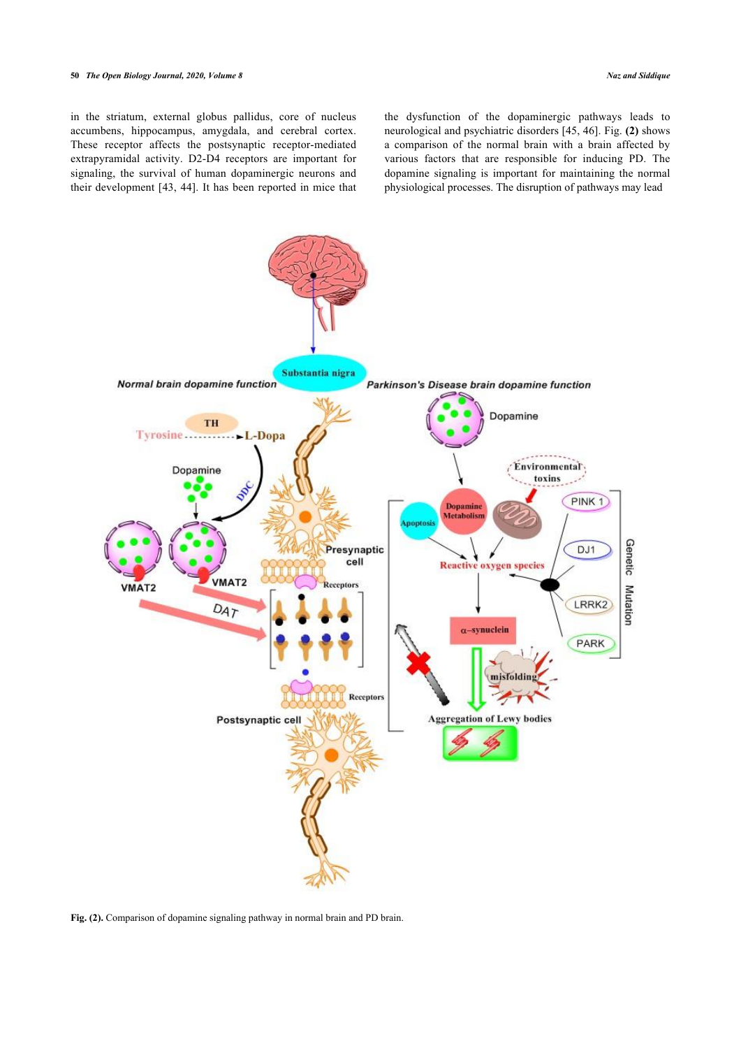#### **50** *The Open Biology Journal, 2020, Volume 8 Naz and Siddique*

in the striatum, external globus pallidus, core of nucleus accumbens, hippocampus, amygdala, and cerebral cortex. These receptor affects the postsynaptic receptor-mediated extrapyramidal activity. D2-D4 receptors are important for signaling, the survival of human dopaminergic neurons and their development [[43,](#page-11-19) [44](#page-11-20)]. It has been reported in mice that the dysfunction of the dopaminergic pathways leads to neurological and psychiatric disorders [[45,](#page-11-21) [46\]](#page-11-3). Fig. **([2](#page-3-0))** shows a comparison of the normal brain with a brain affected by various factors that are responsible for inducing PD. The dopamine signaling is important for maintaining the normal physiological processes. The disruption of pathways may lead

<span id="page-3-0"></span>

**Fig. (2).** Comparison of dopamine signaling pathway in normal brain and PD brain.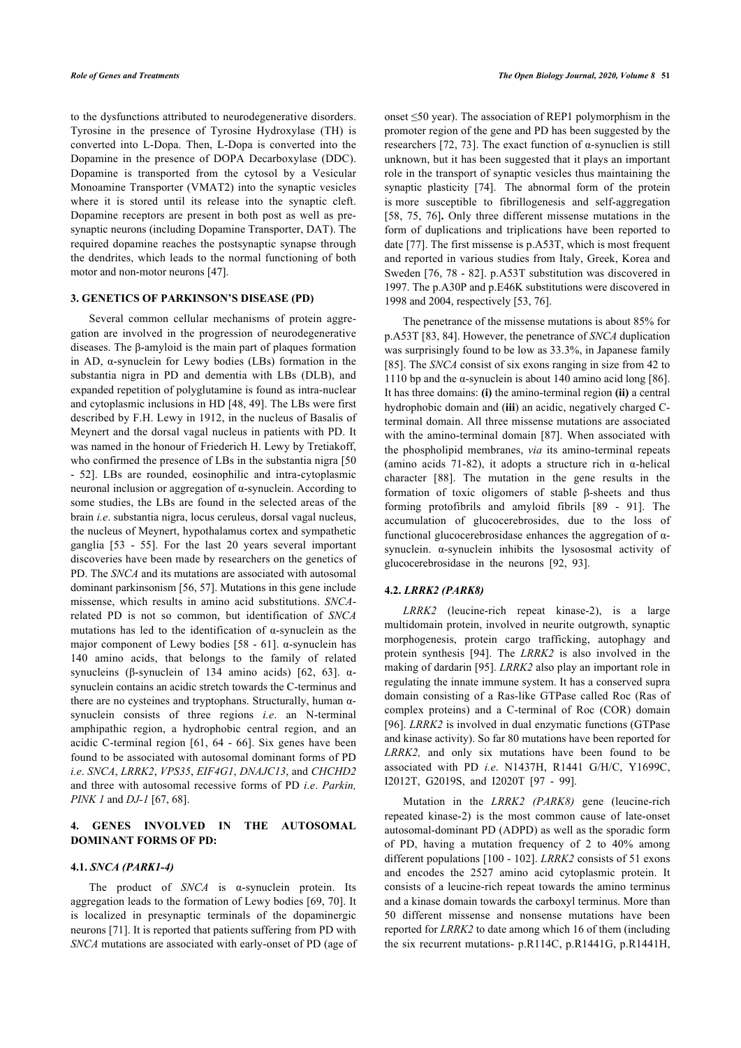to the dysfunctions attributed to neurodegenerative disorders. Tyrosine in the presence of Tyrosine Hydroxylase (TH) is converted into L-Dopa. Then, L-Dopa is converted into the Dopamine in the presence of DOPA Decarboxylase (DDC). Dopamine is transported from the cytosol by a Vesicular Monoamine Transporter (VMAT2) into the synaptic vesicles where it is stored until its release into the synaptic cleft. Dopamine receptors are present in both post as well as presynaptic neurons (including Dopamine Transporter, DAT). The required dopamine reaches the postsynaptic synapse through the dendrites, which leads to the normal functioning of both motor and non-motor neurons [[47\]](#page-11-4).

#### **3. GENETICS OF PARKINSON'S DISEASE (PD)**

Several common cellular mechanisms of protein aggregation are involved in the progression of neurodegenerative diseases. The β-amyloid is the main part of plaques formation in AD, α-synuclein for Lewy bodies (LBs) formation in the substantia nigra in PD and dementia with LBs (DLB), and expanded repetition of polyglutamine is found as intra-nuclear and cytoplasmic inclusions in HD [\[48,](#page-11-22) [49](#page-11-23)]. The LBs were first described by F.H. Lewy in 1912, in the nucleus of Basalis of Meynert and the dorsal vagal nucleus in patients with PD. It was named in the honour of Friederich H. Lewy by Tretiakoff, who confirmed the presence of LBs in the substantia nigra [\[50](#page-11-24) - [52](#page-11-25)]. LBs are rounded, eosinophilic and intra-cytoplasmic neuronal inclusion or aggregation of α-synuclein. According to some studies, the LBs are found in the selected areas of the brain *i.e*. substantia nigra, locus ceruleus, dorsal vagal nucleus, the nucleus of Meynert, hypothalamus cortex and sympathetic ganglia [\[53](#page-11-26) - [55\]](#page-11-13). For the last 20 years several important discoveries have been made by researchers on the genetics of PD. The *SNCA* and its mutations are associated with autosomal dominant parkinsonism [[56,](#page-11-27) [57](#page-11-28)]. Mutations in this gene include missense, which results in amino acid substitutions. *SNCA*related PD is not so common, but identification of *SNCA* mutations has led to the identification of α-synuclein as the major component of Lewy bodies [[58](#page-11-16) - [61\]](#page-11-29). α-synuclein has 140 amino acids, that belongs to the family of related synucleins (β-synuclein of 134 amino acids) [\[62](#page-12-0), [63\]](#page-12-1). αsynuclein contains an acidic stretch towards the C-terminus and there are no cysteines and tryptophans. Structurally, human αsynuclein consists of three regions *i.e*. an N-terminal amphipathic region, a hydrophobic central region, and an acidic C-terminal region [[61,](#page-11-29) [64](#page-12-2) - [66](#page-12-3)]. Six genes have been found to be associated with autosomal dominant forms of PD *i.e*. *SNCA*, *LRRK2*, *VPS35*, *EIF4G1*, *DNAJC13*, and *CHCHD2* and three with autosomal recessive forms of PD *i.e*. *Parkin, PINK 1* and *DJ-1* [[67,](#page-12-4) [68](#page-12-5)].

### **4. GENES INVOLVED IN THE AUTOSOMAL DOMINANT FORMS OF PD:**

### **4.1.** *SNCA (PARK1-4)*

The product of *SNCA* is α-synuclein protein. Its aggregation leads to the formation of Lewy bodies [[69,](#page-12-6) [70\]](#page-12-7). It is localized in presynaptic terminals of the dopaminergic neurons [[71\]](#page-12-8). It is reported that patients suffering from PD with *SNCA* mutations are associated with early-onset of PD (age of onset ≤50 year). The association of REP1 polymorphism in the promoter region of the gene and PD has been suggested by the researchers [\[72](#page-12-9), [73](#page-12-10)]. The exact function of α-synuclien is still unknown, but it has been suggested that it plays an important role in the transport of synaptic vesicles thus maintaining the synaptic plasticity [[74\]](#page-12-11). The abnormal form of the protein is more susceptible to fibrillogenesis and self-aggregation [[58](#page-11-16), [75](#page-12-12), [76](#page-12-13)]**.** Only three different missense mutations in the form of duplications and triplications have been reported to date [\[77\]](#page-12-14). The first missense is p.A53T, which is most frequent and reported in various studies from Italy, Greek, Korea and Sweden [[76](#page-12-13), [78](#page-12-15) - [82\]](#page-12-16). p.A53T substitution was discovered in 1997. The p.A30P and p.E46K substitutions were discovered in 1998 and 2004, respectively [[53,](#page-11-26) [76](#page-12-13)].

The penetrance of the missense mutations is about 85% for p.A53T [[83,](#page-12-17) [84\]](#page-12-18). However, the penetrance of *SNCA* duplication was surprisingly found to be low as 33.3%, in Japanese family [[85](#page-12-19)]. The *SNCA* consist of six exons ranging in size from 42 to 1110 bp and the  $\alpha$ -synuclein is about 140 amino acid long [\[86](#page-12-20)]. It has three domains: **(i)** the amino-terminal region **(ii)** a central hydrophobic domain and (**iii**) an acidic, negatively charged Cterminal domain. All three missense mutations are associated with the amino-terminal domain [[87\]](#page-12-21). When associated with the phospholipid membranes, *via* its amino-terminal repeats (amino acids 71-82), it adopts a structure rich in  $\alpha$ -helical character[[88\]](#page-12-22). The mutation in the gene results in the formation of toxic oligomers of stable β-sheets and thus forming protofibrils and amyloid fibrils [\[89](#page-12-23) - [91\]](#page-12-24). The accumulation of glucocerebrosides, due to the loss of functional glucocerebrosidase enhances the aggregation of αsynuclein. α-synuclein inhibits the lysososmal activity of glucocerebrosidase in the neurons [\[92](#page-12-25), [93\]](#page-12-26).

#### **4.2.** *LRRK2 (PARK8)*

*LRRK2* (leucine-rich repeat kinase-2), is a large multidomain protein, involved in neurite outgrowth, synaptic morphogenesis, protein cargo trafficking, autophagy and protein synthesis[[94\]](#page-12-27). The *LRRK2* is also involved in the making of dardarin [[95\]](#page-12-14). *LRRK2* also play an important role in regulating the innate immune system. It has a conserved supra domain consisting of a Ras-like GTPase called Roc (Ras of complex proteins) and a C-terminal of Roc (COR) domain [[96](#page-12-15)]. *LRRK2* is involved in dual enzymatic functions (GTPase and kinase activity). So far 80 mutations have been reported for *LRRK2,* and only six mutations have been found to be associated with PD *i.e*. N1437H, R1441 G/H/C, Y1699C, I2012T, G2019S, and I2020T[[97](#page-12-28) - [99](#page-13-0)].

Mutation in the *LRRK2 (PARK8)* gene (leucine-rich repeated kinase-2) is the most common cause of late-onset autosomal-dominant PD (ADPD) as well as the sporadic form of PD, having a mutation frequency of 2 to 40% among different populations [\[100](#page-13-1) - [102\]](#page-13-2). *LRRK2* consists of 51 exons and encodes the 2527 amino acid cytoplasmic protein. It consists of a leucine-rich repeat towards the amino terminus and a kinase domain towards the carboxyl terminus. More than 50 different missense and nonsense mutations have been reported for *LRRK2* to date among which 16 of them (including the six recurrent mutations- p.R114C, p.R1441G, p.R1441H,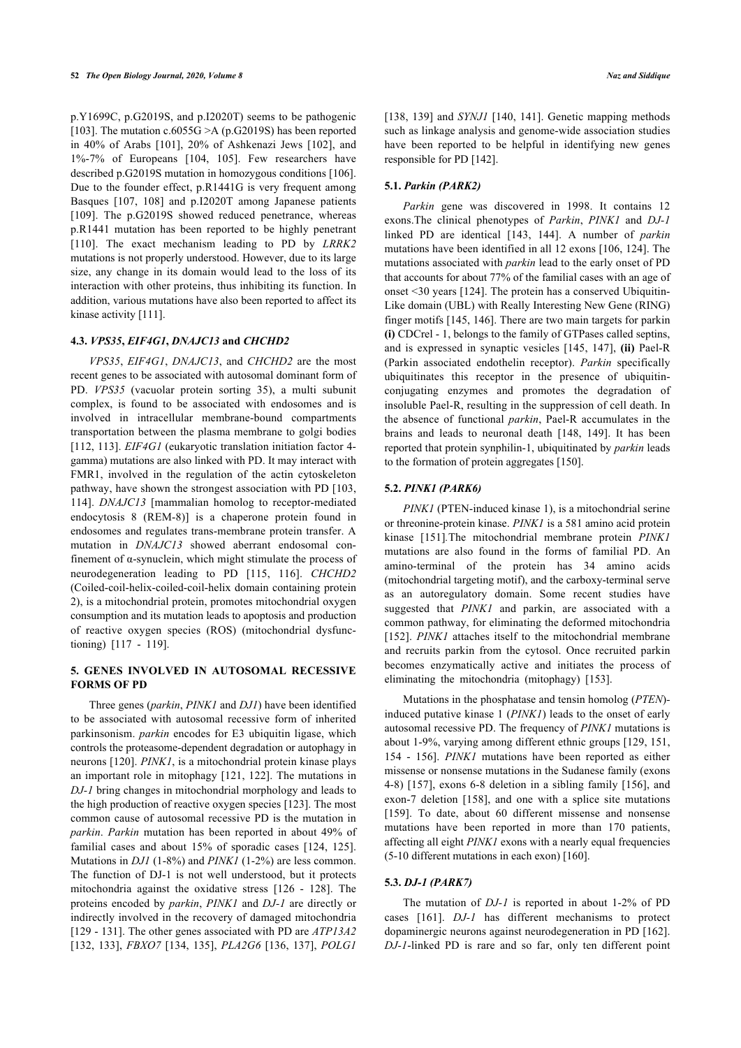p.Y1699C, p.G2019S, and p.I2020T) seems to be pathogenic [[103](#page-13-3)]. The mutation c.6055G  $\geq$ A (p.G2019S) has been reported in 40% of Arabs [\[101\]](#page-13-4), 20% of Ashkenazi Jews [\[102\]](#page-13-2), and 1%-7% of Europeans[[104,](#page-13-5) [105](#page-13-6)]. Few researchers have described p.G2019S mutation in homozygous conditions [[106](#page-13-7)]. Due to the founder effect, p.R1441G is very frequent among Basques[[107](#page-13-8), [108\]](#page-13-9) and p.I2020T among Japanese patients [[109\]](#page-13-10). The p.G2019S showed reduced penetrance, whereas p.R1441 mutation has been reported to be highly penetrant [[110\]](#page-13-11). The exact mechanism leading to PD by *LRRK2* mutations is not properly understood. However, due to its large size, any change in its domain would lead to the loss of its interaction with other proteins, thus inhibiting its function. In addition, various mutations have also been reported to affect its kinase activity [\[111\]](#page-13-12).

#### **4.3.** *VPS35***,** *EIF4G1***,** *DNAJC13* **and** *CHCHD2*

*VPS35*, *EIF4G1*, *DNAJC13*, and *CHCHD2* are the most recent genes to be associated with autosomal dominant form of PD. *VPS35* (vacuolar protein sorting 35), a multi subunit complex, is found to be associated with endosomes and is involved in intracellular membrane-bound compartments transportation between the plasma membrane to golgi bodies [[112](#page-13-13), [113](#page-13-14)]. *EIF4G1* (eukaryotic translation initiation factor 4 gamma) mutations are also linked with PD. It may interact with FMR1, involved in the regulation of the actin cytoskeleton pathway, have shown the strongest association with PD [\[103](#page-13-3), [114](#page-13-15)]. *DNAJC13* [mammalian homolog to receptor-mediated endocytosis 8 (REM-8)] is a chaperone protein found in endosomes and regulates trans-membrane protein transfer. A mutation in *DNAJC13* showed aberrant endosomal confinement of α-synuclein, which might stimulate the process of neurodegeneration leading to PD [\[115,](#page-13-16) [116\]](#page-13-17). *CHCHD2* (Coiled-coil-helix-coiled-coil-helix domain containing protein 2), is a mitochondrial protein, promotes mitochondrial oxygen consumption and its mutation leads to apoptosis and production of reactive oxygen species (ROS) (mitochondrial dysfunctioning) [\[117](#page-13-18) - [119\]](#page-13-19).

### **5. GENES INVOLVED IN AUTOSOMAL RECESSIVE FORMS OF PD**

Three genes (*parkin*, *PINK1* and *DJ1*) have been identified to be associated with autosomal recessive form of inherited parkinsonism. *parkin* encodes for E3 ubiquitin ligase, which controls the proteasome-dependent degradation or autophagy in neurons [\[120](#page-13-20)]. *PINK1*, is a mitochondrial protein kinase plays an important role in mitophagy [[121,](#page-13-21) [122\]](#page-13-5). The mutations in *DJ-1* bring changes in mitochondrial morphology and leads to the high production of reactive oxygen species [\[123\]](#page-13-6). The most common cause of autosomal recessive PD is the mutation in *parkin*. *Parkin* mutation has been reported in about 49% of familial cases and about 15% of sporadic cases [\[124](#page-13-22), [125\]](#page-13-23). Mutations in *DJ1* (1-8%) and *PINK1* (1-2%) are less common. The function of DJ-1 is not well understood, but it protects mitochondria against the oxidative stress[[126](#page-13-24) - [128](#page-13-25)]. The proteins encoded by *parkin*, *PINK1* and *DJ-1* are directly or indirectly involved in the recovery of damaged mitochondria [[129](#page-13-26) - [131](#page-13-27)]. The other genes associated with PD are *ATP13A2* [[132,](#page-13-28) [133\]](#page-13-15), *FBXO7* [[134,](#page-13-29) [135](#page-14-0)], *PLA2G6* [[136,](#page-14-1) [137](#page-14-2)], *POLG1*

[[138,](#page-14-3) [139](#page-14-4)] and *SYNJ1* [[140](#page-14-5), [141\]](#page-14-6). Genetic mapping methods such as linkage analysis and genome-wide association studies have been reported to be helpful in identifying new genes responsible for PD [[142](#page-14-7)].

### **5.1.** *Parkin (PARK2)*

*Parkin* gene was discovered in 1998. It contains 12 exons.The clinical phenotypes of *Parkin*, *PINK1* and *DJ-1* linked PD are identical[[143,](#page-14-8) [144\]](#page-14-9). A number of *parkin* mutations have been identified in all 12 exons [\[106](#page-13-7), [124\]](#page-13-22). The mutations associated with *parkin* lead to the early onset of PD that accounts for about 77% of the familial cases with an age of onset <30 years [[124](#page-13-22)]. The protein has a conserved Ubiquitin-Like domain (UBL) with Really Interesting New Gene (RING) finger motifs [[145,](#page-14-10) [146\]](#page-14-11). There are two main targets for parkin **(i)** CDCrel - 1, belongs to the family of GTPases called septins, and is expressed in synaptic vesicles [\[145](#page-14-10), [147\]](#page-14-12), **(ii)** Pael-R (Parkin associated endothelin receptor). *Parkin* specifically ubiquitinates this receptor in the presence of ubiquitinconjugating enzymes and promotes the degradation of insoluble Pael-R, resulting in the suppression of cell death. In the absence of functional *parkin*, Pael-R accumulates in the brains and leads to neuronal death [\[148](#page-14-13), [149](#page-14-14)]. It has been reported that protein synphilin-1, ubiquitinated by *parkin* leads to the formation of protein aggregates [\[150\]](#page-14-15).

#### **5.2.** *PINK1 (PARK6)*

*PINK1* (PTEN-induced kinase 1), is a mitochondrial serine or threonine-protein kinase. *PINK1* is a 581 amino acid protein kinase [\[151\]](#page-14-16)*.*The mitochondrial membrane protein *PINK1* mutations are also found in the forms of familial PD. An amino-terminal of the protein has 34 amino acids (mitochondrial targeting motif), and the carboxy-terminal serve as an autoregulatory domain. Some recent studies have suggested that *PINK1* and parkin, are associated with a common pathway, for eliminating the deformed mitochondria [[152\]](#page-14-17). *PINK1* attaches itself to the mitochondrial membrane and recruits parkin from the cytosol. Once recruited parkin becomes enzymatically active and initiates the process of eliminating the mitochondria (mitophagy) [\[153\]](#page-14-18).

Mutations in the phosphatase and tensin homolog (*PTEN*) induced putative kinase 1 (*PINK1*) leads to the onset of early autosomal recessive PD. The frequency of *PINK1* mutations is about 1-9%, varying among different ethnic groups [[129,](#page-13-26) [151](#page-14-16), [154](#page-14-19) - [156\]](#page-14-20). *PINK1* mutations have been reported as either missense or nonsense mutations in the Sudanese family (exons 4-8) [[157](#page-14-21)], exons 6-8 deletion in a sibling family [[156\]](#page-14-20), and exon-7 deletion[[158\]](#page-14-22), and one with a splice site mutations [[159\]](#page-14-7). To date, about 60 different missense and nonsense mutations have been reported in more than 170 patients, affecting all eight *PINK1* exons with a nearly equal frequencies (5-10 different mutations in each exon) [\[160\]](#page-14-23).

#### **5.3.** *DJ-1 (PARK7)*

The mutation of *DJ-1* is reported in about 1-2% of PD cases [\[161](#page-14-24)]. *DJ-1* has different mechanisms to protect dopaminergic neurons against neurodegeneration in PD [[162](#page-14-25)]. *DJ-1*-linked PD is rare and so far, only ten different point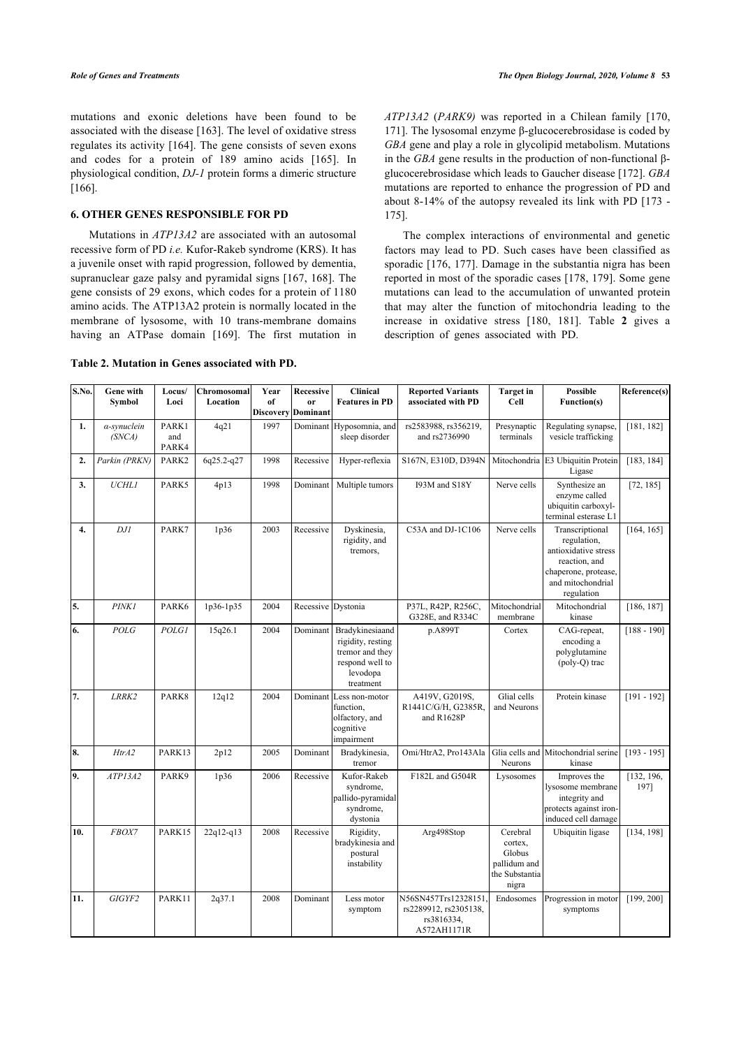mutations and exonic deletions have been found to be associated with the disease [[163\]](#page-14-26). The level of oxidative stress regulates its activity [[164](#page-14-27)]. The gene consists of seven exons and codes for a protein of 189 amino acids [\[165](#page-14-28)]. In physiological condition, *DJ-1* protein forms a dimeric structure [[166](#page-14-13)].

### **6. OTHER GENES RESPONSIBLE FOR PD**

Mutations in *ATP13A2* are associated with an autosomal recessive form of PD *i.e.* Kufor-Rakeb syndrome (KRS). It has a juvenile onset with rapid progression, followed by dementia, supranuclear gaze palsy and pyramidal signs [[167,](#page-14-14) [168\]](#page-14-29). The gene consists of 29 exons, which codes for a protein of 1180 amino acids. The ATP13A2 protein is normally located in the membrane of lysosome, with 10 trans-membrane domains having an ATPase domain[[169\]](#page-14-16). The first mutation in *ATP13A2* (*PARK9)* was reported in a Chilean family[[170](#page-14-30), [171\]](#page-14-31). The lysosomal enzyme β-glucocerebrosidase is coded by *GBA* gene and play a role in glycolipid metabolism. Mutations in the *GBA* gene results in the production of non-functional βglucocerebrosidase which leads to Gaucher disease [[172](#page-15-0)]. *GBA* mutations are reported to enhance the progression of PD and about 8-14% of the autopsy revealed its link with PD [[173](#page-15-1) - [175](#page-15-2)].

The complex interactions of environmental and genetic factors may lead to PD. Such cases have been classified as sporadic [\[176,](#page-15-3) [177\]](#page-15-4). Damage in the substantia nigra has been reported in most of the sporadic cases [[178,](#page-15-5) [179](#page-15-6)]. Some gene mutations can lead to the accumulation of unwanted protein that may alter the function of mitochondria leading to the increase in oxidative stress[[180](#page-15-7), [181](#page-15-8)]. Table**2** gives a description of genes associated with PD.

## <span id="page-6-0"></span>**Table 2. Mutation in Genes associated with PD.**

| S.No. | Gene with<br>Symbol   | Locus/<br>Loci        | Chromosomal<br>Location | Year<br>of | Recessive<br><sub>or</sub><br>Discovery Dominant | <b>Clinical</b><br><b>Features in PD</b>                                                            | <b>Reported Variants</b><br>associated with PD                                         | <b>Target</b> in<br>Cell | <b>Possible</b><br>Function(s)                                                                                                     | Reference(s)       |
|-------|-----------------------|-----------------------|-------------------------|------------|--------------------------------------------------|-----------------------------------------------------------------------------------------------------|----------------------------------------------------------------------------------------|--------------------------|------------------------------------------------------------------------------------------------------------------------------------|--------------------|
| 1.    | a-synuclein<br>(SNCA) | PARK1<br>and<br>PARK4 | 4q21                    | 1997       | Dominant                                         | Hyposomnia, and<br>sleep disorder                                                                   | rs2583988, rs356219,<br>Presynaptic<br>and rs2736990<br>terminals                      |                          | Regulating synapse.<br>vesicle trafficking                                                                                         | [181, 182]         |
| 2.    | Parkin (PRKN)         | PARK2                 | 6q25.2-q27              | 1998       | Recessive                                        | Hyper-reflexia                                                                                      | S167N, E310D, D394N<br>Mitochondria E3 Ubiquitin Protein<br>Ligase                     |                          |                                                                                                                                    | [183, 184]         |
| 3.    | <b>UCHL1</b>          | PARK5                 | 4p13                    | 1998       | Dominant                                         | Multiple tumors                                                                                     | 193M and S18Y<br>Nerve cells                                                           |                          | Synthesize an<br>enzyme called<br>ubiquitin carboxyl-<br>terminal esterase L1                                                      | [72, 185]          |
| 4.    | DJI                   | PARK7                 | 1p36                    | 2003       | Recessive                                        | Dyskinesia,<br>rigidity, and<br>tremors,                                                            | C53A and DJ-1C106<br>Nerve cells                                                       |                          | Transcriptional<br>regulation,<br>antioxidative stress<br>reaction, and<br>chaperone, protease,<br>and mitochondrial<br>regulation | [164, 165]         |
| 5.    | <b>PINK1</b>          | PARK6                 | $1p36-1p35$             | 2004       | Recessive                                        | Dystonia                                                                                            | P37L, R42P, R256C,<br>Mitochondrial<br>G328E, and R334C<br>membrane<br>kinase          |                          | Mitochondrial                                                                                                                      | [186, 187]         |
| 6.    | POLG                  | <b>POLG1</b>          | 15q26.1                 | 2004       | Dominant                                         | Bradykinesiaand<br>rigidity, resting<br>tremor and they<br>respond well to<br>levodopa<br>treatment | p.A899T<br>Cortex                                                                      |                          | CAG-repeat,<br>encoding a<br>polyglutamine<br>(poly-Q) trac                                                                        | $[188 - 190]$      |
| 7.    | LRRK2                 | PARK8                 | 12q12                   | 2004       |                                                  | Dominant Less non-motor<br>function.<br>olfactory, and<br>cognitive<br>impairment                   | A419V, G2019S,<br>Glial cells<br>R1441C/G/H, G2385R,<br>and Neurons<br>and R1628P      |                          | Protein kinase                                                                                                                     | $[191 - 192]$      |
| 8.    | HtrA2                 | PARK13                | 2p12                    | 2005       | Dominant                                         | Bradykinesia,<br>tremor                                                                             | Omi/HtrA2, Pro143Ala<br>Glia cells and<br>Neurons                                      |                          | Mitochondrial serine<br>kinase                                                                                                     | $[193 - 195]$      |
| 9.    | ATPI3A2               | PARK9                 | 1p36                    | 2006       | Recessive                                        | Kufor-Rakeb<br>syndrome,<br>pallido-pyramidal<br>syndrome,<br>dystonia                              | F182L and G504R<br>Lysosomes                                                           |                          | Improves the<br>lysosome membrane<br>integrity and<br>protects against iron-<br>induced cell damage                                | [132, 196,<br>197] |
| 10.   | FBOX7                 | PARK15                | $22q12-q13$             | 2008       | Recessive                                        | Rigidity,<br>bradykinesia and<br>postural<br>instability                                            | Arg498Stop<br>Cerebral<br>cortex,<br>Globus<br>pallidum and<br>the Substantia<br>nigra |                          | Ubiquitin ligase                                                                                                                   | [134, 198]         |
| 11.   | GIGYF2                | PARK11                | 2q37.1                  | 2008       | Dominant                                         | Less motor<br>symptom                                                                               | N56SN457Trs12328151<br>rs2289912, rs2305138,<br>rs3816334,<br>A572AH1171R              | Endosomes                | Progression in motor<br>symptoms                                                                                                   | [199, 200]         |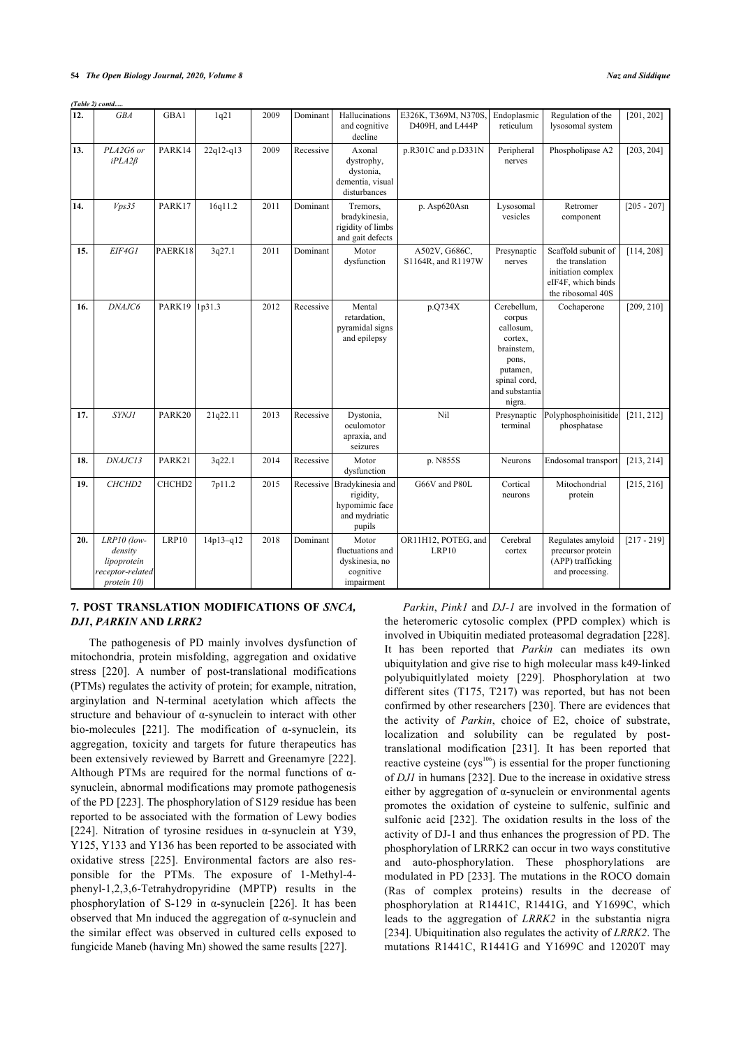|     | (Table 2) contd                                                          |         |             |      |           |                                                                            |                                          |                                                                                                                              |                                                                                                         |               |
|-----|--------------------------------------------------------------------------|---------|-------------|------|-----------|----------------------------------------------------------------------------|------------------------------------------|------------------------------------------------------------------------------------------------------------------------------|---------------------------------------------------------------------------------------------------------|---------------|
| 12. | <b>GBA</b>                                                               | GBA1    | 1q21        | 2009 | Dominant  | Hallucinations<br>and cognitive<br>decline                                 | E326K, T369M, N370S.<br>D409H, and L444P | Endoplasmic<br>reticulum                                                                                                     | Regulation of the<br>lysosomal system                                                                   | [201, 202]    |
| 13. | PLA2G6 or<br>$iPLA2\beta$                                                | PARK14  | $22q12-q13$ | 2009 | Recessive | Axonal<br>dystrophy,<br>dystonia,<br>dementia, visual<br>disturbances      | p.R301C and p.D331N                      | Peripheral<br>nerves                                                                                                         | Phospholipase A2                                                                                        | [203, 204]    |
| 14. | Vps35                                                                    | PARK17  | 16q11.2     | 2011 | Dominant  | Tremors.<br>bradykinesia,<br>rigidity of limbs<br>and gait defects         | p. Asp620Asn                             | Lysosomal<br>vesicles                                                                                                        | Retromer<br>component                                                                                   | $[205 - 207]$ |
| 15. | EIF4G1                                                                   | PAERK18 | 3q27.1      | 2011 | Dominant  | Motor<br>dysfunction                                                       | A502V, G686C,<br>S1164R, and R1197W      | Presynaptic<br>nerves                                                                                                        | Scaffold subunit of<br>the translation<br>initiation complex<br>eIF4F, which binds<br>the ribosomal 40S | [114, 208]    |
| 16. | DNAJC6                                                                   | PARK19  | 1p31.3      | 2012 | Recessive | Mental<br>retardation,<br>pyramidal signs<br>and epilepsy                  | p.Q734X                                  | Cerebellum.<br>corpus<br>callosum,<br>cortex,<br>brainstem,<br>pons,<br>putamen,<br>spinal cord,<br>and substantia<br>nigra. | Cochaperone                                                                                             | [209, 210]    |
| 17. | <b>SYNJ1</b>                                                             | PARK20  | 21q22.11    | 2013 | Recessive | Dystonia,<br>oculomotor<br>apraxia, and<br>seizures                        | Nil                                      | Presynaptic<br>terminal                                                                                                      | Polyphosphoinisitide<br>phosphatase                                                                     | [211, 212]    |
| 18. | DNAJC13                                                                  | PARK21  | 3q22.1      | 2014 | Recessive | Motor<br>dysfunction                                                       | p. N855S                                 | Neurons                                                                                                                      | Endosomal transport                                                                                     | [213, 214]    |
| 19. | CHCHD2                                                                   | CHCHD2  | 7p11.2      | 2015 | Recessive | Bradykinesia and<br>rigidity,<br>hypomimic face<br>and mydriatic<br>pupils | G66V and P80L                            | Cortical<br>neurons                                                                                                          | Mitochondrial<br>protein                                                                                | [215, 216]    |
| 20. | LRP10 (low-<br>density<br>lipoprotein<br>receptor-related<br>protein 10) | LRP10   | $14p13-q12$ | 2018 | Dominant  | Motor<br>fluctuations and<br>dyskinesia, no<br>cognitive<br>impairment     | OR11H12, POTEG, and<br>LRP10             | Cerebral<br>cortex                                                                                                           | Regulates amyloid<br>precursor protein<br>(APP) trafficking<br>and processing.                          | $[217 - 219]$ |

### **7. POST TRANSLATION MODIFICATIONS OF** *SNCA, DJ1***,** *PARKIN* **AND** *LRRK2*

The pathogenesis of PD mainly involves dysfunction of mitochondria, protein misfolding, aggregation and oxidative stress [\[220](#page-16-11)]. A number of post-translational modifications (PTMs) regulates the activity of protein; for example, nitration, arginylation and N-terminal acetylation which affects the structure and behaviour of α-synuclein to interact with other bio-molecules [\[221](#page-16-12)]. The modification of α-synuclein, its aggregation, toxicity and targets for future therapeutics has been extensively reviewed by Barrett and Greenamyre [\[222\]](#page-16-13). Although PTMs are required for the normal functions of  $\alpha$ synuclein, abnormal modifications may promote pathogenesis of the PD [[223](#page-16-14)]. The phosphorylation of S129 residue has been reported to be associated with the formation of Lewy bodies [[224\]](#page-16-15). Nitration of tyrosine residues in  $\alpha$ -synuclein at Y39, Y125, Y133 and Y136 has been reported to be associated with oxidative stress[[225\]](#page-16-16). Environmental factors are also responsible for the PTMs. The exposure of 1-Methyl-4 phenyl-1,2,3,6-Tetrahydropyridine (MPTP) results in the phosphorylation of S-129 in α-synuclein[[226\]](#page-16-17). It has been observed that Mn induced the aggregation of α-synuclein and the similar effect was observed in cultured cells exposed to fungicide Maneb (having Mn) showed the same results [\[227\]](#page-16-18).

*Parkin*, *Pink1* and *DJ-1* are involved in the formation of the heteromeric cytosolic complex (PPD complex) which is involved in Ubiquitin mediated proteasomal degradation [[228](#page-16-19)]. It has been reported that *Parkin* can mediates its own ubiquitylation and give rise to high molecular mass k49-linked polyubiquitlylated moiety[[229](#page-16-20)]. Phosphorylation at two different sites (T175, T217) was reported, but has not been confirmed by other researchers [[230\]](#page-16-21). There are evidences that the activity of *Parkin*, choice of E2, choice of substrate, localization and solubility can be regulated by posttranslational modification[[231\]](#page-16-22). It has been reported that reactive cysteine  $(cys<sup>106</sup>)$  is essential for the proper functioning of *DJ1* in humans [\[232\]](#page-16-23). Due to the increase in oxidative stress either by aggregation of α-synuclein or environmental agents promotes the oxidation of cysteine to sulfenic, sulfinic and sulfonic acid[[232](#page-16-23)]. The oxidation results in the loss of the activity of DJ-1 and thus enhances the progression of PD. The phosphorylation of LRRK2 can occur in two ways constitutive and auto-phosphorylation. These phosphorylations are modulated in PD [[233\]](#page-16-24). The mutations in the ROCO domain (Ras of complex proteins) results in the decrease of phosphorylation at R1441C, R1441G, and Y1699C, which leads to the aggregation of *LRRK2* in the substantia nigra [[234\]](#page-16-8). Ubiquitination also regulates the activity of *LRRK2*. The mutations R1441C, R1441G and Y1699C and 12020T may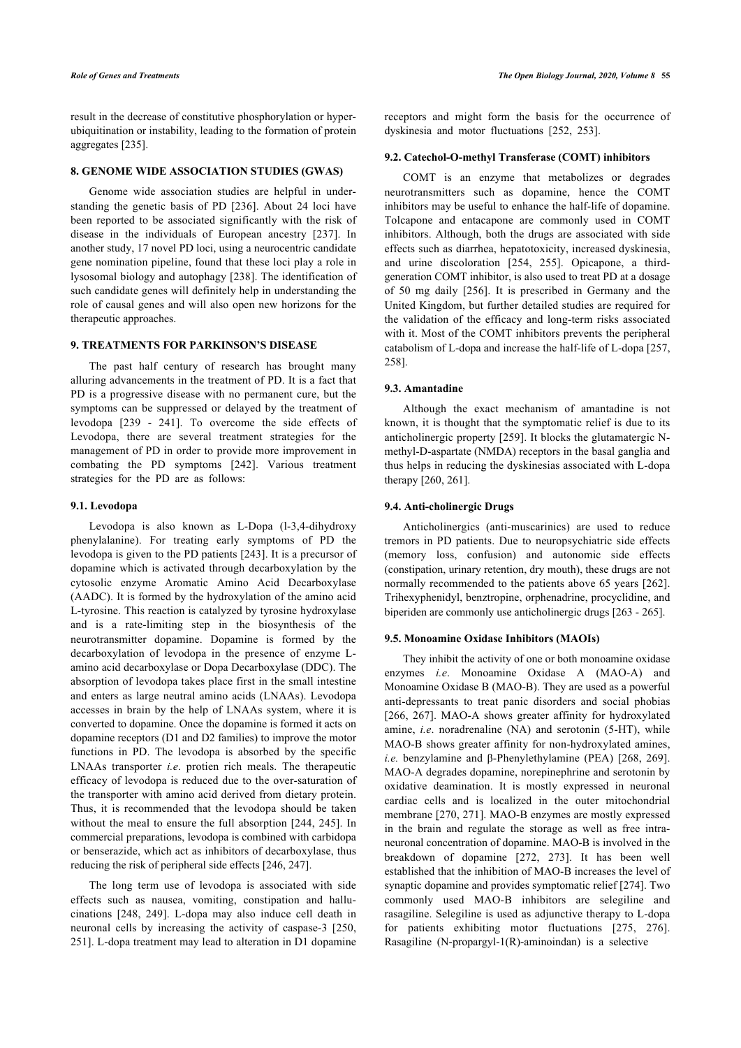result in the decrease of constitutive phosphorylation or hyperubiquitination or instability, leading to the formation of protein aggregates [\[235\]](#page-16-25).

### **8. GENOME WIDE ASSOCIATION STUDIES (GWAS)**

Genome wide association studies are helpful in understanding the genetic basis of PD[[236\]](#page-16-26). About 24 loci have been reported to be associated significantly with the risk of disease in the individuals of European ancestry[[237](#page-16-27)]. In another study, 17 novel PD loci, using a neurocentric candidate gene nomination pipeline, found that these loci play a role in lysosomal biology and autophagy [[238\]](#page-16-28). The identification of such candidate genes will definitely help in understanding the role of causal genes and will also open new horizons for the therapeutic approaches.

#### **9. TREATMENTS FOR PARKINSON'S DISEASE**

The past half century of research has brought many alluring advancements in the treatment of PD. It is a fact that PD is a progressive disease with no permanent cure, but the symptoms can be suppressed or delayed by the treatment of levodopa [\[239](#page-16-11) - [241](#page-16-29)]. To overcome the side effects of Levodopa, there are several treatment strategies for the management of PD in order to provide more improvement in combating the PD symptoms[[242](#page-16-30)]. Various treatment strategies for the PD are as follows:

#### **9.1. Levodopa**

Levodopa is also known as L-Dopa (l-3,4-dihydroxy phenylalanine). For treating early symptoms of PD the levodopa is given to the PD patients [\[243](#page-16-31)]. It is a precursor of dopamine which is activated through decarboxylation by the cytosolic enzyme Aromatic Amino Acid Decarboxylase (AADC). It is formed by the hydroxylation of the amino acid L-tyrosine. This reaction is catalyzed by tyrosine hydroxylase and is a rate-limiting step in the biosynthesis of the neurotransmitter dopamine. Dopamine is formed by the decarboxylation of levodopa in the presence of enzyme Lamino acid decarboxylase or Dopa Decarboxylase (DDC). The absorption of levodopa takes place first in the small intestine and enters as large neutral amino acids (LNAAs). Levodopa accesses in brain by the help of LNAAs system, where it is converted to dopamine. Once the dopamine is formed it acts on dopamine receptors (D1 and D2 families) to improve the motor functions in PD. The levodopa is absorbed by the specific LNAAs transporter *i.e*. protien rich meals. The therapeutic efficacy of levodopa is reduced due to the over-saturation of the transporter with amino acid derived from dietary protein. Thus, it is recommended that the levodopa should be taken without the meal to ensure the full absorption [[244,](#page-16-32) [245](#page-16-33)]. In commercial preparations, levodopa is combined with carbidopa or benserazide, which act as inhibitors of decarboxylase, thus reducing the risk of peripheral side effects [[246](#page-17-0), [247](#page-17-1)].

The long term use of levodopa is associated with side effects such as nausea, vomiting, constipation and hallucinations [\[248,](#page-17-2) [249\]](#page-17-3). L-dopa may also induce cell death in neuronal cells by increasing the activity of caspase-3 [\[250](#page-17-4), [251](#page-17-5)]. L-dopa treatment may lead to alteration in D1 dopamine receptors and might form the basis for the occurrence of dyskinesia and motor fluctuations[[252](#page-17-6), [253](#page-17-7)].

### **9.2. Catechol-O-methyl Transferase (COMT) inhibitors**

COMT is an enzyme that metabolizes or degrades neurotransmitters such as dopamine, hence the COMT inhibitors may be useful to enhance the half-life of dopamine. Tolcapone and entacapone are commonly used in COMT inhibitors. Although, both the drugs are associated with side effects such as diarrhea, hepatotoxicity, increased dyskinesia, and urine discoloration [\[254](#page-17-8), [255\]](#page-17-9). Opicapone, a thirdgeneration COMT inhibitor, is also used to treat PD at a dosage of 50 mg daily [\[256\]](#page-17-10). It is prescribed in Germany and the United Kingdom, but further detailed studies are required for the validation of the efficacy and long-term risks associated with it. Most of the COMT inhibitors prevents the peripheral catabolism of L-dopa and increase the half-life of L-dopa [[257](#page-17-11), [258](#page-17-12)].

#### **9.3. Amantadine**

Although the exact mechanism of amantadine is not known, it is thought that the symptomatic relief is due to its anticholinergic property [\[259](#page-17-13)]. It blocks the glutamatergic Nmethyl-D-aspartate (NMDA) receptors in the basal ganglia and thus helps in reducing the dyskinesias associated with L-dopa therapy [\[260,](#page-17-14) [261\]](#page-17-15).

#### **9.4. Anti-cholinergic Drugs**

Anticholinergics (anti-muscarinics) are used to reduce tremors in PD patients. Due to neuropsychiatric side effects (memory loss, confusion) and autonomic side effects (constipation, urinary retention, dry mouth), these drugs are not normally recommended to the patients above 65 years [\[262](#page-17-16)]. Trihexyphenidyl, benztropine, orphenadrine, procyclidine, and biperiden are commonly use anticholinergic drugs [[263](#page-17-17) - [265](#page-17-18)].

#### **9.5. Monoamine Oxidase Inhibitors (MAOIs)**

They inhibit the activity of one or both monoamine oxidase enzymes *i.e*. Monoamine Oxidase A (MAO-A) and Monoamine Oxidase B (MAO-B). They are used as a powerful anti-depressants to treat panic disorders and social phobias [[266,](#page-17-19) [267\]](#page-17-20). MAO-A shows greater affinity for hydroxylated amine, *i.e*. noradrenaline (NA) and serotonin (5-HT), while MAO-B shows greater affinity for non-hydroxylated amines, *i.e.* benzylamine and β-Phenylethylamine (PEA)[[268](#page-17-21), [269](#page-17-22)]. MAO-A degrades dopamine, norepinephrine and serotonin by oxidative deamination. It is mostly expressed in neuronal cardiac cells and is localized in the outer mitochondrial membrane [\[270,](#page-17-23) [271\]](#page-17-24). MAO-B enzymes are mostly expressed in the brain and regulate the storage as well as free intraneuronal concentration of dopamine. MAO-B is involved in the breakdown of dopamine[[272](#page-17-8), [273](#page-17-25)]. It has been well established that the inhibition of MAO-B increases the level of synaptic dopamine and provides symptomatic relief [[274\]](#page-17-10). Two commonly used MAO-B inhibitors are selegiline and rasagiline. Selegiline is used as adjunctive therapy to L-dopa for patients exhibiting motor fluctuations [\[275](#page-17-26), [276](#page-17-27)]. Rasagiline (N-propargyl-1(R)-aminoindan) is a selective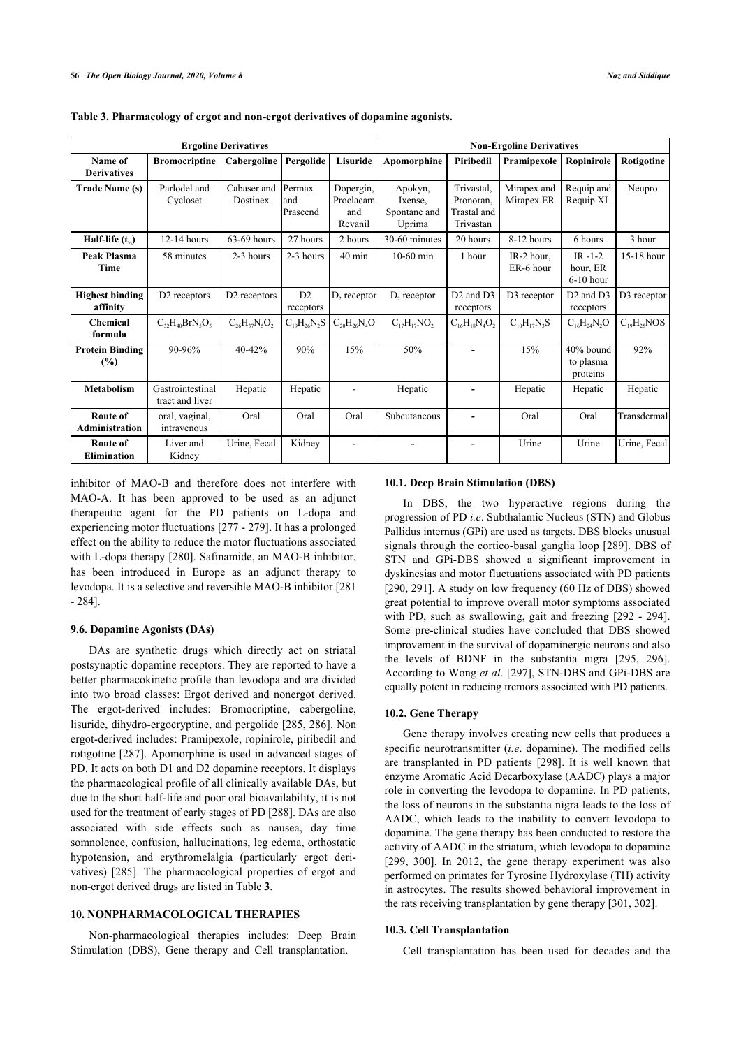| <b>Ergoline Derivatives</b>           |                                     |                          |                            |                                          | <b>Non-Ergoline Derivatives</b>              |                                                     |                           |                                                |                   |
|---------------------------------------|-------------------------------------|--------------------------|----------------------------|------------------------------------------|----------------------------------------------|-----------------------------------------------------|---------------------------|------------------------------------------------|-------------------|
| Name of<br><b>Derivatives</b>         | <b>Bromocriptine</b>                | Cabergoline              | Pergolide                  | Lisuride                                 | Apomorphine                                  | Piribedil                                           | Pramipexole               | Ropinirole                                     | Rotigotine        |
| <b>Trade Name (s)</b>                 | Parlodel and<br>Cycloset            | Cabaser and<br>Dostinex  | Permax<br>land<br>Prascend | Dopergin,<br>Proclacam<br>and<br>Revanil | Apokyn,<br>Ixense,<br>Spontane and<br>Uprima | Trivastal,<br>Pronoran,<br>Trastal and<br>Trivastan | Mirapex and<br>Mirapex ER | Requip and<br>Requip XL                        | Neupro            |
| Half-life $(t_4)$                     | $12-14$ hours                       | 63-69 hours              | 27 hours                   | 2 hours                                  | 30-60 minutes                                | 20 hours                                            | 8-12 hours                | 6 hours                                        | 3 hour            |
| Peak Plasma<br><b>Time</b>            | 58 minutes                          | $2-3$ hours              | 2-3 hours                  | $40 \text{ min}$                         | $10-60$ min                                  | 1 hour                                              | IR-2 hour,<br>ER-6 hour   | $IR - 1 - 2$<br>hour, ER<br>$6-10$ hour        | 15-18 hour        |
| <b>Highest binding</b><br>affinity    | D <sub>2</sub> receptors            | D <sub>2</sub> receptors | D2<br>receptors            | D <sub>2</sub> receptor                  | D <sub>2</sub> receptor                      | D <sub>2</sub> and D <sub>3</sub><br>receptors      | D3 receptor               | D <sub>2</sub> and D <sub>3</sub><br>receptors | D3 receptor       |
| <b>Chemical</b><br>formula            | $C_{32}H_{40}BrN_{5}O_{5}$          | $C_{26}H_{37}N_5O_2$     | $C_{19}H_{26}N_2S$         | $C_{20}H_{26}N_{4}O$                     | $C_{17}H_{17}NO_2$                           | $C_{16}H_{18}N_4O_2$                                | $C_{10}H_{17}N_3S$        | $C_{16}H_{24}N_2O$                             | $C_{19}H_{25}NOS$ |
| <b>Protein Binding</b><br>(%)         | 90-96%                              | 40-42%                   | 90%                        | 15%                                      | 50%                                          |                                                     | 15%                       | 40% bound<br>to plasma<br>proteins             | 92%               |
| <b>Metabolism</b>                     | Gastrointestinal<br>tract and liver | Hepatic                  | Hepatic                    |                                          | Hepatic                                      |                                                     | Hepatic                   | Hepatic                                        | Hepatic           |
| Route of<br><b>Administration</b>     | oral, vaginal,<br>intravenous       | Oral                     | Oral                       | Oral                                     | Subcutaneous                                 |                                                     | Oral                      | Oral                                           | Transdermal       |
| <b>Route of</b><br><b>Elimination</b> | Liver and<br>Kidney                 | Urine, Fecal             | Kidney                     | $\blacksquare$                           | $\overline{\phantom{a}}$                     | $\overline{\phantom{a}}$                            | Urine                     | Urine                                          | Urine, Fecal      |

<span id="page-9-0"></span>**Table 3. Pharmacology of ergot and non-ergot derivatives of dopamine agonists.**

inhibitor of MAO-B and therefore does not interfere with MAO-A. It has been approved to be used as an adjunct therapeutic agent for the PD patients on L-dopa and experiencing motor fluctuations [\[277](#page-17-28) - [279](#page-17-29)]**.** It has a prolonged effect on the ability to reduce the motor fluctuations associated with L-dopa therapy [[280](#page-17-30)]. Safinamide, an MAO-B inhibitor, has been introduced in Europe as an adjunct therapy to levodopa. It is a selective and reversible MAO-B inhibitor [[281](#page-17-31) - [284](#page-18-0)].

### **9.6. Dopamine Agonists (DAs)**

DAs are synthetic drugs which directly act on striatal postsynaptic dopamine receptors. They are reported to have a better pharmacokinetic profile than levodopa and are divided into two broad classes: Ergot derived and nonergot derived. The ergot-derived includes: Bromocriptine, cabergoline, lisuride, dihydro-ergocryptine, and pergolide [[285](#page-18-1), [286](#page-18-2)]. Non ergot-derived includes: Pramipexole, ropinirole, piribedil and rotigotine [[287\]](#page-18-3). Apomorphine is used in advanced stages of PD. It acts on both D1 and D2 dopamine receptors. It displays the pharmacological profile of all clinically available DAs, but due to the short half-life and poor oral bioavailability, it is not used for the treatment of early stages of PD [[288](#page-18-4)]. DAs are also associated with side effects such as nausea, day time somnolence, confusion, hallucinations, leg edema, orthostatic hypotension, and erythromelalgia (particularly ergot derivatives)[[285](#page-18-1)]. The pharmacological properties of ergot and non-ergot derived drugs are listed in Table **[3](#page-9-0)**.

### **10. NONPHARMACOLOGICAL THERAPIES**

Non-pharmacological therapies includes: Deep Brain Stimulation (DBS), Gene therapy and Cell transplantation.

### **10.1. Deep Brain Stimulation (DBS)**

In DBS, the two hyperactive regions during the progression of PD *i.e*. Subthalamic Nucleus (STN) and Globus Pallidus internus (GPi) are used as targets. DBS blocks unusual signals through the cortico-basal ganglia loop [[289\]](#page-18-5). DBS of STN and GPi-DBS showed a significant improvement in dyskinesias and motor fluctuations associated with PD patients [[290,](#page-18-6) [291](#page-18-7)]. A study on low frequency (60 Hz of DBS) showed great potential to improve overall motor symptoms associated with PD, such as swallowing, gait and freezing [[292](#page-18-8) - [294](#page-18-9)]. Some pre-clinical studies have concluded that DBS showed improvement in the survival of dopaminergic neurons and also the levels of BDNF in the substantia nigra[[295](#page-18-10), [296](#page-18-11)]. According to Wong *et al*. [\[297](#page-18-12)], STN-DBS and GPi-DBS are equally potent in reducing tremors associated with PD patients.

#### **10.2. Gene Therapy**

Gene therapy involves creating new cells that produces a specific neurotransmitter (*i.e*. dopamine). The modified cells are transplanted in PD patients[[298](#page-18-1)]. It is well known that enzyme Aromatic Acid Decarboxylase (AADC) plays a major role in converting the levodopa to dopamine. In PD patients, the loss of neurons in the substantia nigra leads to the loss of AADC, which leads to the inability to convert levodopa to dopamine. The gene therapy has been conducted to restore the activity of AADC in the striatum, which levodopa to dopamine [[299,](#page-18-13) [300\]](#page-18-3). In 2012, the gene therapy experiment was also performed on primates for Tyrosine Hydroxylase (TH) activity in astrocytes. The results showed behavioral improvement in the rats receiving transplantation by gene therapy [[301](#page-18-14), [302](#page-18-15)].

#### **10.3. Cell Transplantation**

Cell transplantation has been used for decades and the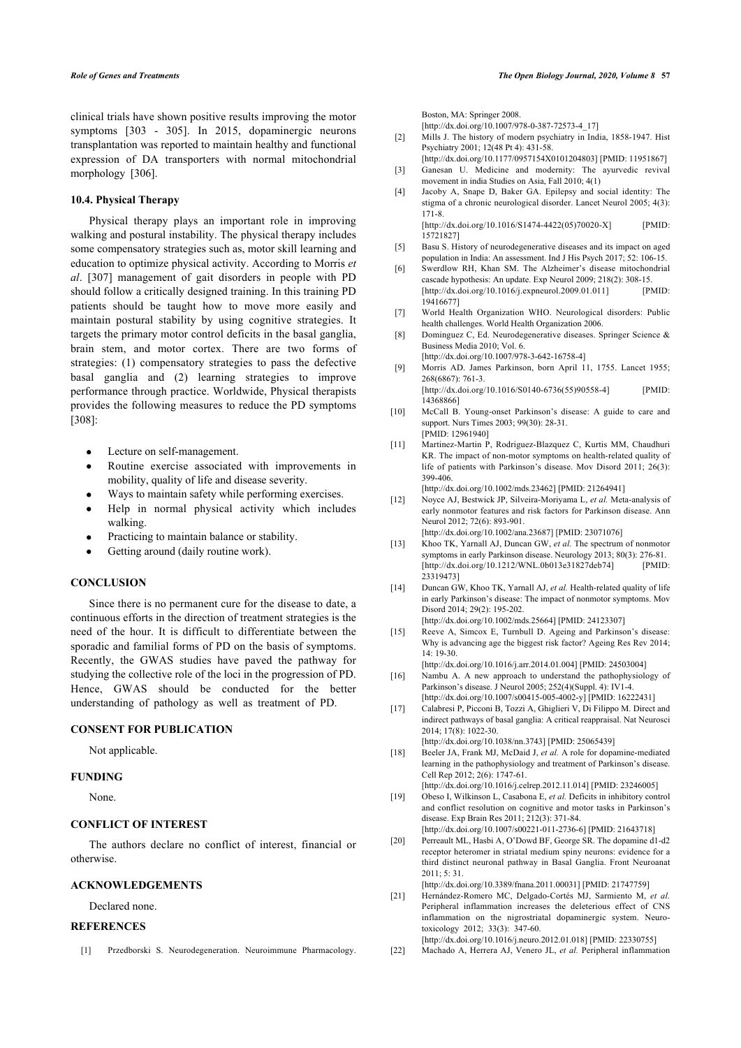<span id="page-10-1"></span>clinical trials have shown positive results improving the motor symptoms[[303](#page-18-16) - [305](#page-18-17)]. In 2015, dopaminergic neurons transplantation was reported to maintain healthy and functional expression of DA transporters with normal mitochondrial morphology[[306](#page-18-18)].

#### **10.4. Physical Therapy**

<span id="page-10-5"></span><span id="page-10-4"></span><span id="page-10-3"></span><span id="page-10-2"></span>Physical therapy plays an important role in improving walking and postural instability. The physical therapy includes some compensatory strategies such as, motor skill learning and education to optimize physical activity. According to Morris *et al*.[[307](#page-18-19)] management of gait disorders in people with PD should follow a critically designed training. In this training PD patients should be taught how to move more easily and maintain postural stability by using cognitive strategies. It targets the primary motor control deficits in the basal ganglia, brain stem, and motor cortex. There are two forms of strategies: (1) compensatory strategies to pass the defective basal ganglia and (2) learning strategies to improve performance through practice. Worldwide, Physical therapists provides the following measures to reduce the PD symptoms [[308](#page-18-20)]:

- <span id="page-10-8"></span><span id="page-10-7"></span><span id="page-10-6"></span>Lecture on self-management.
- Routine exercise associated with improvements in mobility, quality of life and disease severity.
- Ways to maintain safety while performing exercises.
- <span id="page-10-9"></span>Help in normal physical activity which includes walking.
- Practicing to maintain balance or stability.
- Getting around (daily routine work).

#### <span id="page-10-11"></span><span id="page-10-10"></span>**CONCLUSION**

<span id="page-10-12"></span>Since there is no permanent cure for the disease to date, a continuous efforts in the direction of treatment strategies is the need of the hour. It is difficult to differentiate between the sporadic and familial forms of PD on the basis of symptoms. Recently, the GWAS studies have paved the pathway for studying the collective role of the loci in the progression of PD. Hence, GWAS should be conducted for the better understanding of pathology as well as treatment of PD.

### <span id="page-10-15"></span><span id="page-10-14"></span><span id="page-10-13"></span>**CONSENT FOR PUBLICATION**

Not applicable.

#### <span id="page-10-16"></span>**FUNDING**

None.

### **CONFLICT OF INTEREST**

<span id="page-10-17"></span>The authors declare no conflict of interest, financial or otherwise.

### <span id="page-10-18"></span>**ACKNOWLEDGEMENTS**

Declared none.

### <span id="page-10-19"></span><span id="page-10-0"></span>**REFERENCES**

[1] Przedborski S. Neurodegeneration. Neuroimmune Pharmacology.

Boston, MA: Springer 2008.

[15721827\]](http://www.ncbi.nlm.nih.gov/pubmed/15721827)

[\[http://dx.doi.org/10.1007/978-0-387-72573-4\\_17\]](http://dx.doi.org/10.1007/978-0-387-72573-4_17)

- [2] Mills J. The history of modern psychiatry in India, 1858-1947. Hist Psychiatry 2001; 12(48 Pt 4): 431-58.
- [\[http://dx.doi.org/10.1177/0957154X0101204803](http://dx.doi.org/10.1177/0957154X0101204803)] [PMID: [11951867\]](http://www.ncbi.nlm.nih.gov/pubmed/11951867) [3] Ganesan U. Medicine and modernity: The ayurvedic revival movement in india Studies on Asia, Fall 2010; 4(1)
- [4] Jacoby A, Snape D, Baker GA. Epilepsy and social identity: The stigma of a chronic neurological disorder. Lancet Neurol 2005; 4(3): 171-8. [\[http://dx.doi.org/10.1016/S1474-4422\(05\)70020-X](http://dx.doi.org/10.1016/S1474-4422(05)70020-X)] [PMID:
- [5] Basu S. History of neurodegenerative diseases and its impact on aged population in India: An assessment. Ind J His Psych 2017; 52: 106-15.
- [6] Swerdlow RH, Khan SM. The Alzheimer's disease mitochondrial cascade hypothesis: An update. Exp Neurol 2009; 218(2): 308-15. [\[http://dx.doi.org/10.1016/j.expneurol.2009.01.011\]](http://dx.doi.org/10.1016/j.expneurol.2009.01.011) [PMID: [19416677\]](http://www.ncbi.nlm.nih.gov/pubmed/19416677)
- [7] World Health Organization WHO. Neurological disorders: Public health challenges. World Health Organization 2006.
- [8] Dominguez C, Ed. Neurodegenerative diseases. Springer Science & Business Media 2010; Vol. 6.
- [\[http://dx.doi.org/10.1007/978-3-642-16758-4](http://dx.doi.org/10.1007/978-3-642-16758-4)] [9] Morris AD. James Parkinson, born April 11, 1755. Lancet 1955; 268(6867): 761-3.

[\[http://dx.doi.org/10.1016/S0140-6736\(55\)90558-4](http://dx.doi.org/10.1016/S0140-6736(55)90558-4)] [PMID: [14368866\]](http://www.ncbi.nlm.nih.gov/pubmed/14368866)

- [10] McCall B. Young-onset Parkinson's disease: A guide to care and support. Nurs Times 2003; 99(30): 28-31. [PMID: [12961940\]](http://www.ncbi.nlm.nih.gov/pubmed/12961940)
- [11] Martinez-Martin P, Rodriguez-Blazquez C, Kurtis MM, Chaudhuri KR. The impact of non-motor symptoms on health-related quality of life of patients with Parkinson's disease. Mov Disord 2011; 26(3): 399-406.

[\[http://dx.doi.org/10.1002/mds.23462](http://dx.doi.org/10.1002/mds.23462)] [PMID: [21264941\]](http://www.ncbi.nlm.nih.gov/pubmed/21264941)

[12] Noyce AJ, Bestwick JP, Silveira-Moriyama L, *et al.* Meta-analysis of early nonmotor features and risk factors for Parkinson disease. Ann Neurol 2012; 72(6): 893-901.

[\[http://dx.doi.org/10.1002/ana.23687](http://dx.doi.org/10.1002/ana.23687)] [PMID: [23071076](http://www.ncbi.nlm.nih.gov/pubmed/23071076)]

- [13] Khoo TK, Yarnall AJ, Duncan GW, *et al.* The spectrum of nonmotor symptoms in early Parkinson disease. Neurology 2013; 80(3): 276-81.<br>
Ihttp://dx.doi.org/10.1212/WNL.0b013e31827deb741 [PMID:  $[http://dx.doi.org/10.1212/WNL.0b013e31827deb74]$  $[http://dx.doi.org/10.1212/WNL.0b013e31827deb74]$ 233194731
- [14] Duncan GW, Khoo TK, Yarnall AJ, *et al.* Health-related quality of life in early Parkinson's disease: The impact of nonmotor symptoms. Mov Disord 2014; 29(2): 195-202.
- [\[http://dx.doi.org/10.1002/mds.25664](http://dx.doi.org/10.1002/mds.25664)] [PMID: [24123307\]](http://www.ncbi.nlm.nih.gov/pubmed/24123307) [15] Reeve A, Simcox E, Turnbull D. Ageing and Parkinson's disease:
- Why is advancing age the biggest risk factor? Ageing Res Rev 2014;  $14 \cdot 19 - 30$ [\[http://dx.doi.org/10.1016/j.arr.2014.01.004\]](http://dx.doi.org/10.1016/j.arr.2014.01.004) [PMID: [24503004](http://www.ncbi.nlm.nih.gov/pubmed/24503004)]

- [16] Nambu A. A new approach to understand the pathophysiology of Parkinson's disease. J Neurol 2005; 252(4)(Suppl. 4): IV1-4. [\[http://dx.doi.org/10.1007/s00415-005-4002-y\]](http://dx.doi.org/10.1007/s00415-005-4002-y) [PMID: [16222431](http://www.ncbi.nlm.nih.gov/pubmed/16222431)]
- [17] Calabresi P, Picconi B, Tozzi A, Ghiglieri V, Di Filippo M. Direct and indirect pathways of basal ganglia: A critical reappraisal. Nat Neurosci 2014; 17(8): 1022-30.

[\[http://dx.doi.org/10.1038/nn.3743](http://dx.doi.org/10.1038/nn.3743)] [PMID: [25065439\]](http://www.ncbi.nlm.nih.gov/pubmed/25065439)

- [18] Beeler JA, Frank MJ, McDaid J, *et al.* A role for dopamine-mediated learning in the pathophysiology and treatment of Parkinson's disease. Cell Rep 2012; 2(6): 1747-61.
- [\[http://dx.doi.org/10.1016/j.celrep.2012.11.014](http://dx.doi.org/10.1016/j.celrep.2012.11.014)] [PMID: [23246005\]](http://www.ncbi.nlm.nih.gov/pubmed/23246005) [19] Obeso I, Wilkinson L, Casabona E, *et al.* Deficits in inhibitory control and conflict resolution on cognitive and motor tasks in Parkinson's disease. Exp Brain Res 2011; 212(3): 371-84. [\[http://dx.doi.org/10.1007/s00221-011-2736-6\]](http://dx.doi.org/10.1007/s00221-011-2736-6) [PMID: [21643718](http://www.ncbi.nlm.nih.gov/pubmed/21643718)]
- [20] Perreault ML, Hasbi A, O'Dowd BF, George SR. The dopamine d1-d2 receptor heteromer in striatal medium spiny neurons: evidence for a third distinct neuronal pathway in Basal Ganglia. Front Neuroanat  $2011: 5: 31$

[\[http://dx.doi.org/10.3389/fnana.2011.00031](http://dx.doi.org/10.3389/fnana.2011.00031)] [PMID: [21747759\]](http://www.ncbi.nlm.nih.gov/pubmed/21747759)

- [21] Hernández-Romero MC, Delgado-Cortés MJ, Sarmiento M, *et al.* Peripheral inflammation increases the deleterious effect of CNS inflammation on the nigrostriatal dopaminergic system. Neurotoxicology 2012; 33(3): 347-60.
- [\[http://dx.doi.org/10.1016/j.neuro.2012.01.018\]](http://dx.doi.org/10.1016/j.neuro.2012.01.018) [PMID: [22330755](http://www.ncbi.nlm.nih.gov/pubmed/22330755)] [22] Machado A, Herrera AJ, Venero JL, *et al.* Peripheral inflammation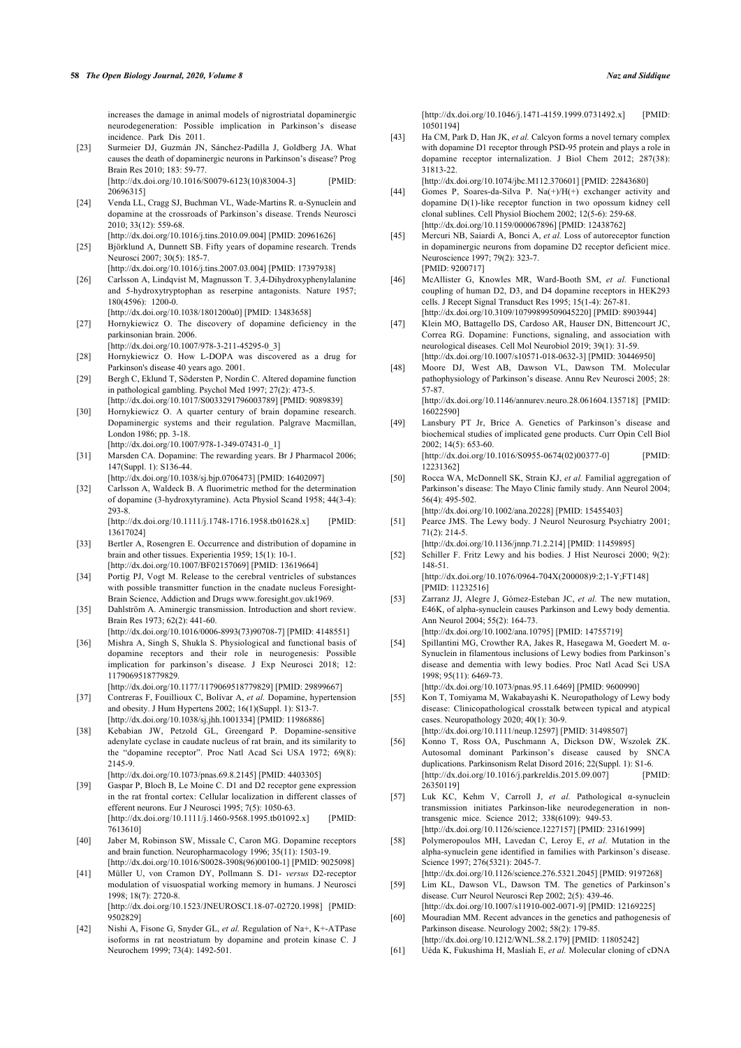increases the damage in animal models of nigrostriatal dopaminergic neurodegeneration: Possible implication in Parkinson's disease incidence. Park Dis 2011.

- <span id="page-11-19"></span><span id="page-11-0"></span>[23] Surmeier DJ, Guzmán JN, Sánchez-Padilla J, Goldberg JA. What causes the death of dopaminergic neurons in Parkinson's disease? Prog Brain Res 2010; 183: 59-77. [\[http://dx.doi.org/10.1016/S0079-6123\(10\)83004-3](http://dx.doi.org/10.1016/S0079-6123(10)83004-3)] [PMID: [20696315\]](http://www.ncbi.nlm.nih.gov/pubmed/20696315)
- <span id="page-11-20"></span><span id="page-11-1"></span>[24] Venda LL, Cragg SJ, Buchman VL, Wade-Martins R. α-Synuclein and dopamine at the crossroads of Parkinson's disease. Trends Neurosci 2010; 33(12): 559-68.
- <span id="page-11-21"></span><span id="page-11-2"></span>[\[http://dx.doi.org/10.1016/j.tins.2010.09.004\]](http://dx.doi.org/10.1016/j.tins.2010.09.004) [PMID: [20961626](http://www.ncbi.nlm.nih.gov/pubmed/20961626)] [25] Björklund A, Dunnett SB. Fifty years of dopamine research. Trends Neurosci 2007; 30(5): 185-7.
- <span id="page-11-3"></span>[\[http://dx.doi.org/10.1016/j.tins.2007.03.004\]](http://dx.doi.org/10.1016/j.tins.2007.03.004) [PMID: [17397938](http://www.ncbi.nlm.nih.gov/pubmed/17397938)] [26] Carlsson A, Lindqvist M, Magnusson T. 3,4-Dihydroxyphenylalanine and 5-hydroxytryptophan as reserpine antagonists. Nature 1957; 180(4596): 1200-0.
- <span id="page-11-4"></span>[\[http://dx.doi.org/10.1038/1801200a0](http://dx.doi.org/10.1038/1801200a0)] [PMID: [13483658\]](http://www.ncbi.nlm.nih.gov/pubmed/13483658) [27] Hornykiewicz O. The discovery of dopamine deficiency in the parkinsonian brain. 2006.
- <span id="page-11-5"></span>[\[http://dx.doi.org/10.1007/978-3-211-45295-0\\_3\]](http://dx.doi.org/10.1007/978-3-211-45295-0_3) [28] Hornykiewicz O. How L-DOPA was discovered as a drug for
- <span id="page-11-22"></span><span id="page-11-6"></span>Parkinson's disease 40 years ago. 2001. [29] Bergh C, Eklund T, Södersten P, Nordin C. Altered dopamine function in pathological gambling. Psychol Med 1997; 27(2): 473-5.
- <span id="page-11-23"></span><span id="page-11-7"></span>[\[http://dx.doi.org/10.1017/S0033291796003789](http://dx.doi.org/10.1017/S0033291796003789)] [PMID: [9089839](http://www.ncbi.nlm.nih.gov/pubmed/9089839)] [30] Hornykiewicz O. A quarter century of brain dopamine research. Dopaminergic systems and their regulation. Palgrave Macmillan, London 1986; pp. 3-18.
- <span id="page-11-8"></span>[\[http://dx.doi.org/10.1007/978-1-349-07431-0\\_1\]](http://dx.doi.org/10.1007/978-1-349-07431-0_1) [31] Marsden CA. Dopamine: The rewarding years. Br J Pharmacol 2006;
- 147(Suppl. 1): S136-44. [\[http://dx.doi.org/10.1038/sj.bjp.0706473\]](http://dx.doi.org/10.1038/sj.bjp.0706473) [PMID: [16402097](http://www.ncbi.nlm.nih.gov/pubmed/16402097)]
- <span id="page-11-24"></span>[32] Carlsson A, Waldeck B. A fluorimetric method for the determination of dopamine (3-hydroxytyramine). Acta Physiol Scand 1958; 44(3-4): 293-8.

[\[http://dx.doi.org/10.1111/j.1748-1716.1958.tb01628.x](http://dx.doi.org/10.1111/j.1748-1716.1958.tb01628.x)] [PMID: [13617024\]](http://www.ncbi.nlm.nih.gov/pubmed/13617024)

- <span id="page-11-25"></span><span id="page-11-9"></span>[33] Bertler A, Rosengren E. Occurrence and distribution of dopamine in brain and other tissues. Experientia 1959; 15(1): 10-1. [\[http://dx.doi.org/10.1007/BF02157069\]](http://dx.doi.org/10.1007/BF02157069) [PMID: [13619664](http://www.ncbi.nlm.nih.gov/pubmed/13619664)]
- <span id="page-11-10"></span>[34] Portig PJ, Vogt M. Release to the cerebral ventricles of substances with possible transmitter function in the cnadate nucleus Foresight-Brain Science, Addiction and Drugs [www.foresight.gov.uk1](http://www.foresight.gov.uk)969.
- <span id="page-11-26"></span><span id="page-11-11"></span>[35] Dahlström A. Aminergic transmission. Introduction and short review. Brain Res 1973; 62(2): 441-60.
- <span id="page-11-12"></span>[\[http://dx.doi.org/10.1016/0006-8993\(73\)90708-7](http://dx.doi.org/10.1016/0006-8993(73)90708-7)] [PMID: [4148551\]](http://www.ncbi.nlm.nih.gov/pubmed/4148551) [36] Mishra A, Singh S, Shukla S. Physiological and functional basis of dopamine receptors and their role in neurogenesis: Possible implication for parkinson's disease. J Exp Neurosci 2018; 12:
- 1179069518779829. [\[http://dx.doi.org/10.1177/1179069518779829](http://dx.doi.org/10.1177/1179069518779829)] [PMID: [29899667\]](http://www.ncbi.nlm.nih.gov/pubmed/29899667)
- <span id="page-11-13"></span>[37] Contreras F, Fouillioux C, Bolívar A, *et al.* Dopamine, hypertension and obesity. J Hum Hypertens 2002; 16(1)(Suppl. 1): S13-7. [\[http://dx.doi.org/10.1038/sj.jhh.1001334\]](http://dx.doi.org/10.1038/sj.jhh.1001334) [PMID: [11986886](http://www.ncbi.nlm.nih.gov/pubmed/11986886)]
- <span id="page-11-27"></span><span id="page-11-14"></span>[38] Kebabian JW, Petzold GL, Greengard P. Dopamine-sensitive adenylate cyclase in caudate nucleus of rat brain, and its similarity to the "dopamine receptor". Proc Natl Acad Sci USA 1972; 69(8): 2145-9.
	- [\[http://dx.doi.org/10.1073/pnas.69.8.2145\]](http://dx.doi.org/10.1073/pnas.69.8.2145) [PMID: [4403305\]](http://www.ncbi.nlm.nih.gov/pubmed/4403305)
- <span id="page-11-28"></span><span id="page-11-15"></span>[39] Gaspar P, Bloch B, Le Moine C. D1 and D2 receptor gene expression in the rat frontal cortex: Cellular localization in different classes of efferent neurons. Eur J Neurosci 1995; 7(5): 1050-63. [\[http://dx.doi.org/10.1111/j.1460-9568.1995.tb01092.x](http://dx.doi.org/10.1111/j.1460-9568.1995.tb01092.x)] [PMID: [7613610](http://www.ncbi.nlm.nih.gov/pubmed/7613610)]
- <span id="page-11-16"></span>[40] Jaber M, Robinson SW, Missale C, Caron MG. Dopamine receptors and brain function. Neuropharmacology 1996; 35(11): 1503-19. [\[http://dx.doi.org/10.1016/S0028-3908\(96\)00100-1](http://dx.doi.org/10.1016/S0028-3908(96)00100-1)] [PMID: [9025098](http://www.ncbi.nlm.nih.gov/pubmed/9025098)]
- <span id="page-11-17"></span>[41] Müller U, von Cramon DY, Pollmann S. D1- *versus* D2-receptor modulation of visuospatial working memory in humans. J Neurosci 1998; 18(7): 2720-8.

[\[http://dx.doi.org/10.1523/JNEUROSCI.18-07-02720.1998\]](http://dx.doi.org/10.1523/JNEUROSCI.18-07-02720.1998) [PMID: [9502829](http://www.ncbi.nlm.nih.gov/pubmed/9502829)]

<span id="page-11-29"></span><span id="page-11-18"></span>[42] Nishi A, Fisone G, Snyder GL, *et al.* Regulation of Na+, K+-ATPase isoforms in rat neostriatum by dopamine and protein kinase C. J Neurochem 1999; 73(4): 1492-501.

[\[http://dx.doi.org/10.1046/j.1471-4159.1999.0731492.x](http://dx.doi.org/10.1046/j.1471-4159.1999.0731492.x)] [PMID: [10501194\]](http://www.ncbi.nlm.nih.gov/pubmed/10501194)

[43] Ha CM, Park D, Han JK, *et al.* Calcyon forms a novel ternary complex with dopamine D1 receptor through PSD-95 protein and plays a role in dopamine receptor internalization. J Biol Chem 2012; 287(38): 31813-22.

[\[http://dx.doi.org/10.1074/jbc.M112.370601](http://dx.doi.org/10.1074/jbc.M112.370601)] [PMID: [22843680\]](http://www.ncbi.nlm.nih.gov/pubmed/22843680)

- [44] Gomes P, Soares-da-Silva P. Na(+)/H(+) exchanger activity and dopamine D(1)-like receptor function in two opossum kidney cell clonal sublines. Cell Physiol Biochem 2002; 12(5-6): 259-68. [\[http://dx.doi.org/10.1159/000067896\]](http://dx.doi.org/10.1159/000067896) [PMID: [12438762\]](http://www.ncbi.nlm.nih.gov/pubmed/12438762)
- [45] Mercuri NB, Saiardi A, Bonci A, *et al.* Loss of autoreceptor function in dopaminergic neurons from dopamine D2 receptor deficient mice. Neuroscience 1997; 79(2): 323-7. [PMID: [9200717](http://www.ncbi.nlm.nih.gov/pubmed/9200717)]
- [46] McAllister G, Knowles MR, Ward-Booth SM, *et al.* Functional coupling of human D2, D3, and D4 dopamine receptors in HEK293 cells. J Recept Signal Transduct Res 1995; 15(1-4): 267-81. [\[http://dx.doi.org/10.3109/10799899509045220\]](http://dx.doi.org/10.3109/10799899509045220) [PMID: [8903944](http://www.ncbi.nlm.nih.gov/pubmed/8903944)]
- [47] Klein MO, Battagello DS, Cardoso AR, Hauser DN, Bittencourt JC, Correa RG. Dopamine: Functions, signaling, and association with neurological diseases. Cell Mol Neurobiol 2019; 39(1): 31-59. [\[http://dx.doi.org/10.1007/s10571-018-0632-3\]](http://dx.doi.org/10.1007/s10571-018-0632-3) [PMID: [30446950](http://www.ncbi.nlm.nih.gov/pubmed/30446950)]
- [48] Moore DJ, West AB, Dawson VL, Dawson TM. Molecular pathophysiology of Parkinson's disease. Annu Rev Neurosci 2005; 28: 57-87. [\[http://dx.doi.org/10.1146/annurev.neuro.28.061604.135718\]](http://dx.doi.org/10.1146/annurev.neuro.28.061604.135718) [PMID: [16022590\]](http://www.ncbi.nlm.nih.gov/pubmed/16022590)
- [49] Lansbury PT Jr, Brice A. Genetics of Parkinson's disease and biochemical studies of implicated gene products. Curr Opin Cell Biol 2002; 14(5): 653-60. [\[http://dx.doi.org/10.1016/S0955-0674\(02\)00377-0](http://dx.doi.org/10.1016/S0955-0674(02)00377-0)] [PMID:
	- [12231362\]](http://www.ncbi.nlm.nih.gov/pubmed/12231362)
- [50] Rocca WA, McDonnell SK, Strain KJ, et al. Familial aggregation of Parkinson's disease: The Mayo Clinic family study. Ann Neurol 2004; 56(4): 495-502. [\[http://dx.doi.org/10.1002/ana.20228](http://dx.doi.org/10.1002/ana.20228)] [PMID: [15455403](http://www.ncbi.nlm.nih.gov/pubmed/15455403)]

[51] Pearce JMS. The Lewy body. J Neurol Neurosurg Psychiatry 2001;

- $71(2) \cdot 214-5$ [\[http://dx.doi.org/10.1136/jnnp.71.2.214](http://dx.doi.org/10.1136/jnnp.71.2.214)] [PMID: [11459895\]](http://www.ncbi.nlm.nih.gov/pubmed/11459895)
- [52] Schiller F. Fritz Lewy and his bodies. J Hist Neurosci 2000; 9(2): 148-51.

[\[http://dx.doi.org/10.1076/0964-704X\(200008\)9:2;1-Y;FT148](http://dx.doi.org/10.1076/0964-704X(200008)9:2;1-Y;FT148)] [PMID: [11232516\]](http://www.ncbi.nlm.nih.gov/pubmed/11232516)

[53] Zarranz JJ, Alegre J, Gómez-Esteban JC, *et al.* The new mutation, E46K, of alpha-synuclein causes Parkinson and Lewy body dementia. Ann Neurol 2004; 55(2): 164-73.

[\[http://dx.doi.org/10.1002/ana.10795](http://dx.doi.org/10.1002/ana.10795)] [PMID: [14755719](http://www.ncbi.nlm.nih.gov/pubmed/14755719)]

[54] Spillantini MG, Crowther RA, Jakes R, Hasegawa M, Goedert M. α-Synuclein in filamentous inclusions of Lewy bodies from Parkinson's disease and dementia with lewy bodies. Proc Natl Acad Sci USA 1998; 95(11): 6469-73.

[\[http://dx.doi.org/10.1073/pnas.95.11.6469\]](http://dx.doi.org/10.1073/pnas.95.11.6469) [PMID: [9600990\]](http://www.ncbi.nlm.nih.gov/pubmed/9600990)

- [55] Kon T, Tomiyama M, Wakabayashi K. Neuropathology of Lewy body disease: Clinicopathological crosstalk between typical and atypical cases. Neuropathology 2020; 40(1): 30-9. [\[http://dx.doi.org/10.1111/neup.12597](http://dx.doi.org/10.1111/neup.12597)] [PMID: [31498507\]](http://www.ncbi.nlm.nih.gov/pubmed/31498507)
- [56] Konno T, Ross OA, Puschmann A, Dickson DW, Wszolek ZK. Autosomal dominant Parkinson's disease caused by SNCA duplications. Parkinsonism Relat Disord 2016; 22(Suppl. 1): S1-6.<br>
Ihttp://dx.doi.org/10.1016/i.parkreldis.2015.09.0071 [PMID:  $[http://dx.doi.org/10.1016/j.parkxeldis.2015.09.007]$ [26350119\]](http://www.ncbi.nlm.nih.gov/pubmed/26350119)
- [57] Luk KC, Kehm V, Carroll J, *et al.* Pathological α-synuclein transmission initiates Parkinson-like neurodegeneration in nontransgenic mice. Science 2012; 338(6109): 949-53. [\[http://dx.doi.org/10.1126/science.1227157](http://dx.doi.org/10.1126/science.1227157)] [PMID: [23161999\]](http://www.ncbi.nlm.nih.gov/pubmed/23161999)
- [58] Polymeropoulos MH, Lavedan C, Leroy E, *et al.* Mutation in the alpha-synuclein gene identified in families with Parkinson's disease. Science 1997; 276(5321): 2045-7.
- [\[http://dx.doi.org/10.1126/science.276.5321.2045\]](http://dx.doi.org/10.1126/science.276.5321.2045) [PMID: [9197268\]](http://www.ncbi.nlm.nih.gov/pubmed/9197268) [59] Lim KL, Dawson VL, Dawson TM. The genetics of Parkinson's disease. Curr Neurol Neurosci Rep 2002; 2(5): 439-46.
- [\[http://dx.doi.org/10.1007/s11910-002-0071-9\]](http://dx.doi.org/10.1007/s11910-002-0071-9) [PMID: [12169225](http://www.ncbi.nlm.nih.gov/pubmed/12169225)] [60] Mouradian MM. Recent advances in the genetics and pathogenesis of Parkinson disease. Neurology 2002; 58(2): 179-85.
- [\[http://dx.doi.org/10.1212/WNL.58.2.179\]](http://dx.doi.org/10.1212/WNL.58.2.179) [PMID: [11805242](http://www.ncbi.nlm.nih.gov/pubmed/11805242)]
- [61] Uéda K, Fukushima H, Masliah E, *et al.* Molecular cloning of cDNA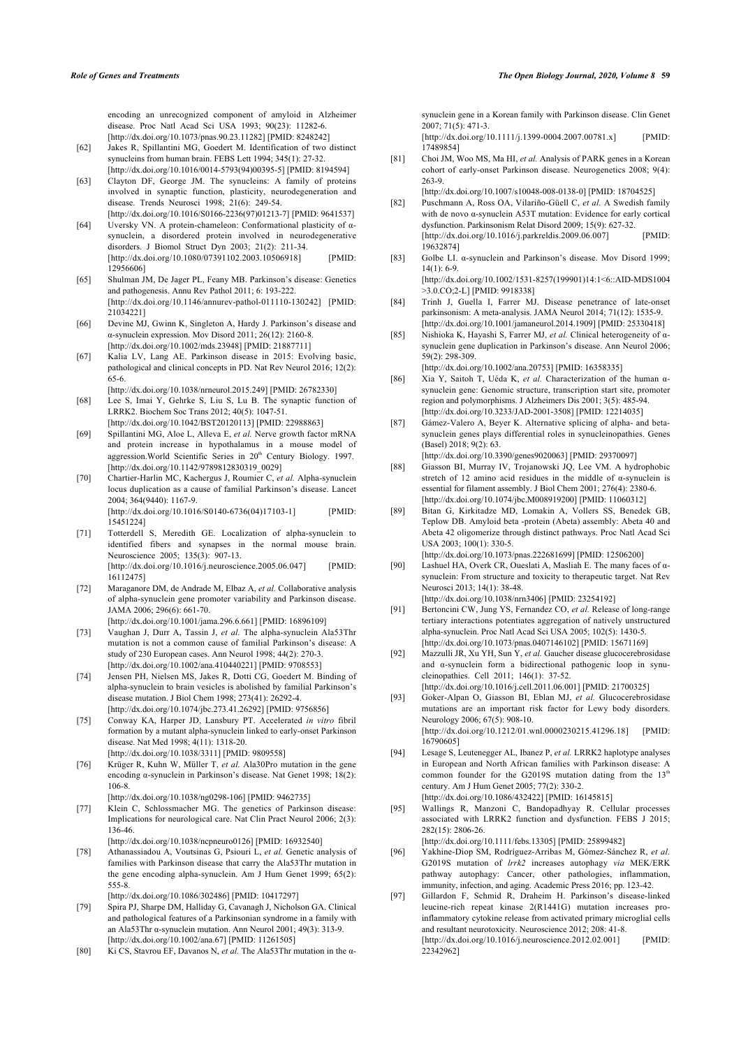encoding an unrecognized component of amyloid in Alzheimer disease. Proc Natl Acad Sci USA 1993; 90(23): 11282-6. [\[http://dx.doi.org/10.1073/pnas.90.23.11282\]](http://dx.doi.org/10.1073/pnas.90.23.11282) [PMID: [8248242\]](http://www.ncbi.nlm.nih.gov/pubmed/8248242)

- <span id="page-12-0"></span>[62] Jakes R, Spillantini MG, Goedert M. Identification of two distinct synucleins from human brain. FEBS Lett 1994; 345(1): 27-32. [\[http://dx.doi.org/10.1016/0014-5793\(94\)00395-5](http://dx.doi.org/10.1016/0014-5793(94)00395-5)] [PMID: [8194594\]](http://www.ncbi.nlm.nih.gov/pubmed/8194594)
- <span id="page-12-1"></span>[63] Clayton DF, George JM. The synucleins: A family of proteins involved in synaptic function, plasticity, neurodegeneration and disease. Trends Neurosci 1998; 21(6): 249-54. [\[http://dx.doi.org/10.1016/S0166-2236\(97\)01213-7](http://dx.doi.org/10.1016/S0166-2236(97)01213-7)] [PMID: [9641537](http://www.ncbi.nlm.nih.gov/pubmed/9641537)]
- <span id="page-12-16"></span><span id="page-12-2"></span>[64] Uversky VN. A protein-chameleon: Conformational plasticity of αsynuclein, a disordered protein involved in neurodegenerative disorders. J Biomol Struct Dyn 2003; 21(2): 211-34. [\[http://dx.doi.org/10.1080/07391102.2003.10506918\]](http://dx.doi.org/10.1080/07391102.2003.10506918) [PMID: [12956606\]](http://www.ncbi.nlm.nih.gov/pubmed/12956606)
- <span id="page-12-18"></span><span id="page-12-17"></span>[65] Shulman JM, De Jager PL, Feany MB. Parkinson's disease: Genetics and pathogenesis. Annu Rev Pathol 2011; 6: 193-222. [\[http://dx.doi.org/10.1146/annurev-pathol-011110-130242\]](http://dx.doi.org/10.1146/annurev-pathol-011110-130242) [PMID: [21034221\]](http://www.ncbi.nlm.nih.gov/pubmed/21034221)
- <span id="page-12-19"></span><span id="page-12-3"></span>[66] Devine MJ, Gwinn K, Singleton A, Hardy J. Parkinson's disease and α-synuclein expression. Mov Disord 2011; 26(12): 2160-8. [\[http://dx.doi.org/10.1002/mds.23948](http://dx.doi.org/10.1002/mds.23948)] [PMID: [21887711\]](http://www.ncbi.nlm.nih.gov/pubmed/21887711)
- <span id="page-12-4"></span>[67] Kalia LV, Lang AE. Parkinson disease in 2015: Evolving basic, pathological and clinical concepts in PD. Nat Rev Neurol 2016; 12(2): 65-6.
- <span id="page-12-20"></span><span id="page-12-5"></span>[\[http://dx.doi.org/10.1038/nrneurol.2015.249\]](http://dx.doi.org/10.1038/nrneurol.2015.249) [PMID: [26782330](http://www.ncbi.nlm.nih.gov/pubmed/26782330)] [68] Lee S, Imai Y, Gehrke S, Liu S, Lu B. The synaptic function of LRRK2. Biochem Soc Trans 2012; 40(5): 1047-51.
- <span id="page-12-21"></span><span id="page-12-6"></span>[\[http://dx.doi.org/10.1042/BST20120113](http://dx.doi.org/10.1042/BST20120113)] [PMID: [22988863\]](http://www.ncbi.nlm.nih.gov/pubmed/22988863) [69] Spillantini MG, Aloe L, Alleva E, *et al.* Nerve growth factor mRNA and protein increase in hypothalamus in a mouse model of
- aggression.World Scientific Series in 20<sup>th</sup> Century Biology. 1997. [\[http://dx.doi.org/10.1142/9789812830319\\_0029](http://dx.doi.org/10.1142/9789812830319_0029)]
- <span id="page-12-22"></span><span id="page-12-7"></span>[70] Chartier-Harlin MC, Kachergus J, Roumier C, *et al.* Alpha-synuclein locus duplication as a cause of familial Parkinson's disease. Lancet 2004; 364(9440): 1167-9. [\[http://dx.doi.org/10.1016/S0140-6736\(04\)17103-1](http://dx.doi.org/10.1016/S0140-6736(04)17103-1)] [PMID:

[15451224\]](http://www.ncbi.nlm.nih.gov/pubmed/15451224)

- <span id="page-12-23"></span><span id="page-12-8"></span>[71] Totterdell S, Meredith GE. Localization of alpha-synuclein to identified fibers and synapses in the normal mouse brain. Neuroscience 2005; 135(3): 907-13. [\[http://dx.doi.org/10.1016/j.neuroscience.2005.06.047](http://dx.doi.org/10.1016/j.neuroscience.2005.06.047)] [PMID: [16112475\]](http://www.ncbi.nlm.nih.gov/pubmed/16112475)
- <span id="page-12-24"></span><span id="page-12-9"></span>[72] Maraganore DM, de Andrade M, Elbaz A, *et al.* Collaborative analysis of alpha-synuclein gene promoter variability and Parkinson disease. JAMA 2006; 296(6): 661-70.
	- [\[http://dx.doi.org/10.1001/jama.296.6.661\]](http://dx.doi.org/10.1001/jama.296.6.661) [PMID: [16896109](http://www.ncbi.nlm.nih.gov/pubmed/16896109)]
- <span id="page-12-25"></span><span id="page-12-10"></span>[73] Vaughan J, Durr A, Tassin J, *et al.* The alpha-synuclein Ala53Thr mutation is not a common cause of familial Parkinson's disease: A study of 230 European cases. Ann Neurol 1998; 44(2): 270-3. [\[http://dx.doi.org/10.1002/ana.410440221](http://dx.doi.org/10.1002/ana.410440221)] [PMID: [9708553](http://www.ncbi.nlm.nih.gov/pubmed/9708553)]
- <span id="page-12-26"></span><span id="page-12-11"></span>[74] Jensen PH, Nielsen MS, Jakes R, Dotti CG, Goedert M. Binding of alpha-synuclein to brain vesicles is abolished by familial Parkinson's disease mutation. J Biol Chem 1998; 273(41): 26292-4. [\[http://dx.doi.org/10.1074/jbc.273.41.26292\]](http://dx.doi.org/10.1074/jbc.273.41.26292) [PMID: [9756856](http://www.ncbi.nlm.nih.gov/pubmed/9756856)]
- <span id="page-12-12"></span>[75] Conway KA, Harper JD, Lansbury PT. Accelerated *in vitro* fibril formation by a mutant alpha-synuclein linked to early-onset Parkinson disease. Nat Med 1998; 4(11): 1318-20. [\[http://dx.doi.org/10.1038/3311](http://dx.doi.org/10.1038/3311)] [PMID: [9809558](http://www.ncbi.nlm.nih.gov/pubmed/9809558)]
- <span id="page-12-27"></span><span id="page-12-13"></span>[76] Krüger R, Kuhn W, Müller T, *et al.* Ala30Pro mutation in the gene encoding α-synuclein in Parkinson's disease. Nat Genet 1998; 18(2): 106-8.
	- [\[http://dx.doi.org/10.1038/ng0298-106](http://dx.doi.org/10.1038/ng0298-106)] [PMID: [9462735](http://www.ncbi.nlm.nih.gov/pubmed/9462735)]
- <span id="page-12-14"></span>[77] Klein C, Schlossmacher MG. The genetics of Parkinson disease: Implications for neurological care. Nat Clin Pract Neurol 2006; 2(3): 136-46.
- <span id="page-12-15"></span>[\[http://dx.doi.org/10.1038/ncpneuro0126](http://dx.doi.org/10.1038/ncpneuro0126)] [PMID: [16932540\]](http://www.ncbi.nlm.nih.gov/pubmed/16932540) [78] Athanassiadou A, Voutsinas G, Psiouri L, *et al.* Genetic analysis of families with Parkinson disease that carry the Ala53Thr mutation in the gene encoding alpha-synuclein. Am J Hum Genet 1999; 65(2): 555-8.

[\[http://dx.doi.org/10.1086/302486](http://dx.doi.org/10.1086/302486)] [PMID: [10417297\]](http://www.ncbi.nlm.nih.gov/pubmed/10417297)

- <span id="page-12-28"></span>[79] Spira PJ, Sharpe DM, Halliday G, Cavanagh J, Nicholson GA. Clinical and pathological features of a Parkinsonian syndrome in a family with an Ala53Thr α-synuclein mutation. Ann Neurol 2001; 49(3): 313-9. [\[http://dx.doi.org/10.1002/ana.67\]](http://dx.doi.org/10.1002/ana.67) [PMID: [11261505](http://www.ncbi.nlm.nih.gov/pubmed/11261505)]
- [80] Ki CS, Stavrou EF, Davanos N, *et al.* The Ala53Thr mutation in the α-

synuclein gene in a Korean family with Parkinson disease. Clin Genet 2007; 71(5): 471-3.

[\[http://dx.doi.org/10.1111/j.1399-0004.2007.00781.x\]](http://dx.doi.org/10.1111/j.1399-0004.2007.00781.x) [PMID: [17489854\]](http://www.ncbi.nlm.nih.gov/pubmed/17489854)

[81] Choi JM, Woo MS, Ma HI, *et al.* Analysis of PARK genes in a Korean cohort of early-onset Parkinson disease. Neurogenetics 2008; 9(4): 263-9.

[\[http://dx.doi.org/10.1007/s10048-008-0138-0\]](http://dx.doi.org/10.1007/s10048-008-0138-0) [PMID: [18704525](http://www.ncbi.nlm.nih.gov/pubmed/18704525)]

- [82] Puschmann A, Ross OA, Vilariño-Güell C, *et al.* A Swedish family with de novo α-synuclein A53T mutation: Evidence for early cortical dysfunction. Parkinsonism Relat Disord 2009; 15(9): 627-32. [\[http://dx.doi.org/10.1016/j.parkreldis.2009.06.007\]](http://dx.doi.org/10.1016/j.parkreldis.2009.06.007) [PMID: [19632874\]](http://www.ncbi.nlm.nih.gov/pubmed/19632874)
- [83] Golbe LI. α-synuclein and Parkinson's disease. Mov Disord 1999; 14(1): 6-9.
- [\[http://dx.doi.org/10.1002/1531-8257\(199901\)14:1<6::AID-MDS1004](http://dx.doi.org/10.1002/1531-8257(199901)14:1<6::AID-MDS1004>3.0.CO;2-L) [>3.0.CO;2-L](http://dx.doi.org/10.1002/1531-8257(199901)14:1<6::AID-MDS1004>3.0.CO;2-L)] [PMID: [9918338](http://www.ncbi.nlm.nih.gov/pubmed/9918338)]
- [84] Trinh J, Guella I, Farrer MJ. Disease penetrance of late-onset parkinsonism: A meta-analysis. JAMA Neurol 2014; 71(12): 1535-9. [\[http://dx.doi.org/10.1001/jamaneurol.2014.1909](http://dx.doi.org/10.1001/jamaneurol.2014.1909)] [PMID: [25330418](http://www.ncbi.nlm.nih.gov/pubmed/25330418)]
- [85] Nishioka K, Hayashi S, Farrer MJ, *et al.* Clinical heterogeneity of αsynuclein gene duplication in Parkinson's disease. Ann Neurol 2006; 59(2): 298-309. [\[http://dx.doi.org/10.1002/ana.20753](http://dx.doi.org/10.1002/ana.20753)] [PMID: [16358335](http://www.ncbi.nlm.nih.gov/pubmed/16358335)]

- [86] Xia Y, Saitoh T, Uéda K, *et al.* Characterization of the human αsynuclein gene: Genomic structure, transcription start site, promoter region and polymorphisms. J Alzheimers Dis 2001; 3(5): 485-94. [\[http://dx.doi.org/10.3233/JAD-2001-3508\]](http://dx.doi.org/10.3233/JAD-2001-3508) [PMID: [12214035\]](http://www.ncbi.nlm.nih.gov/pubmed/12214035)
- [87] Gámez-Valero A, Beyer K. Alternative splicing of alpha- and betasynuclein genes plays differential roles in synucleinopathies. Genes (Basel) 2018; 9(2): 63.
- [\[http://dx.doi.org/10.3390/genes9020063\]](http://dx.doi.org/10.3390/genes9020063) [PMID: [29370097\]](http://www.ncbi.nlm.nih.gov/pubmed/29370097) [88] Giasson BI, Murray IV, Trojanowski JQ, Lee VM. A hydrophobic stretch of 12 amino acid residues in the middle of α-synuclein is essential for filament assembly. J Biol Chem 2001; 276(4): 2380-6. [\[http://dx.doi.org/10.1074/jbc.M008919200](http://dx.doi.org/10.1074/jbc.M008919200)] [PMID: [11060312](http://www.ncbi.nlm.nih.gov/pubmed/11060312)]
- [89] Bitan G, Kirkitadze MD, Lomakin A, Vollers SS, Benedek GB, Teplow DB. Amyloid beta -protein (Abeta) assembly: Abeta 40 and Abeta 42 oligomerize through distinct pathways. Proc Natl Acad Sci USA 2003; 100(1): 330-5. [\[http://dx.doi.org/10.1073/pnas.222681699\]](http://dx.doi.org/10.1073/pnas.222681699) [PMID: [12506200](http://www.ncbi.nlm.nih.gov/pubmed/12506200)]
- [90] Lashuel HA, Overk CR, Oueslati A, Masliah E. The many faces of αsynuclein: From structure and toxicity to therapeutic target. Nat Rev Neurosci 2013; 14(1): 38-48. [\[http://dx.doi.org/10.1038/nrn3406\]](http://dx.doi.org/10.1038/nrn3406) [PMID: [23254192](http://www.ncbi.nlm.nih.gov/pubmed/23254192)]
- [91] Bertoncini CW, Jung YS, Fernandez CO, *et al.* Release of long-range tertiary interactions potentiates aggregation of natively unstructured alpha-synuclein. Proc Natl Acad Sci USA 2005; 102(5): 1430-5. [\[http://dx.doi.org/10.1073/pnas.0407146102](http://dx.doi.org/10.1073/pnas.0407146102)] [PMID: [15671169\]](http://www.ncbi.nlm.nih.gov/pubmed/15671169)
- [92] Mazzulli JR, Xu YH, Sun Y, *et al.* Gaucher disease glucocerebrosidase and α-synuclein form a bidirectional pathogenic loop in synucleinopathies. Cell 2011; 146(1): 37-52. [\[http://dx.doi.org/10.1016/j.cell.2011.06.001](http://dx.doi.org/10.1016/j.cell.2011.06.001)] [PMID: [21700325\]](http://www.ncbi.nlm.nih.gov/pubmed/21700325)
- [93] Goker-Alpan O, Giasson BI, Eblan MJ, *et al.* Glucocerebrosidase mutations are an important risk factor for Lewy body disorders. Neurology 2006; 67(5): 908-10. [\[http://dx.doi.org/10.1212/01.wnl.0000230215.41296.18\]](http://dx.doi.org/10.1212/01.wnl.0000230215.41296.18) [PMID: [16790605\]](http://www.ncbi.nlm.nih.gov/pubmed/16790605)
- [94] Lesage S, Leutenegger AL, Ibanez P, *et al.* LRRK2 haplotype analyses in European and North African families with Parkinson disease: A common founder for the G2019S mutation dating from the  $13<sup>th</sup>$ century. Am J Hum Genet 2005; 77(2): 330-2. [\[http://dx.doi.org/10.1086/432422](http://dx.doi.org/10.1086/432422)] [PMID: [16145815](http://www.ncbi.nlm.nih.gov/pubmed/16145815)]
- [95] Wallings R, Manzoni C, Bandopadhyay R. Cellular processes associated with LRRK2 function and dysfunction. FEBS J 2015; 282(15): 2806-26.

[\[http://dx.doi.org/10.1111/febs.13305](http://dx.doi.org/10.1111/febs.13305)] [PMID: [25899482\]](http://www.ncbi.nlm.nih.gov/pubmed/25899482)

- [96] Yakhine-Diop SM, Rodríguez-Arribas M, Gómez-Sánchez R, *et al.* G2019S mutation of *lrrk2* increases autophagy *via* MEK/ERK pathway autophagy: Cancer, other pathologies, inflammation, immunity, infection, and aging. Academic Press 2016; pp. 123-42.
- [97] Gillardon F, Schmid R, Draheim H. Parkinson's disease-linked leucine-rich repeat kinase 2(R1441G) mutation increases proinflammatory cytokine release from activated primary microglial cells and resultant neurotoxicity. Neuroscience 2012; 208: 41-8. [\[http://dx.doi.org/10.1016/j.neuroscience.2012.02.001\]](http://dx.doi.org/10.1016/j.neuroscience.2012.02.001) [PMID: 223429621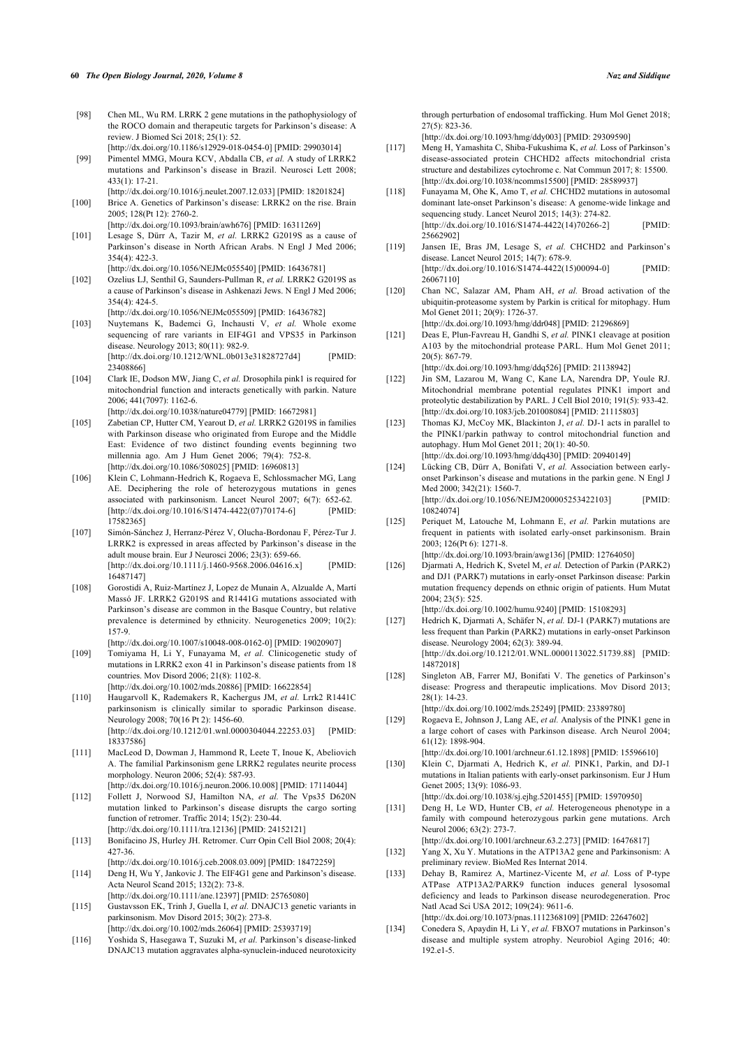#### **60** *The Open Biology Journal, 2020, Volume 8 Naz and Siddique*

- [98] Chen ML, Wu RM. LRRK 2 gene mutations in the pathophysiology of the ROCO domain and therapeutic targets for Parkinson's disease: A review. J Biomed Sci 2018; 25(1): 52. [\[http://dx.doi.org/10.1186/s12929-018-0454-0](http://dx.doi.org/10.1186/s12929-018-0454-0)] [PMID: [29903014\]](http://www.ncbi.nlm.nih.gov/pubmed/29903014)
- <span id="page-13-18"></span><span id="page-13-0"></span>[99] Pimentel MMG, Moura KCV, Abdalla CB, *et al.* A study of LRRK2 mutations and Parkinson's disease in Brazil. Neurosci Lett 2008; 433(1): 17-21.
- <span id="page-13-1"></span>[\[http://dx.doi.org/10.1016/j.neulet.2007.12.033\]](http://dx.doi.org/10.1016/j.neulet.2007.12.033) [PMID: [18201824](http://www.ncbi.nlm.nih.gov/pubmed/18201824)] [100] Brice A. Genetics of Parkinson's disease: LRRK2 on the rise. Brain 2005; 128(Pt 12): 2760-2.
- <span id="page-13-4"></span>[\[http://dx.doi.org/10.1093/brain/awh676\]](http://dx.doi.org/10.1093/brain/awh676) [PMID: [16311269](http://www.ncbi.nlm.nih.gov/pubmed/16311269)] [101] Lesage S, Dürr A, Tazir M, *et al.* LRRK2 G2019S as a cause of Parkinson's disease in North African Arabs. N Engl J Med 2006; 354(4): 422-3.
- <span id="page-13-20"></span><span id="page-13-19"></span><span id="page-13-2"></span>[\[http://dx.doi.org/10.1056/NEJMc055540\]](http://dx.doi.org/10.1056/NEJMc055540) [PMID: [16436781](http://www.ncbi.nlm.nih.gov/pubmed/16436781)] [102] Ozelius LJ, Senthil G, Saunders-Pullman R, *et al.* LRRK2 G2019S as a cause of Parkinson's disease in Ashkenazi Jews. N Engl J Med 2006;  $354(4)$ : 424-5.
- [\[http://dx.doi.org/10.1056/NEJMc055509\]](http://dx.doi.org/10.1056/NEJMc055509) [PMID: [16436782](http://www.ncbi.nlm.nih.gov/pubmed/16436782)]
- <span id="page-13-21"></span><span id="page-13-3"></span>[103] Nuytemans K, Bademci G, Inchausti V, *et al.* Whole exome sequencing of rare variants in EIF4G1 and VPS35 in Parkinson disease. Neurology 2013; 80(11): 982-9. [\[http://dx.doi.org/10.1212/WNL.0b013e31828727d4](http://dx.doi.org/10.1212/WNL.0b013e31828727d4)] [PMID: 234088661
- <span id="page-13-5"></span>[104] Clark IE, Dodson MW, Jiang C, *et al.* Drosophila pink1 is required for mitochondrial function and interacts genetically with parkin. Nature 2006; 441(7097): 1162-6.
	- [\[http://dx.doi.org/10.1038/nature04779](http://dx.doi.org/10.1038/nature04779)] [PMID: [16672981\]](http://www.ncbi.nlm.nih.gov/pubmed/16672981)
- <span id="page-13-6"></span>[105] Zabetian CP, Hutter CM, Yearout D, *et al.* LRRK2 G2019S in families with Parkinson disease who originated from Europe and the Middle East: Evidence of two distinct founding events beginning two millennia ago. Am J Hum Genet 2006; 79(4): 752-8. [\[http://dx.doi.org/10.1086/508025](http://dx.doi.org/10.1086/508025)] [PMID: [16960813\]](http://www.ncbi.nlm.nih.gov/pubmed/16960813)
- <span id="page-13-22"></span><span id="page-13-7"></span>[106] Klein C, Lohmann-Hedrich K, Rogaeva E, Schlossmacher MG, Lang AE. Deciphering the role of heterozygous mutations in genes associated with parkinsonism. Lancet Neurol 2007;  $6(7)$ :  $652-62$ .<br>
[http://dx.doi.org/10.1016/S1474-4422(07)70174-61 [PMID:  $[http://dx.doi.org/10.1016/S1474-4422(07)70174-6]$  $[http://dx.doi.org/10.1016/S1474-4422(07)70174-6]$ [17582365\]](http://www.ncbi.nlm.nih.gov/pubmed/17582365)
- <span id="page-13-23"></span><span id="page-13-8"></span>[107] Simón-Sánchez J, Herranz-Pérez V, Olucha-Bordonau F, Pérez-Tur J. LRRK2 is expressed in areas affected by Parkinson's disease in the adult mouse brain. Eur J Neurosci 2006; 23(3): 659-66. [\[http://dx.doi.org/10.1111/j.1460-9568.2006.04616.x\]](http://dx.doi.org/10.1111/j.1460-9568.2006.04616.x) [PMID: [16487147\]](http://www.ncbi.nlm.nih.gov/pubmed/16487147)
- <span id="page-13-24"></span><span id="page-13-9"></span>[108] Gorostidi A, Ruiz-Martínez J, Lopez de Munain A, Alzualde A, Martí Massó JF. LRRK2 G2019S and R1441G mutations associated with Parkinson's disease are common in the Basque Country, but relative prevalence is determined by ethnicity. Neurogenetics 2009; 10(2): 157-9.
	- [\[http://dx.doi.org/10.1007/s10048-008-0162-0](http://dx.doi.org/10.1007/s10048-008-0162-0)] [PMID: [19020907\]](http://www.ncbi.nlm.nih.gov/pubmed/19020907)
- <span id="page-13-10"></span>[109] Tomiyama H, Li Y, Funayama M, *et al.* Clinicogenetic study of mutations in LRRK2 exon 41 in Parkinson's disease patients from 18 countries. Mov Disord 2006; 21(8): 1102-8. [\[http://dx.doi.org/10.1002/mds.20886](http://dx.doi.org/10.1002/mds.20886)] [PMID: [16622854\]](http://www.ncbi.nlm.nih.gov/pubmed/16622854)
- <span id="page-13-26"></span><span id="page-13-25"></span><span id="page-13-11"></span>[110] Haugarvoll K, Rademakers R, Kachergus JM, *et al.* Lrrk2 R1441C parkinsonism is clinically similar to sporadic Parkinson disease. Neurology 2008; 70(16 Pt 2): 1456-60. [\[http://dx.doi.org/10.1212/01.wnl.0000304044.22253.03](http://dx.doi.org/10.1212/01.wnl.0000304044.22253.03)] [PMID: [18337586\]](http://www.ncbi.nlm.nih.gov/pubmed/18337586)
- <span id="page-13-12"></span>[111] MacLeod D, Dowman J, Hammond R, Leete T, Inoue K, Abeliovich A. The familial Parkinsonism gene LRRK2 regulates neurite process morphology. Neuron 2006; 52(4): 587-93.
- <span id="page-13-27"></span><span id="page-13-13"></span>[\[http://dx.doi.org/10.1016/j.neuron.2006.10.008](http://dx.doi.org/10.1016/j.neuron.2006.10.008)] [PMID: [17114044\]](http://www.ncbi.nlm.nih.gov/pubmed/17114044) [112] Follett J, Norwood SJ, Hamilton NA, *et al.* The Vps35 D620N mutation linked to Parkinson's disease disrupts the cargo sorting function of retromer. Traffic 2014; 15(2): 230-44. [\[http://dx.doi.org/10.1111/tra.12136\]](http://dx.doi.org/10.1111/tra.12136) [PMID: [24152121](http://www.ncbi.nlm.nih.gov/pubmed/24152121)]
- <span id="page-13-28"></span><span id="page-13-14"></span>[113] Bonifacino JS, Hurley JH. Retromer. Curr Opin Cell Biol 2008; 20(4): 427-36.
- <span id="page-13-15"></span>[\[http://dx.doi.org/10.1016/j.ceb.2008.03.009](http://dx.doi.org/10.1016/j.ceb.2008.03.009)] [PMID: [18472259\]](http://www.ncbi.nlm.nih.gov/pubmed/18472259) [114] Deng H, Wu Y, Jankovic J. The EIF4G1 gene and Parkinson's disease. Acta Neurol Scand 2015; 132(2): 73-8.
- <span id="page-13-16"></span>[\[http://dx.doi.org/10.1111/ane.12397](http://dx.doi.org/10.1111/ane.12397)] [PMID: [25765080\]](http://www.ncbi.nlm.nih.gov/pubmed/25765080) [115] Gustavsson EK, Trinh J, Guella I, *et al.* DNAJC13 genetic variants in
- parkinsonism. Mov Disord 2015; 30(2): 273-8. [\[http://dx.doi.org/10.1002/mds.26064](http://dx.doi.org/10.1002/mds.26064)] [PMID: [25393719\]](http://www.ncbi.nlm.nih.gov/pubmed/25393719)
- <span id="page-13-29"></span><span id="page-13-17"></span>[116] Yoshida S, Hasegawa T, Suzuki M, *et al.* Parkinson's disease-linked DNAJC13 mutation aggravates alpha-synuclein-induced neurotoxicity

through perturbation of endosomal trafficking. Hum Mol Genet 2018; 27(5): 823-36.

[\[http://dx.doi.org/10.1093/hmg/ddy003\]](http://dx.doi.org/10.1093/hmg/ddy003) [PMID: [29309590](http://www.ncbi.nlm.nih.gov/pubmed/29309590)]

- [117] Meng H, Yamashita C, Shiba-Fukushima K, *et al.* Loss of Parkinson's disease-associated protein CHCHD2 affects mitochondrial crista structure and destabilizes cytochrome c. Nat Commun 2017; 8: 15500. [\[http://dx.doi.org/10.1038/ncomms15500\]](http://dx.doi.org/10.1038/ncomms15500) [PMID: [28589937](http://www.ncbi.nlm.nih.gov/pubmed/28589937)]
- [118] Funayama M, Ohe K, Amo T, *et al.* CHCHD2 mutations in autosomal dominant late-onset Parkinson's disease: A genome-wide linkage and sequencing study. Lancet Neurol 2015: 14(3): 274-82. [\[http://dx.doi.org/10.1016/S1474-4422\(14\)70266-2](http://dx.doi.org/10.1016/S1474-4422(14)70266-2)] [PMID: [25662902\]](http://www.ncbi.nlm.nih.gov/pubmed/25662902)
- [119] Jansen IE, Bras JM, Lesage S, *et al.* CHCHD2 and Parkinson's disease. Lancet Neurol 2015; 14(7): 678-9. [\[http://dx.doi.org/10.1016/S1474-4422\(15\)00094-0](http://dx.doi.org/10.1016/S1474-4422(15)00094-0)] [PMID: [26067110\]](http://www.ncbi.nlm.nih.gov/pubmed/26067110)
- [120] Chan NC, Salazar AM, Pham AH, *et al.* Broad activation of the ubiquitin-proteasome system by Parkin is critical for mitophagy. Hum Mol Genet 2011; 20(9): 1726-37.

[\[http://dx.doi.org/10.1093/hmg/ddr048\]](http://dx.doi.org/10.1093/hmg/ddr048) [PMID: [21296869](http://www.ncbi.nlm.nih.gov/pubmed/21296869)]

- [121] Deas E, Plun-Favreau H, Gandhi S, *et al.* PINK1 cleavage at position A103 by the mitochondrial protease PARL. Hum Mol Genet 2011; 20(5): 867-79. [\[http://dx.doi.org/10.1093/hmg/ddq526\]](http://dx.doi.org/10.1093/hmg/ddq526) [PMID: [21138942](http://www.ncbi.nlm.nih.gov/pubmed/21138942)]
	-
- [122] Jin SM, Lazarou M, Wang C, Kane LA, Narendra DP, Youle RJ. Mitochondrial membrane potential regulates PINK1 import and proteolytic destabilization by PARL. J Cell Biol 2010; 191(5): 933-42. [\[http://dx.doi.org/10.1083/jcb.201008084](http://dx.doi.org/10.1083/jcb.201008084)] [PMID: [21115803\]](http://www.ncbi.nlm.nih.gov/pubmed/21115803)
- [123] Thomas KJ, McCoy MK, Blackinton J, *et al.* DJ-1 acts in parallel to the PINK1/parkin pathway to control mitochondrial function and autophagy. Hum Mol Genet 2011; 20(1): 40-50. [\[http://dx.doi.org/10.1093/hmg/ddq430\]](http://dx.doi.org/10.1093/hmg/ddq430) [PMID: [20940149](http://www.ncbi.nlm.nih.gov/pubmed/20940149)]
- [124] Lücking CB, Dürr A, Bonifati V, *et al.* Association between earlyonset Parkinson's disease and mutations in the parkin gene. N Engl J Med 2000: 342(21): 1560-7. [\[http://dx.doi.org/10.1056/NEJM200005253422103\]](http://dx.doi.org/10.1056/NEJM200005253422103) [PMID: [10824074\]](http://www.ncbi.nlm.nih.gov/pubmed/10824074)
- [125] Periquet M, Latouche M, Lohmann E, et al. Parkin mutations are frequent in patients with isolated early-onset parkinsonism. Brain 2003; 126(Pt 6): 1271-8. [\[http://dx.doi.org/10.1093/brain/awg136\]](http://dx.doi.org/10.1093/brain/awg136) [PMID: [12764050\]](http://www.ncbi.nlm.nih.gov/pubmed/12764050)
- [126] Djarmati A, Hedrich K, Svetel M, *et al.* Detection of Parkin (PARK2) and DJ1 (PARK7) mutations in early-onset Parkinson disease: Parkin mutation frequency depends on ethnic origin of patients. Hum Mutat
- 2004; 23(5): 525. [\[http://dx.doi.org/10.1002/humu.9240](http://dx.doi.org/10.1002/humu.9240)] [PMID: [15108293\]](http://www.ncbi.nlm.nih.gov/pubmed/15108293) [127] Hedrich K, Djarmati A, Schäfer N, *et al.* DJ-1 (PARK7) mutations are
- less frequent than Parkin (PARK2) mutations in early-onset Parkinson disease. Neurology 2004; 62(3): 389-94. [\[http://dx.doi.org/10.1212/01.WNL.0000113022.51739.88](http://dx.doi.org/10.1212/01.WNL.0000113022.51739.88)] [PMID: [14872018\]](http://www.ncbi.nlm.nih.gov/pubmed/14872018)
- [128] Singleton AB, Farrer MJ, Bonifati V. The genetics of Parkinson's disease: Progress and therapeutic implications. Mov Disord 2013; 28(1): 14-23.

[\[http://dx.doi.org/10.1002/mds.25249](http://dx.doi.org/10.1002/mds.25249)] [PMID: [23389780\]](http://www.ncbi.nlm.nih.gov/pubmed/23389780)

[129] Rogaeva E, Johnson J, Lang AE, *et al.* Analysis of the PINK1 gene in a large cohort of cases with Parkinson disease. Arch Neurol 2004; 61(12): 1898-904.

[\[http://dx.doi.org/10.1001/archneur.61.12.1898](http://dx.doi.org/10.1001/archneur.61.12.1898)] [PMID: [15596610\]](http://www.ncbi.nlm.nih.gov/pubmed/15596610)

- [130] Klein C, Djarmati A, Hedrich K, *et al.* PINK1, Parkin, and DJ-1 mutations in Italian patients with early-onset parkinsonism. Eur J Hum Genet 2005; 13(9): 1086-93. [\[http://dx.doi.org/10.1038/sj.ejhg.5201455](http://dx.doi.org/10.1038/sj.ejhg.5201455)] [PMID: [15970950\]](http://www.ncbi.nlm.nih.gov/pubmed/15970950)
- [131] Deng H, Le WD, Hunter CB, et al. Heterogeneous phenotype in a family with compound heterozygous parkin gene mutations. Arch Neurol 2006; 63(2): 273-7.
	- [\[http://dx.doi.org/10.1001/archneur.63.2.273](http://dx.doi.org/10.1001/archneur.63.2.273)] [PMID: [16476817\]](http://www.ncbi.nlm.nih.gov/pubmed/16476817)
- [132] Yang X, Xu Y. Mutations in the ATP13A2 gene and Parkinsonism: A preliminary review. BioMed Res Internat 2014.
- [133] Dehay B, Ramirez A, Martinez-Vicente M, *et al.* Loss of P-type ATPase ATP13A2/PARK9 function induces general lysosomal deficiency and leads to Parkinson disease neurodegeneration. Proc Natl Acad Sci USA 2012; 109(24): 9611-6. [\[http://dx.doi.org/10.1073/pnas.1112368109](http://dx.doi.org/10.1073/pnas.1112368109)] [PMID: [22647602\]](http://www.ncbi.nlm.nih.gov/pubmed/22647602)
- [134] Conedera S, Apaydin H, Li Y, et al. FBXO7 mutations in Parkinson's disease and multiple system atrophy. Neurobiol Aging 2016; 40: 192.e1-5.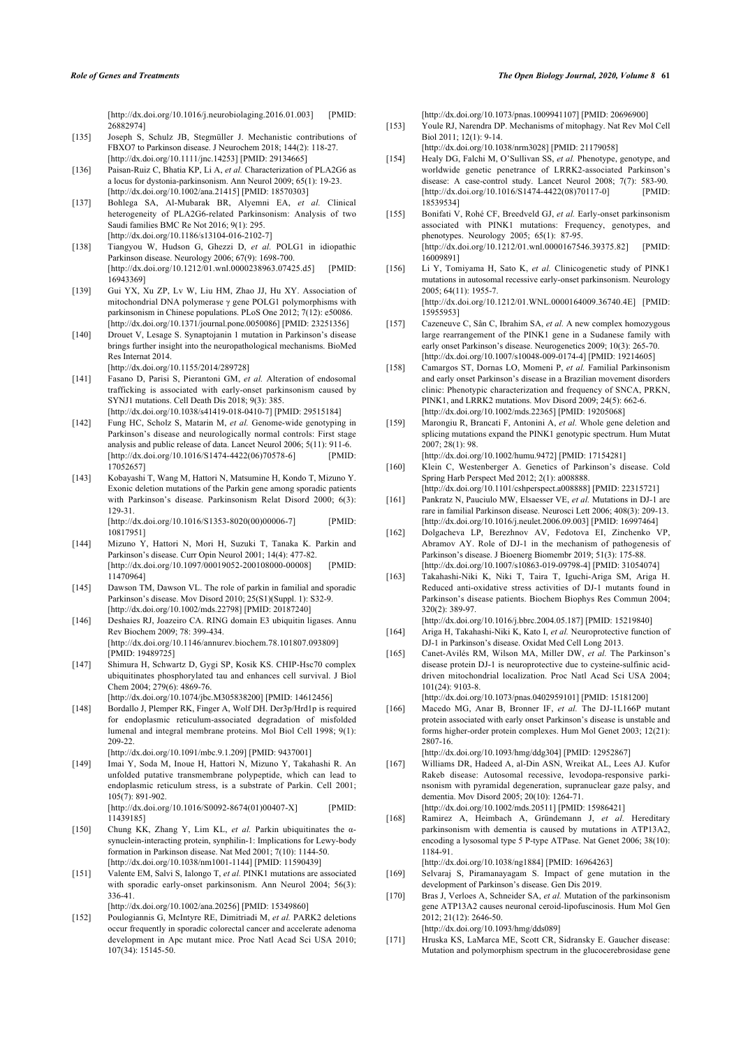[\[http://dx.doi.org/10.1016/j.neurobiolaging.2016.01.003\]](http://dx.doi.org/10.1016/j.neurobiolaging.2016.01.003) [PMID: [26882974\]](http://www.ncbi.nlm.nih.gov/pubmed/26882974)

- <span id="page-14-18"></span><span id="page-14-0"></span>[135] Joseph S, Schulz JB, Stegmüller J. Mechanistic contributions of FBXO7 to Parkinson disease. J Neurochem 2018; 144(2): 118-27. [\[http://dx.doi.org/10.1111/jnc.14253\]](http://dx.doi.org/10.1111/jnc.14253) [PMID: [29134665\]](http://www.ncbi.nlm.nih.gov/pubmed/29134665)
- <span id="page-14-19"></span><span id="page-14-1"></span>[136] Paisan-Ruiz C, Bhatia KP, Li A, *et al.* Characterization of PLA2G6 as a locus for dystonia-parkinsonism. Ann Neurol 2009; 65(1): 19-23. [\[http://dx.doi.org/10.1002/ana.21415](http://dx.doi.org/10.1002/ana.21415)] [PMID: [18570303\]](http://www.ncbi.nlm.nih.gov/pubmed/18570303)
- <span id="page-14-2"></span>[137] Bohlega SA, Al-Mubarak BR, Alyemni EA, *et al.* Clinical heterogeneity of PLA2G6-related Parkinsonism: Analysis of two Saudi families BMC Re Not 2016; 9(1): 295. [\[http://dx.doi.org/10.1186/s13104-016-2102-7](http://dx.doi.org/10.1186/s13104-016-2102-7)]
- <span id="page-14-20"></span><span id="page-14-3"></span>[138] Tiangyou W, Hudson G, Ghezzi D, *et al.* POLG1 in idiopathic Parkinson disease. Neurology 2006; 67(9): 1698-700. [\[http://dx.doi.org/10.1212/01.wnl.0000238963.07425.d5](http://dx.doi.org/10.1212/01.wnl.0000238963.07425.d5)] [PMID: [16943369\]](http://www.ncbi.nlm.nih.gov/pubmed/16943369)
- <span id="page-14-4"></span>[139] Gui YX, Xu ZP, Lv W, Liu HM, Zhao JJ, Hu XY. Association of mitochondrial DNA polymerase γ gene POLG1 polymorphisms with parkinsonism in Chinese populations. PLoS One 2012; 7(12): e50086. [\[http://dx.doi.org/10.1371/journal.pone.0050086\]](http://dx.doi.org/10.1371/journal.pone.0050086) [PMID: [23251356](http://www.ncbi.nlm.nih.gov/pubmed/23251356)]
- <span id="page-14-21"></span><span id="page-14-5"></span>[140] Drouet V, Lesage S. Synaptojanin 1 mutation in Parkinson's disease brings further insight into the neuropathological mechanisms. BioMed Res Internat 2014. [\[http://dx.doi.org/10.1155/2014/289728](http://dx.doi.org/10.1155/2014/289728)]
- <span id="page-14-22"></span><span id="page-14-6"></span>[141] Fasano D, Parisi S, Pierantoni GM, *et al.* Alteration of endosomal trafficking is associated with early-onset parkinsonism caused by SYNJ1 mutations. Cell Death Dis 2018; 9(3): 385. [\[http://dx.doi.org/10.1038/s41419-018-0410-7](http://dx.doi.org/10.1038/s41419-018-0410-7)] [PMID: [29515184\]](http://www.ncbi.nlm.nih.gov/pubmed/29515184)
- <span id="page-14-7"></span>[142] Fung HC, Scholz S, Matarin M, *et al.* Genome-wide genotyping in Parkinson's disease and neurologically normal controls: First stage analysis and public release of data. Lancet Neurol 2006; 5(11): 911-6. [\[http://dx.doi.org/10.1016/S1474-4422\(06\)70578-6](http://dx.doi.org/10.1016/S1474-4422(06)70578-6)] [PMID: [17052657\]](http://www.ncbi.nlm.nih.gov/pubmed/17052657)
- <span id="page-14-24"></span><span id="page-14-23"></span><span id="page-14-8"></span>[143] Kobayashi T, Wang M, Hattori N, Matsumine H, Kondo T, Mizuno Y. Exonic deletion mutations of the Parkin gene among sporadic patients with Parkinson's disease. Parkinsonism Relat Disord 2000; 6(3): 129-31.

[\[http://dx.doi.org/10.1016/S1353-8020\(00\)00006-7](http://dx.doi.org/10.1016/S1353-8020(00)00006-7)] [PMID: [10817951\]](http://www.ncbi.nlm.nih.gov/pubmed/10817951)

- <span id="page-14-25"></span><span id="page-14-9"></span>[144] Mizuno Y, Hattori N, Mori H, Suzuki T, Tanaka K. Parkin and Parkinson's disease. Curr Opin Neurol 2001; 14(4): 477-82. [\[http://dx.doi.org/10.1097/00019052-200108000-00008\]](http://dx.doi.org/10.1097/00019052-200108000-00008) [PMID: [11470964\]](http://www.ncbi.nlm.nih.gov/pubmed/11470964)
- <span id="page-14-26"></span><span id="page-14-10"></span>[145] Dawson TM, Dawson VL. The role of parkin in familial and sporadic Parkinson's disease. Mov Disord 2010; 25(S1)(Suppl. 1): S32-9. [\[http://dx.doi.org/10.1002/mds.22798](http://dx.doi.org/10.1002/mds.22798)] [PMID: [20187240\]](http://www.ncbi.nlm.nih.gov/pubmed/20187240)
- <span id="page-14-27"></span><span id="page-14-11"></span>[146] Deshaies RJ, Joazeiro CA. RING domain E3 ubiquitin ligases. Annu Rev Biochem 2009; 78: 399-434. [\[http://dx.doi.org/10.1146/annurev.biochem.78.101807.093809\]](http://dx.doi.org/10.1146/annurev.biochem.78.101807.093809) [PMID: [19489725](http://www.ncbi.nlm.nih.gov/pubmed/19489725)]
- <span id="page-14-28"></span><span id="page-14-12"></span>[147] Shimura H, Schwartz D, Gygi SP, Kosik KS. CHIP-Hsc70 complex ubiquitinates phosphorylated tau and enhances cell survival. J Biol Chem 2004; 279(6): 4869-76.
- <span id="page-14-13"></span>[\[http://dx.doi.org/10.1074/jbc.M305838200](http://dx.doi.org/10.1074/jbc.M305838200)] [PMID: [14612456\]](http://www.ncbi.nlm.nih.gov/pubmed/14612456) [148] Bordallo J, Plemper RK, Finger A, Wolf DH. Der3p/Hrd1p is required for endoplasmic reticulum-associated degradation of misfolded lumenal and integral membrane proteins. Mol Biol Cell 1998; 9(1): 209-22.
- [\[http://dx.doi.org/10.1091/mbc.9.1.209\]](http://dx.doi.org/10.1091/mbc.9.1.209) [PMID: [9437001](http://www.ncbi.nlm.nih.gov/pubmed/9437001)]
- <span id="page-14-14"></span>[149] Imai Y, Soda M, Inoue H, Hattori N, Mizuno Y, Takahashi R. An unfolded putative transmembrane polypeptide, which can lead to endoplasmic reticulum stress, is a substrate of Parkin. Cell 2001; 105(7): 891-902.

[\[http://dx.doi.org/10.1016/S0092-8674\(01\)00407-X\]](http://dx.doi.org/10.1016/S0092-8674(01)00407-X) [PMID: [11439185\]](http://www.ncbi.nlm.nih.gov/pubmed/11439185)

- <span id="page-14-29"></span><span id="page-14-15"></span>[150] Chung KK, Zhang Y, Lim KL, *et al.* Parkin ubiquitinates the αsynuclein-interacting protein, synphilin-1: Implications for Lewy-body formation in Parkinson disease. Nat Med 2001; 7(10): 1144-50. [\[http://dx.doi.org/10.1038/nm1001-1144](http://dx.doi.org/10.1038/nm1001-1144)] [PMID: [11590439](http://www.ncbi.nlm.nih.gov/pubmed/11590439)]
- <span id="page-14-30"></span><span id="page-14-16"></span>[151] Valente EM, Salvi S, Ialongo T, *et al.* PINK1 mutations are associated with sporadic early-onset parkinsonism. Ann Neurol 2004; 56(3): 336-41.

[\[http://dx.doi.org/10.1002/ana.20256](http://dx.doi.org/10.1002/ana.20256)] [PMID: [15349860\]](http://www.ncbi.nlm.nih.gov/pubmed/15349860)

<span id="page-14-31"></span><span id="page-14-17"></span>[152] Poulogiannis G, McIntyre RE, Dimitriadi M, *et al.* PARK2 deletions occur frequently in sporadic colorectal cancer and accelerate adenoma development in Apc mutant mice. Proc Natl Acad Sci USA 2010; 107(34): 15145-50.

[\[http://dx.doi.org/10.1073/pnas.1009941107](http://dx.doi.org/10.1073/pnas.1009941107)] [PMID: [20696900\]](http://www.ncbi.nlm.nih.gov/pubmed/20696900)

- [153] Youle RJ, Narendra DP. Mechanisms of mitophagy. Nat Rev Mol Cell Biol 2011; 12(1): 9-14.
- [\[http://dx.doi.org/10.1038/nrm3028\]](http://dx.doi.org/10.1038/nrm3028) [PMID: [21179058](http://www.ncbi.nlm.nih.gov/pubmed/21179058)]
- [154] Healy DG, Falchi M, O'Sullivan SS, *et al.* Phenotype, genotype, and worldwide genetic penetrance of LRRK2-associated Parkinson's disease: A case-control study. Lancet Neurol 2008; 7(7): 583-90. [\[http://dx.doi.org/10.1016/S1474-4422\(08\)70117-0](http://dx.doi.org/10.1016/S1474-4422(08)70117-0)] [PMID: [18539534\]](http://www.ncbi.nlm.nih.gov/pubmed/18539534)
- [155] Bonifati V, Rohé CF, Breedveld GJ, *et al.* Early-onset parkinsonism associated with PINK1 mutations: Frequency, genotypes, and phenotypes. Neurology 2005; 65(1): 87-95. [\[http://dx.doi.org/10.1212/01.wnl.0000167546.39375.82\]](http://dx.doi.org/10.1212/01.wnl.0000167546.39375.82) [PMID: [16009891\]](http://www.ncbi.nlm.nih.gov/pubmed/16009891)
- [156] Li Y, Tomiyama H, Sato K, *et al.* Clinicogenetic study of PINK1 mutations in autosomal recessive early-onset parkinsonism. Neurology 2005; 64(11): 1955-7.

[\[http://dx.doi.org/10.1212/01.WNL.0000164009.36740.4E\]](http://dx.doi.org/10.1212/01.WNL.0000164009.36740.4E) [PMID: [15955953\]](http://www.ncbi.nlm.nih.gov/pubmed/15955953)

- [157] Cazeneuve C, Sân C, Ibrahim SA, *et al.* A new complex homozygous large rearrangement of the PINK1 gene in a Sudanese family with early onset Parkinson's disease. Neurogenetics 2009; 10(3): 265-70. [\[http://dx.doi.org/10.1007/s10048-009-0174-4\]](http://dx.doi.org/10.1007/s10048-009-0174-4) [PMID: [19214605](http://www.ncbi.nlm.nih.gov/pubmed/19214605)]
- [158] Camargos ST, Dornas LO, Momeni P, *et al.* Familial Parkinsonism and early onset Parkinson's disease in a Brazilian movement disorders clinic: Phenotypic characterization and frequency of SNCA, PRKN, PINK1, and LRRK2 mutations. Mov Disord 2009; 24(5): 662-6. [\[http://dx.doi.org/10.1002/mds.22365](http://dx.doi.org/10.1002/mds.22365)] [PMID: [19205068\]](http://www.ncbi.nlm.nih.gov/pubmed/19205068)
- [159] Marongiu R, Brancati F, Antonini A, *et al.* Whole gene deletion and splicing mutations expand the PINK1 genotypic spectrum. Hum Mutat 2007; 28(1): 98.
- [\[http://dx.doi.org/10.1002/humu.9472](http://dx.doi.org/10.1002/humu.9472)] [PMID: [17154281\]](http://www.ncbi.nlm.nih.gov/pubmed/17154281) [160] Klein C, Westenberger A. Genetics of Parkinson's disease. Cold
- Spring Harb Perspect Med 2012; 2(1): a008888. [\[http://dx.doi.org/10.1101/cshperspect.a008888\]](http://dx.doi.org/10.1101/cshperspect.a008888) [PMID: [22315721\]](http://www.ncbi.nlm.nih.gov/pubmed/22315721)
- [161] Pankratz N, Pauciulo MW, Elsaesser VE, *et al.* Mutations in DJ-1 are rare in familial Parkinson disease. Neurosci Lett 2006; 408(3): 209-13. [\[http://dx.doi.org/10.1016/j.neulet.2006.09.003](http://dx.doi.org/10.1016/j.neulet.2006.09.003)] [PMID: [16997464\]](http://www.ncbi.nlm.nih.gov/pubmed/16997464)
- [162] Dolgacheva LP, Berezhnov AV, Fedotova EI, Zinchenko VP, Abramov AY. Role of DJ-1 in the mechanism of pathogenesis of Parkinson's disease. J Bioenerg Biomembr 2019; 51(3): 175-88. [\[http://dx.doi.org/10.1007/s10863-019-09798-4](http://dx.doi.org/10.1007/s10863-019-09798-4)] [PMID: [31054074\]](http://www.ncbi.nlm.nih.gov/pubmed/31054074)
- [163] Takahashi-Niki K, Niki T, Taira T, Iguchi-Ariga SM, Ariga H. Reduced anti-oxidative stress activities of DJ-1 mutants found in Parkinson's disease patients. Biochem Biophys Res Commun 2004; 320(2): 389-97.
- [\[http://dx.doi.org/10.1016/j.bbrc.2004.05.187](http://dx.doi.org/10.1016/j.bbrc.2004.05.187)] [PMID: [15219840\]](http://www.ncbi.nlm.nih.gov/pubmed/15219840) [164] Ariga H, Takahashi-Niki K, Kato I, *et al.* Neuroprotective function of DJ-1 in Parkinson's disease. Oxidat Med Cell Long 2013.
- [165] Canet-Avilés RM, Wilson MA, Miller DW, *et al.* The Parkinson's disease protein DJ-1 is neuroprotective due to cysteine-sulfinic aciddriven mitochondrial localization. Proc Natl Acad Sci USA 2004; 101(24): 9103-8.

[\[http://dx.doi.org/10.1073/pnas.0402959101](http://dx.doi.org/10.1073/pnas.0402959101)] [PMID: [15181200\]](http://www.ncbi.nlm.nih.gov/pubmed/15181200) [166] Macedo MG, Anar B, Bronner IF, *et al.* The DJ-1L166P mutant protein associated with early onset Parkinson's disease is unstable and forms higher-order protein complexes. Hum Mol Genet 2003; 12(21): 2807-16.

[\[http://dx.doi.org/10.1093/hmg/ddg304\]](http://dx.doi.org/10.1093/hmg/ddg304) [PMID: [12952867](http://www.ncbi.nlm.nih.gov/pubmed/12952867)]

- [167] Williams DR, Hadeed A, al-Din ASN, Wreikat AL, Lees AJ. Kufor Rakeb disease: Autosomal recessive, levodopa-responsive parkinsonism with pyramidal degeneration, supranuclear gaze palsy, and dementia. Mov Disord 2005; 20(10): 1264-71. [\[http://dx.doi.org/10.1002/mds.20511](http://dx.doi.org/10.1002/mds.20511)] [PMID: [15986421\]](http://www.ncbi.nlm.nih.gov/pubmed/15986421)
- [168] Ramirez A, Heimbach A, Gründemann J, *et al.* Hereditary parkinsonism with dementia is caused by mutations in ATP13A2, encoding a lysosomal type 5 P-type ATPase. Nat Genet 2006; 38(10): 1184-91.

[\[http://dx.doi.org/10.1038/ng1884](http://dx.doi.org/10.1038/ng1884)] [PMID: [16964263](http://www.ncbi.nlm.nih.gov/pubmed/16964263)] [169] Selvaraj S, Piramanayagam S. Impact of gene mutation in the development of Parkinson's disease. Gen Dis 2019.

[170] Bras J, Verloes A, Schneider SA, *et al.* Mutation of the parkinsonism gene ATP13A2 causes neuronal ceroid-lipofuscinosis. Hum Mol Gen 2012; 21(12): 2646-50.

[\[http://dx.doi.org/10.1093/hmg/dds089](http://dx.doi.org/10.1093/hmg/dds089)]

[171] Hruska KS, LaMarca ME, Scott CR, Sidransky E. Gaucher disease: Mutation and polymorphism spectrum in the glucocerebrosidase gene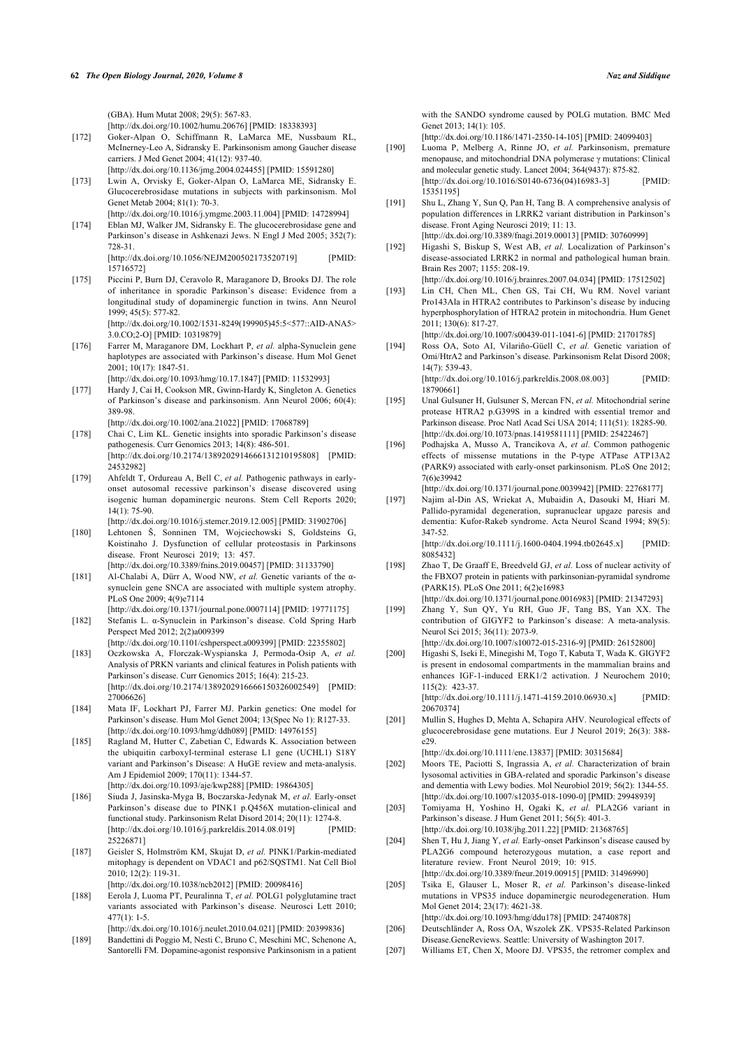(GBA). Hum Mutat 2008; 29(5): 567-83.

[\[http://dx.doi.org/10.1002/humu.20676](http://dx.doi.org/10.1002/humu.20676)] [PMID: [18338393\]](http://www.ncbi.nlm.nih.gov/pubmed/18338393)

- <span id="page-15-16"></span><span id="page-15-0"></span>[172] Goker-Alpan O, Schiffmann R, LaMarca ME, Nussbaum RL, McInerney-Leo A, Sidransky E. Parkinsonism among Gaucher disease carriers. J Med Genet 2004; 41(12): 937-40. [\[http://dx.doi.org/10.1136/jmg.2004.024455\]](http://dx.doi.org/10.1136/jmg.2004.024455) [PMID: [15591280](http://www.ncbi.nlm.nih.gov/pubmed/15591280)]
- <span id="page-15-1"></span>[173] Lwin A, Orvisky E, Goker-Alpan O, LaMarca ME, Sidransky E. Glucocerebrosidase mutations in subjects with parkinsonism. Mol Genet Metab 2004; 81(1): 70-3.
- <span id="page-15-17"></span>[\[http://dx.doi.org/10.1016/j.ymgme.2003.11.004\]](http://dx.doi.org/10.1016/j.ymgme.2003.11.004) [PMID: [14728994](http://www.ncbi.nlm.nih.gov/pubmed/14728994)] [174] Eblan MJ, Walker JM, Sidransky E. The glucocerebrosidase gene and Parkinson's disease in Ashkenazi Jews. N Engl J Med 2005; 352(7): 728-31.

[\[http://dx.doi.org/10.1056/NEJM200502173520719\]](http://dx.doi.org/10.1056/NEJM200502173520719) [PMID: [15716572\]](http://www.ncbi.nlm.nih.gov/pubmed/15716572)

<span id="page-15-19"></span><span id="page-15-18"></span><span id="page-15-2"></span>[175] Piccini P, Burn DJ, Ceravolo R, Maraganore D, Brooks DJ. The role of inheritance in sporadic Parkinson's disease: Evidence from a longitudinal study of dopaminergic function in twins. Ann Neurol 1999; 45(5): 577-82. [\[http://dx.doi.org/10.1002/1531-8249\(199905\)45:5<577::AID-ANA5>](http://dx.doi.org/10.1002/1531-8249(199905)45:5<577::AID-ANA5>3.0.CO;2-O)

[3.0.CO;2-O\]](http://dx.doi.org/10.1002/1531-8249(199905)45:5<577::AID-ANA5>3.0.CO;2-O) [PMID: [10319879](http://www.ncbi.nlm.nih.gov/pubmed/10319879)]

<span id="page-15-3"></span>[176] Farrer M, Maraganore DM, Lockhart P, *et al.* alpha-Synuclein gene haplotypes are associated with Parkinson's disease. Hum Mol Genet 2001; 10(17): 1847-51.

[\[http://dx.doi.org/10.1093/hmg/10.17.1847](http://dx.doi.org/10.1093/hmg/10.17.1847)] [PMID: [11532993\]](http://www.ncbi.nlm.nih.gov/pubmed/11532993)

<span id="page-15-20"></span><span id="page-15-4"></span>[177] Hardy J, Cai H, Cookson MR, Gwinn-Hardy K, Singleton A. Genetics of Parkinson's disease and parkinsonism. Ann Neurol 2006; 60(4): 389-98.

[\[http://dx.doi.org/10.1002/ana.21022](http://dx.doi.org/10.1002/ana.21022)] [PMID: [17068789\]](http://www.ncbi.nlm.nih.gov/pubmed/17068789)

- <span id="page-15-21"></span><span id="page-15-5"></span>[178] Chai C, Lim KL. Genetic insights into sporadic Parkinson's disease pathogenesis. Curr Genomics 2013; 14(8): 486-501. [\[http://dx.doi.org/10.2174/1389202914666131210195808\]](http://dx.doi.org/10.2174/1389202914666131210195808) [PMID: [24532982\]](http://www.ncbi.nlm.nih.gov/pubmed/24532982)
- <span id="page-15-22"></span><span id="page-15-6"></span>[179] Ahfeldt T, Ordureau A, Bell C, et al. Pathogenic pathways in earlyonset autosomal recessive parkinson's disease discovered using isogenic human dopaminergic neurons. Stem Cell Reports 2020;  $14(1)$ : 75-90
- <span id="page-15-7"></span>[\[http://dx.doi.org/10.1016/j.stemcr.2019.12.005](http://dx.doi.org/10.1016/j.stemcr.2019.12.005)] [PMID: [31902706\]](http://www.ncbi.nlm.nih.gov/pubmed/31902706) [180] Lehtonen Š, Sonninen TM, Wojciechowski S, Goldsteins G, Koistinaho J. Dysfunction of cellular proteostasis in Parkinsons

disease. Front Neurosci 2019; 13: 457. [\[http://dx.doi.org/10.3389/fnins.2019.00457](http://dx.doi.org/10.3389/fnins.2019.00457)] [PMID: [31133790\]](http://www.ncbi.nlm.nih.gov/pubmed/31133790)

- <span id="page-15-23"></span><span id="page-15-8"></span>[181] Al-Chalabi A, Dürr A, Wood NW, *et al.* Genetic variants of the αsynuclein gene SNCA are associated with multiple system atrophy. PLoS One 2009; 4(9)e7114
- <span id="page-15-24"></span><span id="page-15-9"></span>[\[http://dx.doi.org/10.1371/journal.pone.0007114\]](http://dx.doi.org/10.1371/journal.pone.0007114) [PMID: [19771175](http://www.ncbi.nlm.nih.gov/pubmed/19771175)] [182] Stefanis L. α-Synuclein in Parkinson's disease. Cold Spring Harb Perspect Med 2012; 2(2)a009399
- <span id="page-15-10"></span>[\[http://dx.doi.org/10.1101/cshperspect.a009399\]](http://dx.doi.org/10.1101/cshperspect.a009399) [PMID: [22355802](http://www.ncbi.nlm.nih.gov/pubmed/22355802)] [183] Oczkowska A, Florczak-Wyspianska J, Permoda-Osip A, *et al.* Analysis of PRKN variants and clinical features in Polish patients with Parkinson's disease. Curr Genomics 2015; 16(4): 215-23. [\[http://dx.doi.org/10.2174/1389202916666150326002549\]](http://dx.doi.org/10.2174/1389202916666150326002549) [PMID: [27006626\]](http://www.ncbi.nlm.nih.gov/pubmed/27006626)
- <span id="page-15-25"></span><span id="page-15-11"></span>[184] Mata IF, Lockhart PJ, Farrer MJ. Parkin genetics: One model for Parkinson's disease. Hum Mol Genet 2004; 13(Spec No 1): R127-33. [\[http://dx.doi.org/10.1093/hmg/ddh089\]](http://dx.doi.org/10.1093/hmg/ddh089) [PMID: [14976155](http://www.ncbi.nlm.nih.gov/pubmed/14976155)]
- <span id="page-15-26"></span><span id="page-15-12"></span>[185] Ragland M, Hutter C, Zabetian C, Edwards K. Association between the ubiquitin carboxyl-terminal esterase L1 gene (UCHL1) S18Y variant and Parkinson's Disease: A HuGE review and meta-analysis. Am J Epidemiol 2009; 170(11): 1344-57. [\[http://dx.doi.org/10.1093/aje/kwp288\]](http://dx.doi.org/10.1093/aje/kwp288) [PMID: [19864305](http://www.ncbi.nlm.nih.gov/pubmed/19864305)]
- <span id="page-15-27"></span><span id="page-15-13"></span>[186] Siuda J, Jasinska-Myga B, Boczarska-Jedynak M, *et al.* Early-onset Parkinson's disease due to PINK1 p.Q456X mutation-clinical and functional study. Parkinsonism Relat Disord 2014; 20(11): 1274-8. [\[http://dx.doi.org/10.1016/j.parkreldis.2014.08.019\]](http://dx.doi.org/10.1016/j.parkreldis.2014.08.019) [PMID: [25226871\]](http://www.ncbi.nlm.nih.gov/pubmed/25226871)
- <span id="page-15-28"></span><span id="page-15-14"></span>[187] Geisler S, Holmström KM, Skujat D, *et al.* PINK1/Parkin-mediated mitophagy is dependent on VDAC1 and p62/SQSTM1. Nat Cell Biol 2010; 12(2): 119-31. [\[http://dx.doi.org/10.1038/ncb2012](http://dx.doi.org/10.1038/ncb2012)] [PMID: [20098416\]](http://www.ncbi.nlm.nih.gov/pubmed/20098416)
- <span id="page-15-29"></span><span id="page-15-15"></span>[188] Eerola J, Luoma PT, Peuralinna T, *et al.* POLG1 polyglutamine tract variants associated with Parkinson's disease. Neurosci Lett 2010; 477(1): 1-5.

[\[http://dx.doi.org/10.1016/j.neulet.2010.04.021\]](http://dx.doi.org/10.1016/j.neulet.2010.04.021) [PMID: [20399836](http://www.ncbi.nlm.nih.gov/pubmed/20399836)]

<span id="page-15-30"></span>[189] Bandettini di Poggio M, Nesti C, Bruno C, Meschini MC, Schenone A, Santorelli FM. Dopamine-agonist responsive Parkinsonism in a patient with the SANDO syndrome caused by POLG mutation. BMC Med Genet 2013; 14(1): 105.

[\[http://dx.doi.org/10.1186/1471-2350-14-105\]](http://dx.doi.org/10.1186/1471-2350-14-105) [PMID: [24099403\]](http://www.ncbi.nlm.nih.gov/pubmed/24099403)

- [190] Luoma P, Melberg A, Rinne JO, *et al.* Parkinsonism, premature menopause, and mitochondrial DNA polymerase γ mutations: Clinical and molecular genetic study. Lancet 2004; 364(9437): 875-82. [\[http://dx.doi.org/10.1016/S0140-6736\(04\)16983-3](http://dx.doi.org/10.1016/S0140-6736(04)16983-3)] [PMID: [15351195\]](http://www.ncbi.nlm.nih.gov/pubmed/15351195)
- [191] Shu L, Zhang Y, Sun Q, Pan H, Tang B. A comprehensive analysis of population differences in LRRK2 variant distribution in Parkinson's disease. Front Aging Neurosci 2019; 11: 13. [\[http://dx.doi.org/10.3389/fnagi.2019.00013\]](http://dx.doi.org/10.3389/fnagi.2019.00013) [PMID: [30760999](http://www.ncbi.nlm.nih.gov/pubmed/30760999)]
- [192] Higashi S, Biskup S, West AB, *et al.* Localization of Parkinson's disease-associated LRRK2 in normal and pathological human brain. Brain Res 2007; 1155: 208-19.
	- [\[http://dx.doi.org/10.1016/j.brainres.2007.04.034](http://dx.doi.org/10.1016/j.brainres.2007.04.034)] [PMID: [17512502](http://www.ncbi.nlm.nih.gov/pubmed/17512502)]
- [193] Lin CH, Chen ML, Chen GS, Tai CH, Wu RM. Novel variant Pro143Ala in HTRA2 contributes to Parkinson's disease by inducing hyperphosphorylation of HTRA2 protein in mitochondria. Hum Genet 2011; 130(6): 817-27.

[\[http://dx.doi.org/10.1007/s00439-011-1041-6\]](http://dx.doi.org/10.1007/s00439-011-1041-6) [PMID: [21701785](http://www.ncbi.nlm.nih.gov/pubmed/21701785)]

[194] Ross OA, Soto AI, Vilariño-Güell C, *et al.* Genetic variation of Omi/HtrA2 and Parkinson's disease. Parkinsonism Relat Disord 2008; 14(7): 539-43. [\[http://dx.doi.org/10.1016/j.parkreldis.2008.08.003\]](http://dx.doi.org/10.1016/j.parkreldis.2008.08.003) [PMID:

[18790661\]](http://www.ncbi.nlm.nih.gov/pubmed/18790661)

- [195] Unal Gulsuner H, Gulsuner S, Mercan FN, *et al.* Mitochondrial serine protease HTRA2 p.G399S in a kindred with essential tremor and Parkinson disease. Proc Natl Acad Sci USA 2014; 111(51): 18285-90. [\[http://dx.doi.org/10.1073/pnas.1419581111](http://dx.doi.org/10.1073/pnas.1419581111)] [PMID: [25422467\]](http://www.ncbi.nlm.nih.gov/pubmed/25422467)
- [196] Podhajska A, Musso A, Trancikova A, *et al.* Common pathogenic effects of missense mutations in the P-type ATPase ATP13A2 (PARK9) associated with early-onset parkinsonism. PLoS One 2012; 7(6)e39942

[\[http://dx.doi.org/10.1371/journal.pone.0039942\]](http://dx.doi.org/10.1371/journal.pone.0039942) [PMID: [22768177\]](http://www.ncbi.nlm.nih.gov/pubmed/22768177)

[197] Najim al-Din AS, Wriekat A, Mubaidin A, Dasouki M, Hiari M. Pallido-pyramidal degeneration, supranuclear upgaze paresis and dementia: Kufor-Rakeb syndrome. Acta Neurol Scand 1994; 89(5): 347-52.

[\[http://dx.doi.org/10.1111/j.1600-0404.1994.tb02645.x](http://dx.doi.org/10.1111/j.1600-0404.1994.tb02645.x)] [PMID: [8085432](http://www.ncbi.nlm.nih.gov/pubmed/8085432)]

- [198] Zhao T, De Graaff E, Breedveld GJ, *et al.* Loss of nuclear activity of the FBXO7 protein in patients with parkinsonian-pyramidal syndrome (PARK15). PLoS One 2011; 6(2)e16983
	- [\[http://dx.doi.org/10.1371/journal.pone.0016983\]](http://dx.doi.org/10.1371/journal.pone.0016983) [PMID: [21347293\]](http://www.ncbi.nlm.nih.gov/pubmed/21347293)
- [199] Zhang Y, Sun QY, Yu RH, Guo JF, Tang BS, Yan XX. The contribution of GIGYF2 to Parkinson's disease: A meta-analysis. Neurol Sci 2015; 36(11): 2073-9.
- [\[http://dx.doi.org/10.1007/s10072-015-2316-9\]](http://dx.doi.org/10.1007/s10072-015-2316-9) [PMID: [26152800](http://www.ncbi.nlm.nih.gov/pubmed/26152800)] [200] Higashi S, Iseki E, Minegishi M, Togo T, Kabuta T, Wada K. GIGYF2 is present in endosomal compartments in the mammalian brains and enhances IGF-1-induced ERK1/2 activation. J Neurochem 2010; 115(2): 423-37.

[\[http://dx.doi.org/10.1111/j.1471-4159.2010.06930.x\]](http://dx.doi.org/10.1111/j.1471-4159.2010.06930.x) [PMID: [20670374\]](http://www.ncbi.nlm.nih.gov/pubmed/20670374)

[201] Mullin S, Hughes D, Mehta A, Schapira AHV. Neurological effects of glucocerebrosidase gene mutations. Eur J Neurol 2019; 26(3): 388 e29.

[\[http://dx.doi.org/10.1111/ene.13837](http://dx.doi.org/10.1111/ene.13837)] [PMID: [30315684](http://www.ncbi.nlm.nih.gov/pubmed/30315684)]

- [202] Moors TE, Paciotti S, Ingrassia A, *et al.* Characterization of brain lysosomal activities in GBA-related and sporadic Parkinson's disease and dementia with Lewy bodies. Mol Neurobiol 2019; 56(2): 1344-55. [\[http://dx.doi.org/10.1007/s12035-018-1090-0\]](http://dx.doi.org/10.1007/s12035-018-1090-0) [PMID: [29948939](http://www.ncbi.nlm.nih.gov/pubmed/29948939)]
- [203] Tomiyama H, Yoshino H, Ogaki K, *et al.* PLA2G6 variant in Parkinson's disease. J Hum Genet 2011; 56(5): 401-3. [\[http://dx.doi.org/10.1038/jhg.2011.22\]](http://dx.doi.org/10.1038/jhg.2011.22) [PMID: [21368765\]](http://www.ncbi.nlm.nih.gov/pubmed/21368765)
- [204] Shen T, Hu J, Jiang Y, et al. Early-onset Parkinson's disease caused by PLA2G6 compound heterozygous mutation, a case report and literature review. Front Neurol 2019; 10: 915. [\[http://dx.doi.org/10.3389/fneur.2019.00915](http://dx.doi.org/10.3389/fneur.2019.00915)] [PMID: [31496990\]](http://www.ncbi.nlm.nih.gov/pubmed/31496990)
- [205] Tsika E, Glauser L, Moser R, *et al.* Parkinson's disease-linked mutations in VPS35 induce dopaminergic neurodegeneration. Hum Mol Genet 2014; 23(17): 4621-38.
- [\[http://dx.doi.org/10.1093/hmg/ddu178\]](http://dx.doi.org/10.1093/hmg/ddu178) [PMID: [24740878](http://www.ncbi.nlm.nih.gov/pubmed/24740878)] [206] Deutschländer A, Ross OA, Wszolek ZK. VPS35-Related Parkinson
- Disease.GeneReviews. Seattle: University of Washington 2017.
- [207] Williams ET, Chen X, Moore DJ. VPS35, the retromer complex and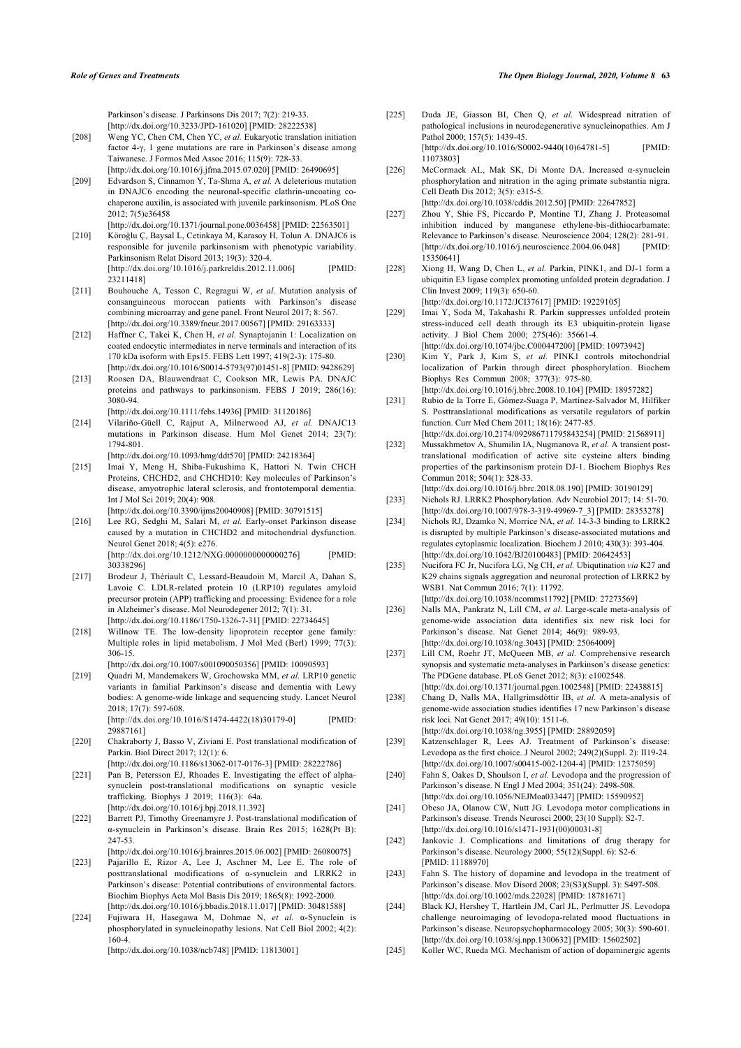Parkinson's disease. J Parkinsons Dis 2017; 7(2): 219-33. [\[http://dx.doi.org/10.3233/JPD-161020](http://dx.doi.org/10.3233/JPD-161020)] [PMID: [28222538\]](http://www.ncbi.nlm.nih.gov/pubmed/28222538)

- <span id="page-16-16"></span><span id="page-16-0"></span>[208] Weng YC, Chen CM, Chen YC, *et al.* Eukaryotic translation initiation factor 4-γ, 1 gene mutations are rare in Parkinson's disease among Taiwanese. J Formos Med Assoc 2016; 115(9): 728-33. [\[http://dx.doi.org/10.1016/j.jfma.2015.07.020](http://dx.doi.org/10.1016/j.jfma.2015.07.020)] [PMID: [26490695](http://www.ncbi.nlm.nih.gov/pubmed/26490695)]
- <span id="page-16-17"></span><span id="page-16-1"></span>[209] Edvardson S, Cinnamon Y, Ta-Shma A, *et al.* A deleterious mutation in DNAJC6 encoding the neuronal-specific clathrin-uncoating cochaperone auxilin, is associated with juvenile parkinsonism. PLoS One 2012; 7(5)e36458
- <span id="page-16-18"></span><span id="page-16-2"></span>[\[http://dx.doi.org/10.1371/journal.pone.0036458\]](http://dx.doi.org/10.1371/journal.pone.0036458) [PMID: [22563501](http://www.ncbi.nlm.nih.gov/pubmed/22563501)] [210] Köroğlu Ç, Baysal L, Cetinkaya M, Karasoy H, Tolun A. DNAJC6 is responsible for juvenile parkinsonism with phenotypic variability. Parkinsonism Relat Disord 2013; 19(3): 320-4. [\[http://dx.doi.org/10.1016/j.parkreldis.2012.11.006\]](http://dx.doi.org/10.1016/j.parkreldis.2012.11.006) [PMID: [23211418\]](http://www.ncbi.nlm.nih.gov/pubmed/23211418)
- <span id="page-16-20"></span><span id="page-16-19"></span><span id="page-16-3"></span>[211] Bouhouche A, Tesson C, Regragui W, *et al.* Mutation analysis of consanguineous moroccan patients with Parkinson's disease combining microarray and gene panel. Front Neurol 2017; 8: 567. [\[http://dx.doi.org/10.3389/fneur.2017.00567\]](http://dx.doi.org/10.3389/fneur.2017.00567) [PMID: [29163333\]](http://www.ncbi.nlm.nih.gov/pubmed/29163333)
- <span id="page-16-4"></span>[212] Haffner C, Takei K, Chen H, et al. Synaptojanin 1: Localization on coated endocytic intermediates in nerve terminals and interaction of its 170 kDa isoform with Eps15. FEBS Lett 1997; 419(2-3): 175-80. [\[http://dx.doi.org/10.1016/S0014-5793\(97\)01451-8](http://dx.doi.org/10.1016/S0014-5793(97)01451-8)] [PMID: [9428629](http://www.ncbi.nlm.nih.gov/pubmed/9428629)]
- <span id="page-16-21"></span><span id="page-16-5"></span>[213] Roosen DA, Blauwendraat C, Cookson MR, Lewis PA. DNAJC proteins and pathways to parkinsonism. FEBS J 2019; 286(16): 3080-94.

[\[http://dx.doi.org/10.1111/febs.14936](http://dx.doi.org/10.1111/febs.14936)] [PMID: [31120186\]](http://www.ncbi.nlm.nih.gov/pubmed/31120186)

- <span id="page-16-22"></span><span id="page-16-6"></span>[214] Vilariño-Güell C, Rajput A, Milnerwood AJ, *et al.* DNAJC13 mutations in Parkinson disease. Hum Mol Genet 2014; 23(7): 1794-801.
- <span id="page-16-23"></span><span id="page-16-7"></span>[\[http://dx.doi.org/10.1093/hmg/ddt570](http://dx.doi.org/10.1093/hmg/ddt570)] [PMID: [24218364\]](http://www.ncbi.nlm.nih.gov/pubmed/24218364) [215] Imai Y, Meng H, Shiba-Fukushima K, Hattori N. Twin CHCH Proteins, CHCHD2, and CHCHD10: Key molecules of Parkinson's disease, amyotrophic lateral sclerosis, and frontotemporal dementia. Int J Mol Sci 2019; 20(4): 908. [\[http://dx.doi.org/10.3390/ijms20040908](http://dx.doi.org/10.3390/ijms20040908)] [PMID: [30791515\]](http://www.ncbi.nlm.nih.gov/pubmed/30791515)
- <span id="page-16-24"></span><span id="page-16-8"></span>[216] Lee RG, Sedghi M, Salari M, et al. Early-onset Parkinson disease caused by a mutation in CHCHD2 and mitochondrial dysfunction. Neurol Genet 2018; 4(5): e276. [\[http://dx.doi.org/10.1212/NXG.0000000000000276\]](http://dx.doi.org/10.1212/NXG.0000000000000276) [PMID: [30338296\]](http://www.ncbi.nlm.nih.gov/pubmed/30338296)
- <span id="page-16-25"></span><span id="page-16-9"></span>[217] Brodeur J, Thériault C, Lessard-Beaudoin M, Marcil A, Dahan S, Lavoie C. LDLR-related protein 10 (LRP10) regulates amyloid precursor protein (APP) trafficking and processing: Evidence for a role in Alzheimer's disease. Mol Neurodegener 2012; 7(1): 31. [\[http://dx.doi.org/10.1186/1750-1326-7-31\]](http://dx.doi.org/10.1186/1750-1326-7-31) [PMID: [22734645](http://www.ncbi.nlm.nih.gov/pubmed/22734645)]
- <span id="page-16-26"></span>[218] Willnow TE. The low-density lipoprotein receptor gene family: Multiple roles in lipid metabolism. J Mol Med (Berl) 1999; 77(3): 306-15.
- <span id="page-16-28"></span><span id="page-16-27"></span><span id="page-16-10"></span>[\[http://dx.doi.org/10.1007/s001090050356\]](http://dx.doi.org/10.1007/s001090050356) [PMID: [10090593\]](http://www.ncbi.nlm.nih.gov/pubmed/10090593) [219] Quadri M, Mandemakers W, Grochowska MM, *et al.* LRP10 genetic variants in familial Parkinson's disease and dementia with Lewy bodies: A genome-wide linkage and sequencing study. Lancet Neurol 2018; 17(7): 597-608.

[\[http://dx.doi.org/10.1016/S1474-4422\(18\)30179-0](http://dx.doi.org/10.1016/S1474-4422(18)30179-0)] [PMID: [29887161\]](http://www.ncbi.nlm.nih.gov/pubmed/29887161)

- <span id="page-16-11"></span>[220] Chakraborty J, Basso V, Ziviani E. Post translational modification of Parkin. Biol Direct 2017; 12(1): 6.
- <span id="page-16-12"></span>[\[http://dx.doi.org/10.1186/s13062-017-0176-3](http://dx.doi.org/10.1186/s13062-017-0176-3)] [PMID: [28222786\]](http://www.ncbi.nlm.nih.gov/pubmed/28222786) [221] Pan B, Petersson EJ, Rhoades E. Investigating the effect of alphasynuclein post-translational modifications on synaptic vesicle trafficking. Biophys J 2019; 116(3): 64a. [\[http://dx.doi.org/10.1016/j.bpj.2018.11.392\]](http://dx.doi.org/10.1016/j.bpj.2018.11.392)
- <span id="page-16-29"></span><span id="page-16-13"></span>[222] Barrett PJ, Timothy Greenamyre J. Post-translational modification of α-synuclein in Parkinson's disease. Brain Res 2015; 1628(Pt B): 247-53.
- <span id="page-16-30"></span><span id="page-16-14"></span>[\[http://dx.doi.org/10.1016/j.brainres.2015.06.002](http://dx.doi.org/10.1016/j.brainres.2015.06.002)] [PMID: [26080075\]](http://www.ncbi.nlm.nih.gov/pubmed/26080075) [223] Pajarillo E, Rizor A, Lee J, Aschner M, Lee E. The role of
- <span id="page-16-31"></span>posttranslational modifications of α-synuclein and LRRK2 in Parkinson's disease: Potential contributions of environmental factors. Biochim Biophys Acta Mol Basis Dis 2019; 1865(8): 1992-2000. [\[http://dx.doi.org/10.1016/j.bbadis.2018.11.017\]](http://dx.doi.org/10.1016/j.bbadis.2018.11.017) [PMID: [30481588\]](http://www.ncbi.nlm.nih.gov/pubmed/30481588)
- <span id="page-16-33"></span><span id="page-16-32"></span><span id="page-16-15"></span>[224] Fujiwara H, Hasegawa M, Dohmae N, *et al.* α-Synuclein is phosphorylated in synucleinopathy lesions. Nat Cell Biol 2002; 4(2): 160-4.

[\[http://dx.doi.org/10.1038/ncb748\]](http://dx.doi.org/10.1038/ncb748) [PMID: [11813001](http://www.ncbi.nlm.nih.gov/pubmed/11813001)]

- [225] Duda JE, Giasson BI, Chen Q, *et al.* Widespread nitration of pathological inclusions in neurodegenerative synucleinopathies. Am J Pathol 2000; 157(5): 1439-45. [\[http://dx.doi.org/10.1016/S0002-9440\(10\)64781-5](http://dx.doi.org/10.1016/S0002-9440(10)64781-5)] [PMID: [11073803\]](http://www.ncbi.nlm.nih.gov/pubmed/11073803)
- [226] McCormack AL, Mak SK, Di Monte DA. Increased α-synuclein phosphorylation and nitration in the aging primate substantia nigra. Cell Death Dis 2012; 3(5): e315-5. [\[http://dx.doi.org/10.1038/cddis.2012.50\]](http://dx.doi.org/10.1038/cddis.2012.50) [PMID: [22647852](http://www.ncbi.nlm.nih.gov/pubmed/22647852)]
- [227] Zhou Y, Shie FS, Piccardo P, Montine TJ, Zhang J. Proteasomal inhibition induced by manganese ethylene-bis-dithiocarbamate:
- Relevance to Parkinson's disease. Neuroscience 2004; 128(2): 281-91. [\[http://dx.doi.org/10.1016/j.neuroscience.2004.06.048\]](http://dx.doi.org/10.1016/j.neuroscience.2004.06.048) [PMID: [15350641\]](http://www.ncbi.nlm.nih.gov/pubmed/15350641) [228] Xiong H, Wang D, Chen L, *et al.* Parkin, PINK1, and DJ-1 form a
- ubiquitin E3 ligase complex promoting unfolded protein degradation. J Clin Invest 2009; 119(3): 650-60.

[\[http://dx.doi.org/10.1172/JCI37617\]](http://dx.doi.org/10.1172/JCI37617) [PMID: [19229105](http://www.ncbi.nlm.nih.gov/pubmed/19229105)]

- [229] Imai Y, Soda M, Takahashi R. Parkin suppresses unfolded protein stress-induced cell death through its E3 ubiquitin-protein ligase activity. J Biol Chem 2000; 275(46): 35661-4. [\[http://dx.doi.org/10.1074/jbc.C000447200\]](http://dx.doi.org/10.1074/jbc.C000447200) [PMID: [10973942\]](http://www.ncbi.nlm.nih.gov/pubmed/10973942)
- [230] Kim Y, Park J, Kim S, et al. PINK1 controls mitochondrial localization of Parkin through direct phosphorylation. Biochem Biophys Res Commun 2008; 377(3): 975-80. [\[http://dx.doi.org/10.1016/j.bbrc.2008.10.104](http://dx.doi.org/10.1016/j.bbrc.2008.10.104)] [PMID: [18957282\]](http://www.ncbi.nlm.nih.gov/pubmed/18957282)
- [231] Rubio de la Torre E, Gómez-Suaga P, Martínez-Salvador M, Hilfiker S. Posttranslational modifications as versatile regulators of parkin function. Curr Med Chem 2011; 18(16): 2477-85. [\[http://dx.doi.org/10.2174/092986711795843254](http://dx.doi.org/10.2174/092986711795843254)] [PMID: [21568911](http://www.ncbi.nlm.nih.gov/pubmed/21568911)]
- [232] Mussakhmetov A, Shumilin IA, Nugmanova R, *et al.* A transient posttranslational modification of active site cysteine alters binding properties of the parkinsonism protein DJ-1. Biochem Biophys Res Commun 2018; 504(1): 328-33.
- [\[http://dx.doi.org/10.1016/j.bbrc.2018.08.190](http://dx.doi.org/10.1016/j.bbrc.2018.08.190)] [PMID: [30190129\]](http://www.ncbi.nlm.nih.gov/pubmed/30190129) [233] Nichols RJ. LRRK2 Phosphorylation. Adv Neurobiol 2017; 14: 51-70.
- [\[http://dx.doi.org/10.1007/978-3-319-49969-7\\_3](http://dx.doi.org/10.1007/978-3-319-49969-7_3)] [PMID: [28353278\]](http://www.ncbi.nlm.nih.gov/pubmed/28353278) [234] Nichols RJ, Dzamko N, Morrice NA, et al. 14-3-3 binding to LRRK2 is disrupted by multiple Parkinson's disease-associated mutations and

regulates cytoplasmic localization. Biochem J 2010; 430(3): 393-404. [\[http://dx.doi.org/10.1042/BJ20100483\]](http://dx.doi.org/10.1042/BJ20100483) [PMID: [20642453](http://www.ncbi.nlm.nih.gov/pubmed/20642453)] [235] Nucifora FC Jr, Nucifora LG, Ng CH, *et al.* Ubiqutination *via* K27 and

- K29 chains signals aggregation and neuronal protection of LRRK2 by WSB1. Nat Commun 2016; 7(1): 11792. [\[http://dx.doi.org/10.1038/ncomms11792\]](http://dx.doi.org/10.1038/ncomms11792) [PMID: [27273569](http://www.ncbi.nlm.nih.gov/pubmed/27273569)]
- [236] Nalls MA, Pankratz N, Lill CM, *et al.* Large-scale meta-analysis of genome-wide association data identifies six new risk loci for Parkinson's disease. Nat Genet 2014; 46(9): 989-93. [\[http://dx.doi.org/10.1038/ng.3043](http://dx.doi.org/10.1038/ng.3043)] [PMID: [25064009\]](http://www.ncbi.nlm.nih.gov/pubmed/25064009)
- [237] Lill CM, Roehr JT, McQueen MB, et al. Comprehensive research synopsis and systematic meta-analyses in Parkinson's disease genetics: The PDGene database. PLoS Genet 2012; 8(3): e1002548. [\[http://dx.doi.org/10.1371/journal.pgen.1002548\]](http://dx.doi.org/10.1371/journal.pgen.1002548) [PMID: [22438815\]](http://www.ncbi.nlm.nih.gov/pubmed/22438815)
- [238] Chang D, Nalls MA, Hallgrímsdóttir IB, *et al.* A meta-analysis of genome-wide association studies identifies 17 new Parkinson's disease risk loci. Nat Genet 2017; 49(10): 1511-6. [\[http://dx.doi.org/10.1038/ng.3955](http://dx.doi.org/10.1038/ng.3955)] [PMID: [28892059\]](http://www.ncbi.nlm.nih.gov/pubmed/28892059)
- [239] Katzenschlager R, Lees AJ. Treatment of Parkinson's disease: Levodopa as the first choice. J Neurol 2002; 249(2)(Suppl. 2): II19-24. [\[http://dx.doi.org/10.1007/s00415-002-1204-4\]](http://dx.doi.org/10.1007/s00415-002-1204-4) [PMID: [12375059](http://www.ncbi.nlm.nih.gov/pubmed/12375059)]
- [240] Fahn S, Oakes D, Shoulson I, *et al.* Levodopa and the progression of Parkinson's disease. N Engl J Med 2004; 351(24): 2498-508. [\[http://dx.doi.org/10.1056/NEJMoa033447](http://dx.doi.org/10.1056/NEJMoa033447)] [PMID: [15590952\]](http://www.ncbi.nlm.nih.gov/pubmed/15590952)
- [241] Obeso JA, Olanow CW, Nutt JG. Levodopa motor complications in Parkinson's disease. Trends Neurosci 2000; 23(10 Suppl): S2-7. [\[http://dx.doi.org/10.1016/s1471-1931\(00\)00031-8\]](http://dx.doi.org/10.1016/s1471-1931(00)00031-8)
- [242] Jankovic J. Complications and limitations of drug therapy for Parkinson's disease. Neurology 2000; 55(12)(Suppl. 6): S2-6. [PMID: [11188970\]](http://www.ncbi.nlm.nih.gov/pubmed/11188970)
- [243] Fahn S. The history of dopamine and levodopa in the treatment of Parkinson's disease. Mov Disord 2008; 23(S3)(Suppl. 3): S497-508. [\[http://dx.doi.org/10.1002/mds.22028](http://dx.doi.org/10.1002/mds.22028)] [PMID: [18781671\]](http://www.ncbi.nlm.nih.gov/pubmed/18781671)
- [244] Black KJ, Hershey T, Hartlein JM, Carl JL, Perlmutter JS. Levodopa challenge neuroimaging of levodopa-related mood fluctuations in Parkinson's disease. Neuropsychopharmacology 2005; 30(3): 590-601. [\[http://dx.doi.org/10.1038/sj.npp.1300632\]](http://dx.doi.org/10.1038/sj.npp.1300632) [PMID: [15602502](http://www.ncbi.nlm.nih.gov/pubmed/15602502)]
- [245] Koller WC, Rueda MG. Mechanism of action of dopaminergic agents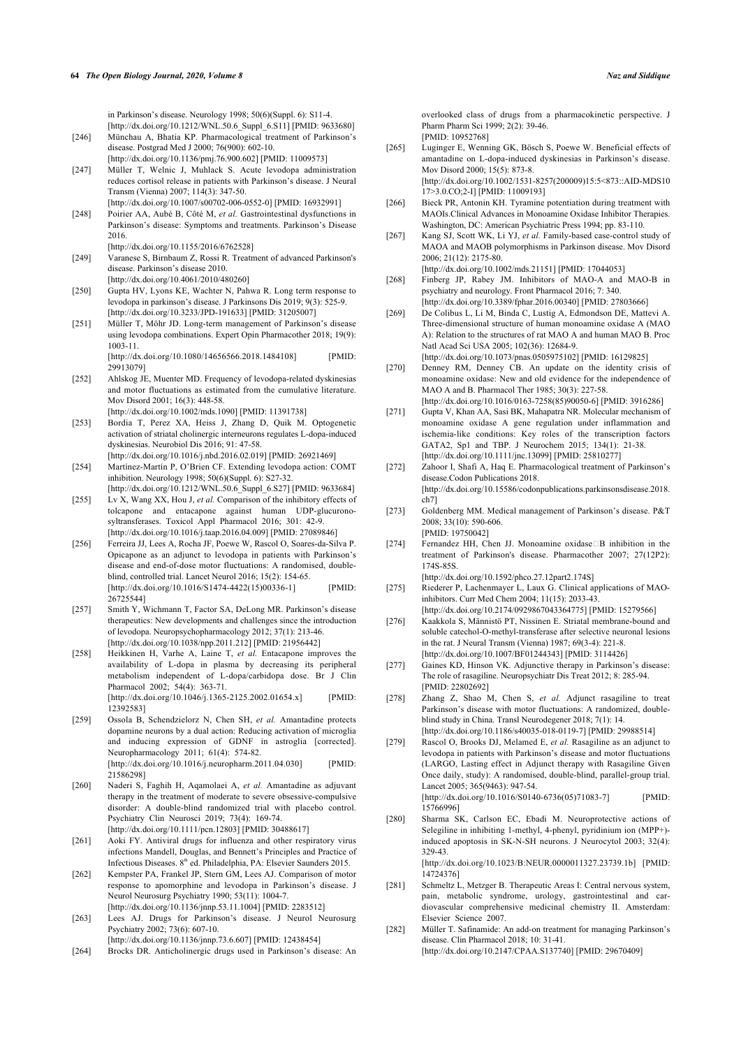in Parkinson's disease. Neurology 1998; 50(6)(Suppl. 6): S11-4. [\[http://dx.doi.org/10.1212/WNL.50.6\\_Suppl\\_6.S11\]](http://dx.doi.org/10.1212/WNL.50.6_Suppl_6.S11) [PMID: [9633680\]](http://www.ncbi.nlm.nih.gov/pubmed/9633680)

- <span id="page-17-18"></span><span id="page-17-0"></span>[246] Münchau A, Bhatia KP. Pharmacological treatment of Parkinson's disease. Postgrad Med J 2000; 76(900): 602-10. [\[http://dx.doi.org/10.1136/pmj.76.900.602](http://dx.doi.org/10.1136/pmj.76.900.602)] [PMID: [11009573\]](http://www.ncbi.nlm.nih.gov/pubmed/11009573)
- <span id="page-17-1"></span>[247] Müller T, Welnic J, Muhlack S. Acute levodopa administration reduces cortisol release in patients with Parkinson's disease. J Neural Transm (Vienna) 2007; 114(3): 347-50.
- <span id="page-17-19"></span><span id="page-17-2"></span>[\[http://dx.doi.org/10.1007/s00702-006-0552-0](http://dx.doi.org/10.1007/s00702-006-0552-0)] [PMID: [16932991\]](http://www.ncbi.nlm.nih.gov/pubmed/16932991) [248] Poirier AA, Aubé B, Côté M, *et al.* Gastrointestinal dysfunctions in Parkinson's disease: Symptoms and treatments. Parkinson's Disease 2016.
- <span id="page-17-20"></span>[\[http://dx.doi.org/10.1155/2016/6762528\]](http://dx.doi.org/10.1155/2016/6762528)
- <span id="page-17-3"></span>[249] Varanese S, Birnbaum Z, Rossi R. Treatment of advanced Parkinson's disease. Parkinson's disease 2010. [\[http://dx.doi.org/10.4061/2010/480260](http://dx.doi.org/10.4061/2010/480260)]
- <span id="page-17-21"></span><span id="page-17-4"></span>[250] Gupta HV, Lyons KE, Wachter N, Pahwa R. Long term response to levodopa in parkinson's disease. J Parkinsons Dis 2019; 9(3): 525-9. [\[http://dx.doi.org/10.3233/JPD-191633](http://dx.doi.org/10.3233/JPD-191633)] [PMID: [31205007\]](http://www.ncbi.nlm.nih.gov/pubmed/31205007)
- <span id="page-17-22"></span><span id="page-17-5"></span>[251] Müller T, Möhr JD. Long-term management of Parkinson's disease using levodopa combinations. Expert Opin Pharmacother 2018; 19(9): 1003-11. [\[http://dx.doi.org/10.1080/14656566.2018.1484108\]](http://dx.doi.org/10.1080/14656566.2018.1484108) [PMID:

<span id="page-17-23"></span><span id="page-17-6"></span>[29913079\]](http://www.ncbi.nlm.nih.gov/pubmed/29913079) [252] Ahlskog JE, Muenter MD. Frequency of levodopa-related dyskinesias

and motor fluctuations as estimated from the cumulative literature. Mov Disord 2001; 16(3): 448-58.

[\[http://dx.doi.org/10.1002/mds.1090\]](http://dx.doi.org/10.1002/mds.1090) [PMID: [11391738](http://www.ncbi.nlm.nih.gov/pubmed/11391738)]

- <span id="page-17-24"></span><span id="page-17-7"></span>[253] Bordia T, Perez XA, Heiss J, Zhang D, Quik M. Optogenetic activation of striatal cholinergic interneurons regulates L-dopa-induced dyskinesias. Neurobiol Dis 2016; 91: 47-58. [\[http://dx.doi.org/10.1016/j.nbd.2016.02.019](http://dx.doi.org/10.1016/j.nbd.2016.02.019)] [PMID: [26921469\]](http://www.ncbi.nlm.nih.gov/pubmed/26921469)
- <span id="page-17-8"></span>[254] Martínez-Martín P, O'Brien CF. Extending levodopa action: COMT inhibition. Neurology 1998; 50(6)(Suppl. 6): S27-32.
- [\[http://dx.doi.org/10.1212/WNL.50.6\\_Suppl\\_6.S27\]](http://dx.doi.org/10.1212/WNL.50.6_Suppl_6.S27) [PMID: [9633684\]](http://www.ncbi.nlm.nih.gov/pubmed/9633684) [255] Lv X, Wang XX, Hou J, *et al.* Comparison of the inhibitory effects of
- <span id="page-17-25"></span><span id="page-17-9"></span>tolcapone and entacapone against human UDP-glucuronosyltransferases. Toxicol Appl Pharmacol 2016; 301: 42-9. [\[http://dx.doi.org/10.1016/j.taap.2016.04.009](http://dx.doi.org/10.1016/j.taap.2016.04.009)] [PMID: [27089846\]](http://www.ncbi.nlm.nih.gov/pubmed/27089846)
- <span id="page-17-10"></span>[256] Ferreira JJ, Lees A, Rocha JF, Poewe W, Rascol O, Soares-da-Silva P. Opicapone as an adjunct to levodopa in patients with Parkinson's disease and end-of-dose motor fluctuations: A randomised, doubleblind, controlled trial. Lancet Neurol 2016; 15(2): 154-65. [\[http://dx.doi.org/10.1016/S1474-4422\(15\)00336-1](http://dx.doi.org/10.1016/S1474-4422(15)00336-1)] [PMID: [26725544\]](http://www.ncbi.nlm.nih.gov/pubmed/26725544)
- <span id="page-17-27"></span><span id="page-17-26"></span><span id="page-17-11"></span>[257] Smith Y, Wichmann T, Factor SA, DeLong MR. Parkinson's disease therapeutics: New developments and challenges since the introduction of levodopa. Neuropsychopharmacology 2012; 37(1): 213-46. [\[http://dx.doi.org/10.1038/npp.2011.212\]](http://dx.doi.org/10.1038/npp.2011.212) [PMID: [21956442](http://www.ncbi.nlm.nih.gov/pubmed/21956442)]
- <span id="page-17-28"></span><span id="page-17-12"></span>[258] Heikkinen H, Varhe A, Laine T, et al. Entacapone improves the availability of L-dopa in plasma by decreasing its peripheral metabolism independent of L-dopa/carbidopa dose. Br J Clin Pharmacol 2002; 54(4): 363-71. [\[http://dx.doi.org/10.1046/j.1365-2125.2002.01654.x\]](http://dx.doi.org/10.1046/j.1365-2125.2002.01654.x) [PMID:

[12392583\]](http://www.ncbi.nlm.nih.gov/pubmed/12392583)

- <span id="page-17-29"></span><span id="page-17-13"></span>[259] Ossola B, Schendzielorz N, Chen SH, *et al.* Amantadine protects dopamine neurons by a dual action: Reducing activation of microglia and inducing expression of GDNF in astroglia [corrected]. Neuropharmacology 2011; 61(4): 574-82. [\[http://dx.doi.org/10.1016/j.neuropharm.2011.04.030\]](http://dx.doi.org/10.1016/j.neuropharm.2011.04.030) [PMID: [21586298\]](http://www.ncbi.nlm.nih.gov/pubmed/21586298)
- <span id="page-17-14"></span>[260] Naderi S, Faghih H, Aqamolaei A, *et al.* Amantadine as adjuvant therapy in the treatment of moderate to severe obsessive-compulsive disorder: A double-blind randomized trial with placebo control. Psychiatry Clin Neurosci 2019; 73(4): 169-74. [\[http://dx.doi.org/10.1111/pcn.12803\]](http://dx.doi.org/10.1111/pcn.12803) [PMID: [30488617](http://www.ncbi.nlm.nih.gov/pubmed/30488617)]
- <span id="page-17-30"></span><span id="page-17-15"></span>[261] Aoki FY. Antiviral drugs for influenza and other respiratory virus infections Mandell, Douglas, and Bennett's Principles and Practice of Infectious Diseases. 8<sup>th</sup> ed. Philadelphia, PA: Elsevier Saunders 2015.
- <span id="page-17-31"></span><span id="page-17-16"></span>[262] Kempster PA, Frankel JP, Stern GM, Lees AJ. Comparison of motor response to apomorphine and levodopa in Parkinson's disease. J Neurol Neurosurg Psychiatry 1990; 53(11): 1004-7. [\[http://dx.doi.org/10.1136/jnnp.53.11.1004\]](http://dx.doi.org/10.1136/jnnp.53.11.1004) [PMID: [2283512\]](http://www.ncbi.nlm.nih.gov/pubmed/2283512)
- <span id="page-17-17"></span>[263] Lees AJ. Drugs for Parkinson's disease. J Neurol Neurosurg Psychiatry 2002; 73(6): 607-10.

[\[http://dx.doi.org/10.1136/jnnp.73.6.607\]](http://dx.doi.org/10.1136/jnnp.73.6.607) [PMID: [12438454](http://www.ncbi.nlm.nih.gov/pubmed/12438454)] [264] Brocks DR. Anticholinergic drugs used in Parkinson's disease: An

overlooked class of drugs from a pharmacokinetic perspective. J Pharm Pharm Sci 1999; 2(2): 39-46. [PMID: [10952768\]](http://www.ncbi.nlm.nih.gov/pubmed/10952768)

- [265] Luginger E, Wenning GK, Bösch S, Poewe W. Beneficial effects of amantadine on L-dopa-induced dyskinesias in Parkinson's disease. Mov Disord 2000; 15(5): 873-8. [\[http://dx.doi.org/10.1002/1531-8257\(200009\)15:5<873::AID-MDS10](http://dx.doi.org/10.1002/1531-8257(200009)15:5<873::AID-MDS1017>3.0.CO;2-I)
- [17>3.0.CO;2-I](http://dx.doi.org/10.1002/1531-8257(200009)15:5<873::AID-MDS1017>3.0.CO;2-I)] [PMID: [11009193\]](http://www.ncbi.nlm.nih.gov/pubmed/11009193) [266] Bieck PR, Antonin KH. Tyramine potentiation during treatment with MAOIs.Clinical Advances in Monoamine Oxidase Inhibitor Therapies. Washington, DC: American Psychiatric Press 1994; pp. 83-110.
- [267] Kang SJ, Scott WK, Li YJ, *et al.* Family-based case-control study of MAOA and MAOB polymorphisms in Parkinson disease. Mov Disord 2006; 21(12): 2175-80.
- [\[http://dx.doi.org/10.1002/mds.21151](http://dx.doi.org/10.1002/mds.21151)] [PMID: [17044053\]](http://www.ncbi.nlm.nih.gov/pubmed/17044053) [268] Finberg JP, Rabey JM. Inhibitors of MAO-A and MAO-B in psychiatry and neurology. Front Pharmacol 2016; 7: 340.

[\[http://dx.doi.org/10.3389/fphar.2016.00340](http://dx.doi.org/10.3389/fphar.2016.00340)] [PMID: [27803666\]](http://www.ncbi.nlm.nih.gov/pubmed/27803666)

- [269] De Colibus L, Li M, Binda C, Lustig A, Edmondson DE, Mattevi A. Three-dimensional structure of human monoamine oxidase A (MAO A): Relation to the structures of rat MAO A and human MAO B. Proc Natl Acad Sci USA 2005; 102(36): 12684-9.
- [\[http://dx.doi.org/10.1073/pnas.0505975102](http://dx.doi.org/10.1073/pnas.0505975102)] [PMID: [16129825\]](http://www.ncbi.nlm.nih.gov/pubmed/16129825)
- [270] Denney RM, Denney CB. An update on the identity crisis of monoamine oxidase: New and old evidence for the independence of MAO A and B. Pharmacol Ther 1985; 30(3): 227-58. [\[http://dx.doi.org/10.1016/0163-7258\(85\)90050-6\]](http://dx.doi.org/10.1016/0163-7258(85)90050-6) [PMID: [3916286\]](http://www.ncbi.nlm.nih.gov/pubmed/3916286)
- [271] Gupta V, Khan AA, Sasi BK, Mahapatra NR. Molecular mechanism of monoamine oxidase A gene regulation under inflammation and ischemia-like conditions: Key roles of the transcription factors GATA2, Sp1 and TBP. J Neurochem 2015; 134(1): 21-38. [\[http://dx.doi.org/10.1111/jnc.13099](http://dx.doi.org/10.1111/jnc.13099)] [PMID: [25810277\]](http://www.ncbi.nlm.nih.gov/pubmed/25810277)
- [272] Zahoor I, Shafi A, Haq E. Pharmacological treatment of Parkinson's disease.Codon Publications 2018. [\[http://dx.doi.org/10.15586/codonpublications.parkinsonsdisease.2018.](http://dx.doi.org/10.15586/codonpublications.parkinsonsdisease.2018.ch7)  $ch7$ ]
- [273] Goldenberg MM. Medical management of Parkinson's disease. P&T 2008; 33(10): 590-606. [PMID: [19750042\]](http://www.ncbi.nlm.nih.gov/pubmed/19750042)
- [274] Fernandez HH, Chen JJ. Monoamine oxidase□B inhibition in the treatment of Parkinson's disease. Pharmacother 2007; 27(12P2): 174S-85S.

[\[http://dx.doi.org/10.1592/phco.27.12part2.174S](http://dx.doi.org/10.1592/phco.27.12part2.174S)]

- [275] Riederer P, Lachenmayer L, Laux G, Clinical applications of MAOinhibitors. Curr Med Chem 2004; 11(15): 2033-43. [\[http://dx.doi.org/10.2174/0929867043364775](http://dx.doi.org/10.2174/0929867043364775)] [PMID: [15279566](http://www.ncbi.nlm.nih.gov/pubmed/15279566)]
- [276] Kaakkola S, Männistö PT, Nissinen E. Striatal membrane-bound and soluble catechol-O-methyl-transferase after selective neuronal lesions in the rat. J Neural Transm (Vienna) 1987; 69(3-4): 221-8. [\[http://dx.doi.org/10.1007/BF01244343](http://dx.doi.org/10.1007/BF01244343)] [PMID: [3114426](http://www.ncbi.nlm.nih.gov/pubmed/3114426)]
- [277] Gaines KD, Hinson VK. Adjunctive therapy in Parkinson's disease: The role of rasagiline. Neuropsychiatr Dis Treat 2012; 8: 285-94. [PMID: [22802692\]](http://www.ncbi.nlm.nih.gov/pubmed/22802692)
- [278] Zhang Z, Shao M, Chen S, *et al.* Adjunct rasagiline to treat Parkinson's disease with motor fluctuations: A randomized, doubleblind study in China. Transl Neurodegener 2018; 7(1): 14. [\[http://dx.doi.org/10.1186/s40035-018-0119-7\]](http://dx.doi.org/10.1186/s40035-018-0119-7) [PMID: [29988514](http://www.ncbi.nlm.nih.gov/pubmed/29988514)]
- [279] Rascol O, Brooks DJ, Melamed E, *et al.* Rasagiline as an adjunct to levodopa in patients with Parkinson's disease and motor fluctuations (LARGO, Lasting effect in Adjunct therapy with Rasagiline Given Once daily, study): A randomised, double-blind, parallel-group trial. Lancet 2005; 365(9463): 947-54. [\[http://dx.doi.org/10.1016/S0140-6736\(05\)71083-7](http://dx.doi.org/10.1016/S0140-6736(05)71083-7)] [PMID: [15766996\]](http://www.ncbi.nlm.nih.gov/pubmed/15766996)
- [280] Sharma SK, Carlson EC, Ebadi M. Neuroprotective actions of Selegiline in inhibiting 1-methyl, 4-phenyl, pyridinium ion (MPP+) induced apoptosis in SK-N-SH neurons. J Neurocytol 2003; 32(4): 329-43. [\[http://dx.doi.org/10.1023/B:NEUR.0000011327.23739.1b\]](http://dx.doi.org/10.1023/B:NEUR.0000011327.23739.1b) [PMID: [14724376\]](http://www.ncbi.nlm.nih.gov/pubmed/14724376)
- [281] Schmeltz L, Metzger B. Therapeutic Areas I: Central nervous system, pain, metabolic syndrome, urology, gastrointestinal and cardiovascular comprehensive medicinal chemistry II. Amsterdam: Elsevier Science 2007.
- [282] Müller T. Safinamide: An add-on treatment for managing Parkinson's disease. Clin Pharmacol 2018; 10: 31-41. [\[http://dx.doi.org/10.2147/CPAA.S137740\]](http://dx.doi.org/10.2147/CPAA.S137740) [PMID: [29670409](http://www.ncbi.nlm.nih.gov/pubmed/29670409)]